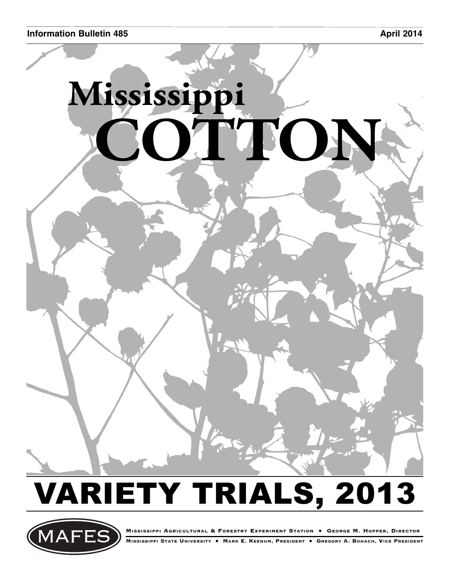

# VARIETY TRIALS, 2013



**MISSISSIPPI AGRICULTURAL & FORESTRY EXPERIMENT STATION • GEORGE M. HOPPER, DIRECTOR MISSISSIPPI STATE UNIVERSITY • MARK E. KEENUM, PRESIDENT • GREGORY A. BOHACH, VICE PRESIDENT**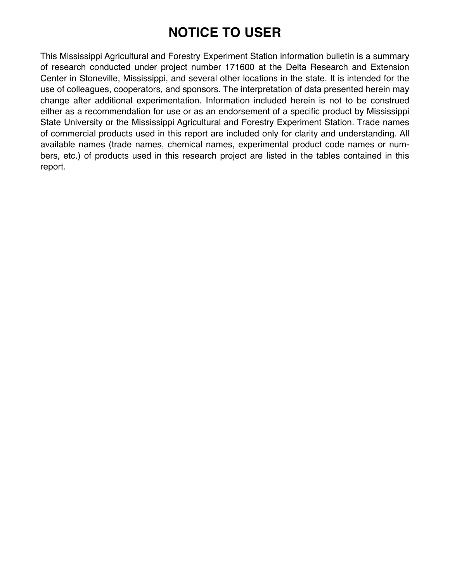## **NOTICE TO USER**

This Mississippi Agricultural and Forestry Experiment Station information bulletin is a summary of research conducted under project number 171600 at the Delta Research and Extension Center in Stoneville, Mississippi, and several other locations in the state. It is intended for the use of colleagues, cooperators, and sponsors. The interpretation of data presented herein may change after additional experimentation. Information included herein is not to be construed either as a recommendation for use or as an endorsement of a specific product by Mississippi State University or the Mississippi Agricultural and Forestry Experiment Station. Trade names of commercial products used in this report are included only for clarity and understanding. All available names (trade names, chemical names, experimental product code names or numbers, etc.) of products used in this research project are listed in the tables contained in this report.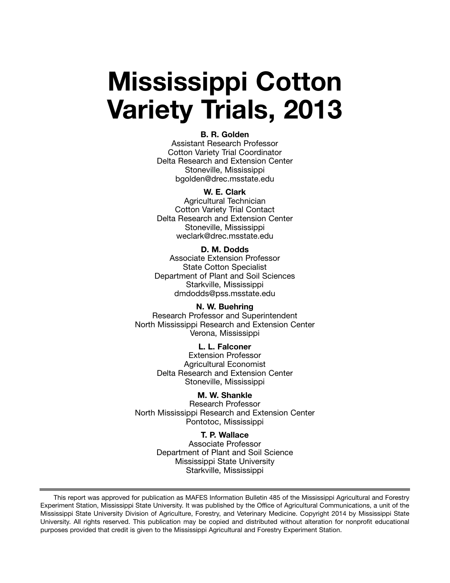## **Mississippi Cotton Variety Trials, 2013**

#### **B. R. Golden**

Assistant Research Professor Cotton Variety Trial Coordinator Delta Research and Extension Center Stoneville, Mississippi bgolden@drec.msstate.edu

#### **W. E. Clark**

Agricultural Technician Cotton Variety Trial Contact Delta Research and Extension Center Stoneville, Mississippi weclark@drec.msstate.edu

#### **D. M. Dodds** Associate Extension Professor State Cotton Specialist Department of Plant and Soil Sciences Starkville, Mississippi dmdodds@pss.msstate.edu

**N. W. Buehring** Research Professor and Superintendent North Mississippi Research and Extension Center Verona, Mississippi

> **L. L. Falconer** Extension Professor Agricultural Economist Delta Research and Extension Center Stoneville, Mississippi

#### **M. W. Shankle**

Research Professor North Mississippi Research and Extension Center Pontotoc, Mississippi

#### **T. P. Wallace**

Associate Professor Department of Plant and Soil Science Mississippi State University Starkville, Mississippi

This report was approved for publication as MAFES Information Bulletin 485 of the Mississippi Agricultural and Forestry Experiment Station, Mississippi State University. It was published by the Office of Agricultural Communications, a unit of the Mississippi State University Division of Agriculture, Forestry, and Veterinary Medicine. Copyright 2014 by Mississippi State University. All rights reserved. This publication may be copied and distributed without alteration for nonprofit educational purposes provided that credit is given to the Mississippi Agricultural and Forestry Experiment Station.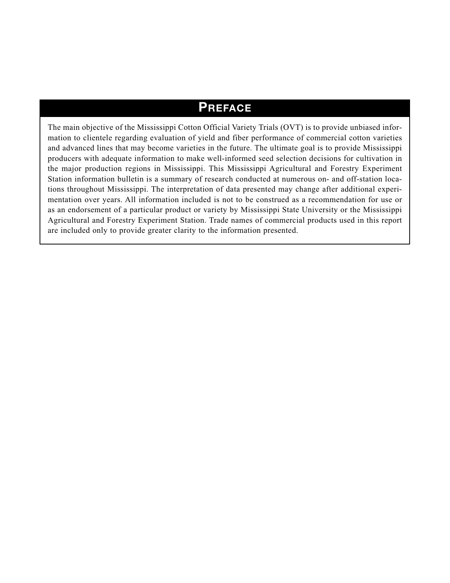## **PREFACE**

The main objective of the Mississippi Cotton Official Variety Trials (OVT) is to provide unbiased information to clientele regarding evaluation of yield and fiber performance of commercial cotton varieties and advanced lines that may become varieties in the future. The ultimate goal is to provide Mississippi producers with adequate information to make well-informed seed selection decisions for cultivation in the major production regions in Mississippi. This Mississippi Agricultural and Forestry Experiment Station information bulletin is a summary of research conducted at numerous on- and off-station locations throughout Mississippi. The interpretation of data presented may change after additional experimentation over years. All information included is not to be construed as a recommendation for use or as an endorsement of a particular product or variety by Mississippi State University or the Mississippi Agricultural and Forestry Experiment Station. Trade names of commercial products used in this report are included only to provide greater clarity to the information presented.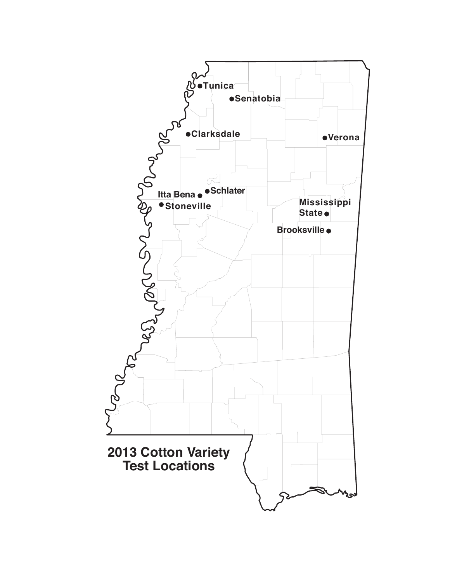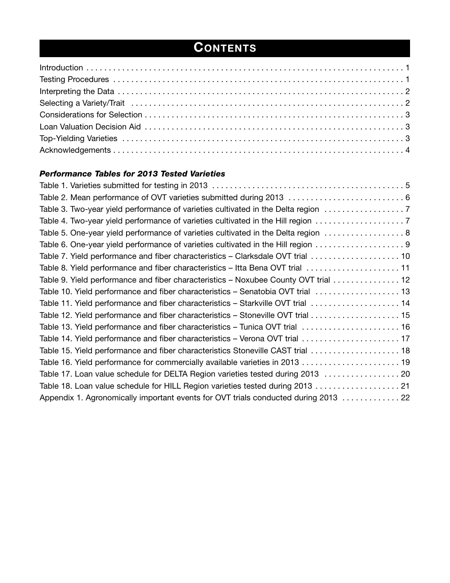## **CONTENTS**

#### *Performance Tables for 2013 Tested Varieties*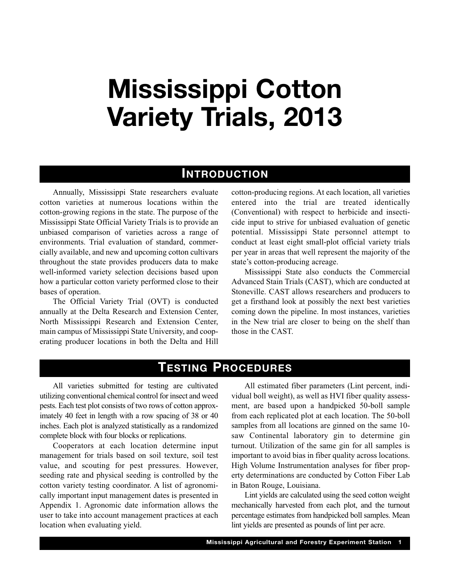## **Mississippi Cotton Variety Trials, 2013**

#### **INTRODUCTION**

Annually, Mississippi State researchers evaluate cotton varieties at numerous locations within the cotton-growing regions in the state. The purpose of the Mississippi State Official Variety Trials is to provide an unbiased comparison of varieties across a range of environments. Trial evaluation of standard, commercially available, and new and upcoming cotton cultivars throughout the state provides producers data to make well-informed variety selection decisions based upon how a particular cotton variety performed close to their bases of operation.

The Official Variety Trial (OVT) is conducted annually at the Delta Research and Extension Center, North Mississippi Research and Extension Center, main campus of Mississippi State University, and cooperating producer locations in both the Delta and Hill cotton-producing regions. At each location, all varieties entered into the trial are treated identically (Conventional) with respect to herbicide and insecticide input to strive for unbiased evaluation of genetic potential. Mississippi State personnel attempt to conduct at least eight small-plot official variety trials per year in areas that well represent the majority of the state's cotton-producing acreage.

Mississippi State also conducts the Commercial Advanced Stain Trials (CAST), which are conducted at Stoneville. CAST allows researchers and producers to get a firsthand look at possibly the next best varieties coming down the pipeline. In most instances, varieties in the New trial are closer to being on the shelf than those in the CAST.

### **TESTING PROCEDURES**

All varieties submitted for testing are cultivated utilizing conventional chemical control for insect and weed pests. Each test plot consists of two rows of cotton approximately 40 feet in length with a row spacing of 38 or 40 inches. Each plot is analyzed statistically as a randomized complete block with four blocks or replications.

Cooperators at each location determine input management for trials based on soil texture, soil test value, and scouting for pest pressures. However, seeding rate and physical seeding is controlled by the cotton variety testing coordinator. A list of agronomically important input management dates is presented in Appendix 1. Agronomic date information allows the user to take into account management practices at each location when evaluating yield.

All estimated fiber parameters (Lint percent, individual boll weight), as well as HVI fiber quality assessment, are based upon a handpicked 50-boll sample from each replicated plot at each location. The 50-boll samples from all locations are ginned on the same 10 saw Continental laboratory gin to determine gin turnout. Utilization of the same gin for all samples is important to avoid bias in fiber quality across locations. High Volume Instrumentation analyses for fiber property determinations are conducted by Cotton Fiber Lab in Baton Rouge, Louisiana.

Lint yields are calculated using the seed cotton weight mechanically harvested from each plot, and the turnout percentage estimates from handpicked boll samples. Mean lint yields are presented as pounds of lint per acre.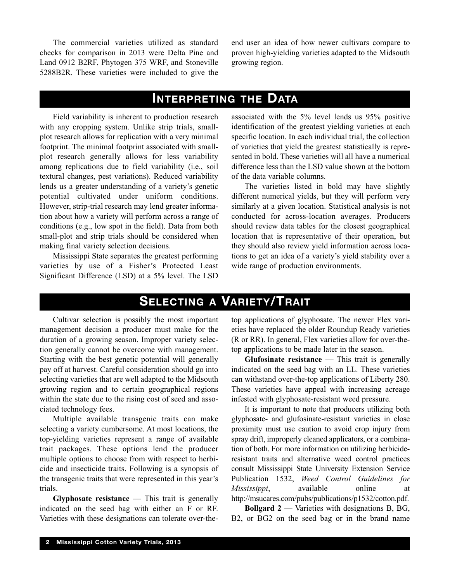The commercial varieties utilized as standard checks for comparison in 2013 were Delta Pine and Land 0912 B2RF, Phytogen 375 WRF, and Stoneville 5288B2R. These varieties were included to give the end user an idea of how newer cultivars compare to proven high-yielding varieties adapted to the Midsouth growing region.

## **INTERPRETING THE DATA**

Field variability is inherent to production research with any cropping system. Unlike strip trials, smallplot research allows for replication with a very minimal footprint. The minimal footprint associated with smallplot research generally allows for less variability among replications due to field variability (i.e., soil textural changes, pest variations). Reduced variability lends us a greater understanding of a variety's genetic potential cultivated under uniform conditions. However, strip-trial research may lend greater information about how a variety will perform across a range of conditions (e.g., low spot in the field). Data from both small-plot and strip trials should be considered when making final variety selection decisions.

Mississippi State separates the greatest performing varieties by use of a Fisher's Protected Least Significant Difference (LSD) at a 5% level. The LSD associated with the 5% level lends us 95% positive identification of the greatest yielding varieties at each specific location. In each individual trial, the collection of varieties that yield the greatest statistically is represented in bold. These varieties will all have a numerical difference less than the LSD value shown at the bottom of the data variable columns.

The varieties listed in bold may have slightly different numerical yields, but they will perform very similarly at a given location. Statistical analysis is not conducted for across-location averages. Producers should review data tables for the closest geographical location that is representative of their operation, but they should also review yield information across locations to get an idea of a variety's yield stability over a wide range of production environments.

## **SELECTING A VARIETY/TRAIT**

Cultivar selection is possibly the most important management decision a producer must make for the duration of a growing season. Improper variety selection generally cannot be overcome with management. Starting with the best genetic potential will generally pay off at harvest. Careful consideration should go into selecting varieties that are well adapted to the Midsouth growing region and to certain geographical regions within the state due to the rising cost of seed and associated technology fees.

Multiple available transgenic traits can make selecting a variety cumbersome. At most locations, the top-yielding varieties represent a range of available trait packages. These options lend the producer multiple options to choose from with respect to herbicide and insecticide traits. Following is a synopsis of the transgenic traits that were represented in this year's trials.

**Glyphosate resistance** — This trait is generally indicated on the seed bag with either an F or RF. Varieties with these designations can tolerate over-thetop applications of glyphosate. The newer Flex varieties have replaced the older Roundup Ready varieties (R or RR). In general, Flex varieties allow for over-thetop applications to be made later in the season.

**Glufosinate resistance** — This trait is generally indicated on the seed bag with an LL. These varieties can withstand over-the-top applications of Liberty 280. These varieties have appeal with increasing acreage infested with glyphosate-resistant weed pressure.

It is important to note that producers utilizing both glyphosate- and glufosinate-resistant varieties in close proximity must use caution to avoid crop injury from spray drift, improperly cleaned applicators, or a combination of both. For more information on utilizing herbicideresistant traits and alternative weed control practices consult Mississippi State University Extension Service Publication 1532, *Weed Control Guidelines for Mississippi*, available online at http://msucares.com/pubs/publications/p1532/cotton.pdf.

**Bollgard 2** — Varieties with designations B, BG, B2, or BG2 on the seed bag or in the brand name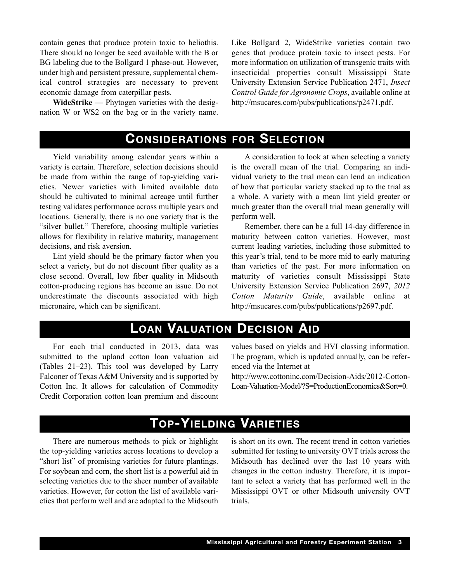contain genes that produce protein toxic to heliothis. There should no longer be seed available with the B or BG labeling due to the Bollgard 1 phase-out. However, under high and persistent pressure, supplemental chemical control strategies are necessary to prevent economic damage from caterpillar pests.

**WideStrike** — Phytogen varieties with the designation W or WS2 on the bag or in the variety name. Like Bollgard 2, WideStrike varieties contain two genes that produce protein toxic to insect pests. For more information on utilization of transgenic traits with insecticidal properties consult Mississippi State University Extension Service Publication 2471, *Insect Control Guide for Agronomic Crops*, available online at http://msucares.com/pubs/publications/p2471.pdf.

### **CONSIDERATIONS FOR SELECTION**

Yield variability among calendar years within a variety is certain. Therefore, selection decisions should be made from within the range of top-yielding varieties. Newer varieties with limited available data should be cultivated to minimal acreage until further testing validates performance across multiple years and locations. Generally, there is no one variety that is the "silver bullet." Therefore, choosing multiple varieties allows for flexibility in relative maturity, management decisions, and risk aversion.

Lint yield should be the primary factor when you select a variety, but do not discount fiber quality as a close second. Overall, low fiber quality in Midsouth cotton-producing regions has become an issue. Do not underestimate the discounts associated with high micronaire, which can be significant.

A consideration to look at when selecting a variety is the overall mean of the trial. Comparing an individual variety to the trial mean can lend an indication of how that particular variety stacked up to the trial as a whole. A variety with a mean lint yield greater or much greater than the overall trial mean generally will perform well.

Remember, there can be a full 14-day difference in maturity between cotton varieties. However, most current leading varieties, including those submitted to this year's trial, tend to be more mid to early maturing than varieties of the past. For more information on maturity of varieties consult Mississippi State University Extension Service Publication 2697, *2012 Cotton Maturity Guide*, available online at http://msucares.com/pubs/publications/p2697.pdf.

## **LOAN VALUATION DECISION AID**

For each trial conducted in 2013, data was submitted to the upland cotton loan valuation aid (Tables 21–23). This tool was developed by Larry Falconer of Texas A&M University and is supported by Cotton Inc. It allows for calculation of Commodity Credit Corporation cotton loan premium and discount values based on yields and HVI classing information. The program, which is updated annually, can be referenced via the Internet at

http://www.cottoninc.com/Decision-Aids/2012-Cotton-Loan-Valuation-Model/?S=ProductionEconomics&Sort=0.

## **TOP-YIELDING VARIETIES**

There are numerous methods to pick or highlight the top-yielding varieties across locations to develop a "short list" of promising varieties for future plantings. For soybean and corn, the short list is a powerful aid in selecting varieties due to the sheer number of available varieties. However, for cotton the list of available varieties that perform well and are adapted to the Midsouth is short on its own. The recent trend in cotton varieties submitted for testing to university OVT trials across the Midsouth has declined over the last 10 years with changes in the cotton industry. Therefore, it is important to select a variety that has performed well in the Mississippi OVT or other Midsouth university OVT trials.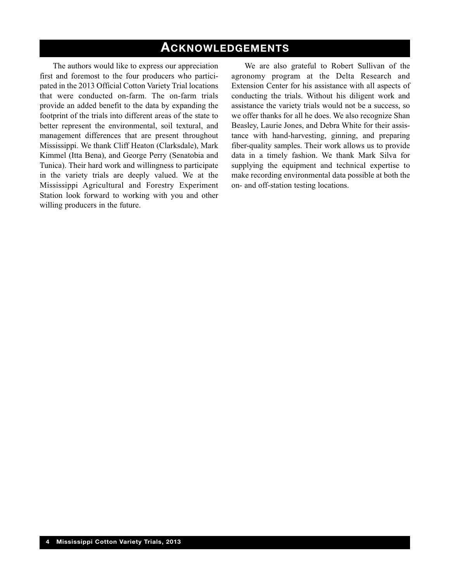## **ACKNOWLEDGEMENTS**

The authors would like to express our appreciation first and foremost to the four producers who participated in the 2013 Official Cotton Variety Trial locations that were conducted on-farm. The on-farm trials provide an added benefit to the data by expanding the footprint of the trials into different areas of the state to better represent the environmental, soil textural, and management differences that are present throughout Mississippi. We thank Cliff Heaton (Clarksdale), Mark Kimmel (Itta Bena), and George Perry (Senatobia and Tunica). Their hard work and willingness to participate in the variety trials are deeply valued. We at the Mississippi Agricultural and Forestry Experiment Station look forward to working with you and other willing producers in the future.

We are also grateful to Robert Sullivan of the agronomy program at the Delta Research and Extension Center for his assistance with all aspects of conducting the trials. Without his diligent work and assistance the variety trials would not be a success, so we offer thanks for all he does. We also recognize Shan Beasley, Laurie Jones, and Debra White for their assistance with hand-harvesting, ginning, and preparing fiber-quality samples. Their work allows us to provide data in a timely fashion. We thank Mark Silva for supplying the equipment and technical expertise to make recording environmental data possible at both the on- and off-station testing locations.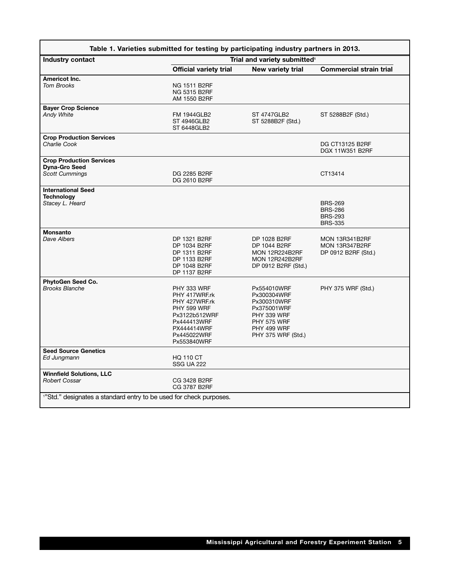|                                                                                | Table 1. Varieties submitted for testing by participating industry partners in 2013.                                                      |                                                                                                                                    |                                                                       |
|--------------------------------------------------------------------------------|-------------------------------------------------------------------------------------------------------------------------------------------|------------------------------------------------------------------------------------------------------------------------------------|-----------------------------------------------------------------------|
| Industry contact                                                               |                                                                                                                                           | Trial and variety submitted <sup>1</sup>                                                                                           |                                                                       |
|                                                                                | <b>Official variety trial</b>                                                                                                             | New variety trial                                                                                                                  | <b>Commercial strain trial</b>                                        |
| Americot Inc.<br><b>Tom Brooks</b>                                             | <b>NG 1511 B2RF</b><br><b>NG 5315 B2RF</b><br>AM 1550 B2RF                                                                                |                                                                                                                                    |                                                                       |
| <b>Bayer Crop Science</b><br>Andy White                                        | <b>FM 1944GLB2</b><br>ST 4946GLB2<br>ST 6448GLB2                                                                                          | <b>ST 4747GLB2</b><br>ST 5288B2F (Std.)                                                                                            | ST 5288B2F (Std.)                                                     |
| <b>Crop Production Services</b><br>Charlie Cook                                |                                                                                                                                           |                                                                                                                                    | <b>DG CT13125 B2RF</b><br><b>DGX 11W351 B2RF</b>                      |
| <b>Crop Production Services</b><br><b>Dyna-Gro Seed</b><br>Scott Cummings      | DG 2285 B2RF<br>DG 2610 B2RF                                                                                                              |                                                                                                                                    | CT13414                                                               |
| <b>International Seed</b><br><b>Technology</b><br>Stacey L. Heard              |                                                                                                                                           |                                                                                                                                    | <b>BRS-269</b><br><b>BRS-286</b><br><b>BRS-293</b><br><b>BRS-335</b>  |
| <b>Monsanto</b><br>Dave Albers                                                 | DP 1321 B2RF<br>DP 1034 B2RF<br>DP 1311 B2RF<br>DP 1133 B2RF<br>DP 1048 B2RF<br>DP 1137 B2RF                                              | DP 1028 B2RF<br>DP 1044 B2RF<br><b>MON 12R224B2RF</b><br><b>MON 12R242B2RF</b><br>DP 0912 B2RF (Std.)                              | <b>MON 13R341B2RF</b><br><b>MON 13R347B2RF</b><br>DP 0912 B2RF (Std.) |
| PhytoGen Seed Co.<br><b>Brooks Blanche</b>                                     | PHY 333 WRF<br>PHY 417WRF.rk<br>PHY 427WRF.rk<br>PHY 599 WRF<br>Px3122b512WRF<br>Px444413WRF<br>PX444414WRF<br>Px445022WRF<br>Px553840WRF | Px554010WRF<br>Px300304WRF<br>Px300310WRF<br>Px375001WRF<br>PHY 339 WRF<br><b>PHY 575 WRF</b><br>PHY 499 WRF<br>PHY 375 WRF (Std.) | PHY 375 WRF (Std.)                                                    |
| <b>Seed Source Genetics</b><br>Ed Jungmann                                     | <b>HQ 110 CT</b><br><b>SSG UA 222</b>                                                                                                     |                                                                                                                                    |                                                                       |
| <b>Winnfield Solutions, LLC</b><br>Robert Cossar                               | CG 3428 B2RF<br>CG 3787 B2RF                                                                                                              |                                                                                                                                    |                                                                       |
| <sup>1</sup> "Std." designates a standard entry to be used for check purposes. |                                                                                                                                           |                                                                                                                                    |                                                                       |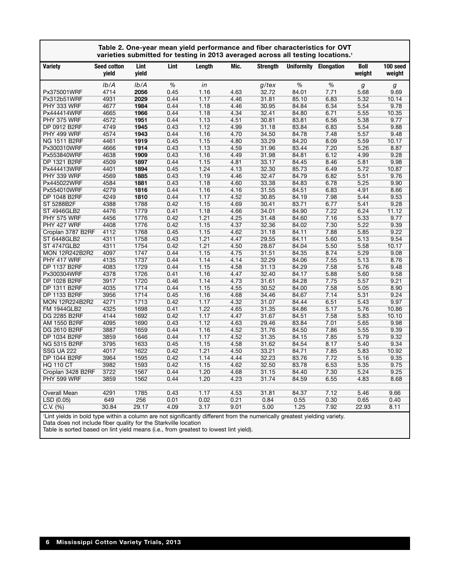|                                                                                                                           |                             |               |      | Table 2. One-year mean yield performance and fiber characteristics for OVT<br>varieties submitted for testing in 2013 averaged across all testing locations. <sup>1</sup> |      |          |       |                       |                |                    |
|---------------------------------------------------------------------------------------------------------------------------|-----------------------------|---------------|------|---------------------------------------------------------------------------------------------------------------------------------------------------------------------------|------|----------|-------|-----------------------|----------------|--------------------|
| Variety                                                                                                                   | <b>Seed cotton</b><br>yield | Lint<br>yield | Lint | Length                                                                                                                                                                    | Mic. | Strenath |       | Uniformity Elongation | Boll<br>weight | 100 seed<br>weight |
|                                                                                                                           | Ib/A                        | Ib/A          | $\%$ | in                                                                                                                                                                        |      | $g$ /tex | $\%$  | %                     | g              | g                  |
| Px375001WRF                                                                                                               | 4714                        | 2056          | 0.45 | 1.16                                                                                                                                                                      | 4.63 | 32.72    | 84.01 | 7.71                  | 5.68           | 9.69               |
| Px312b51WRF                                                                                                               | 4931                        | 2029          | 0.44 | 1.17                                                                                                                                                                      | 4.46 | 31.81    | 85.10 | 6.83                  | 5.32           | 10.14              |
| PHY 333 WRF                                                                                                               | 4677                        | 1984          | 0.44 | 1.18                                                                                                                                                                      | 4.46 | 30.95    | 84.84 | 6.34                  | 5.54           | 9.78               |
| Px444414WRF                                                                                                               | 4665                        | 1966          | 0.44 | 1.18                                                                                                                                                                      | 4.34 | 32.41    | 84.80 | 6.71                  | 5.55           | 10.35              |
| PHY 375 WRF                                                                                                               | 4572                        | 1951          | 0.44 | 1.13                                                                                                                                                                      | 4.51 | 30.81    | 83.81 | 6.56                  | 5.38           | 9.77               |
| DP 0912 B2RF                                                                                                              | 4749                        | 1945          | 0.43 | 1.12                                                                                                                                                                      | 4.99 | 31.18    | 83.84 | 6.83                  | 5.54           | 9.88               |
| PHY 499 WRF                                                                                                               | 4574                        | 1943          | 0.44 | 1.16                                                                                                                                                                      | 4.70 | 34.50    | 84.78 | 7.48                  | 5.57           | 9.48               |
| <b>NG 1511 B2RF</b>                                                                                                       | 4461                        | 1919          | 0.45 | 1.15                                                                                                                                                                      | 4.80 | 33.29    | 84.20 | 8.09                  | 5.59           | 10.17              |
| Px300310WRF                                                                                                               | 4666                        | 1914          | 0.43 | 1.13                                                                                                                                                                      | 4.59 | 31.96    | 83.44 | 7.20                  | 5.26           | 8.87               |
| Px553840WRF                                                                                                               | 4638                        | 1909          | 0.43 | 1.16                                                                                                                                                                      | 4.49 | 31.98    | 84.81 | 6.12                  | 4.99           | 9.28               |
| DP 1321 B2RF                                                                                                              | 4509                        | 1897          | 0.44 | 1.15                                                                                                                                                                      | 4.81 | 33.17    | 84.45 | 8.46                  | 5.81           | 9.98               |
| Px444413WRF                                                                                                               | 4401                        | 1894          | 0.45 | 1.24                                                                                                                                                                      | 4.13 | 32.30    | 85.73 | 6.49                  | 5.72           | 10.87              |
| PHY 339 WRF                                                                                                               | 4569                        | 1885          | 0.43 | 1.19                                                                                                                                                                      | 4.46 | 32.47    | 84.79 | 6.82                  | 5.51           | 9.76               |
| Px445022WRF                                                                                                               | 4584                        | 1881          | 0.43 | 1.18                                                                                                                                                                      | 4.60 | 33.38    | 84.83 | 6.78                  | 5.25           | 9.90               |
| Px554010WRF                                                                                                               | 4279                        | 1816          | 0.44 | 1.16                                                                                                                                                                      | 4.16 | 31.55    | 84.51 | 6.83                  | 4.91           | 8.66               |
| <b>DP 1048 B2RF</b>                                                                                                       | 4249                        | 1810          | 0.44 | 1.17                                                                                                                                                                      | 4.52 | 30.85    | 84.19 | 7.98                  | 5.44           | 9.53               |
| ST 5288B2F                                                                                                                | 4388                        | 1788          | 0.42 | 1.15                                                                                                                                                                      | 4.69 | 30.41    | 83.71 | 6.77                  | 5.41           | 9.28               |
| <b>ST 4946GLB2</b>                                                                                                        | 4476                        | 1779          | 0.41 | 1.18                                                                                                                                                                      | 4.66 | 34.01    | 84.90 | 7.22                  | 6.24           | 11.12              |
| <b>PHY 575 WRF</b>                                                                                                        | 4456                        | 1776          | 0.42 | 1.21                                                                                                                                                                      | 4.25 | 31.48    | 84.60 | 7.16                  | 5.33           | 9.77               |
| PHY 427 WRF                                                                                                               | 4408                        | 1776          | 0.42 | 1.15                                                                                                                                                                      | 4.37 | 32.36    | 84.02 | 7.30                  | 5.22           | 9.39               |
| Croplan 3787 B2RF                                                                                                         | 4112                        | 1768          | 0.45 | 1.15                                                                                                                                                                      | 4.62 | 31.18    | 84.11 | 7.88                  | 5.85           | 9.22               |
| ST 6448GLB2                                                                                                               | 4311                        | 1758          | 0.43 | 1.21                                                                                                                                                                      | 4.47 | 29.55    | 84.11 | 5.60                  | 5.13           | 9.54               |
| <b>ST 4747GLB2</b>                                                                                                        | 4311                        | 1754          | 0.42 | 1.21                                                                                                                                                                      | 4.50 | 28.67    | 84.04 | 5.50                  | 5.58           | 10.17              |
| <b>MON 12R242B2R2</b>                                                                                                     | 4097                        | 1747          | 0.44 | 1.15                                                                                                                                                                      | 4.75 | 31.51    | 84.35 | 8.74                  | 5.29           | 9.08               |
| PHY 417 WRF                                                                                                               | 4135                        | 1737          | 0.44 | 1.14                                                                                                                                                                      | 4.14 | 32.29    | 84.06 | 7.55                  | 5.13           | 8.76               |
| DP 1137 B2RF                                                                                                              | 4083                        | 1729          | 0.44 | 1.15                                                                                                                                                                      | 4.58 | 31.13    | 84.29 | 7.58                  | 5.76           | 9.48               |
| Px300304WRF                                                                                                               | 4378                        | 1726          | 0.41 | 1.16                                                                                                                                                                      | 4.47 | 32.40    | 84.17 | 5.88                  | 5.60           | 9.58               |
| <b>DP 1028 B2RF</b>                                                                                                       | 3917                        | 1720          | 0.46 | 1.14                                                                                                                                                                      | 4.73 | 31.61    | 84.28 | 7.75                  | 5.57           | 9.21               |
| DP 1311 B2RF                                                                                                              | 4035                        | 1714          | 0.44 | 1.15                                                                                                                                                                      | 4.55 | 30.52    | 84.00 | 7.58                  | 5.05           | 8.90               |
| DP 1133 B2RF                                                                                                              | 3956                        | 1714          | 0.45 | 1.16                                                                                                                                                                      | 4.68 | 34.46    | 84.67 | 7.14                  | 5.31           | 9.24               |
| <b>MON 12R224B2R2</b>                                                                                                     | 4271                        | 1713          | 0.42 | 1.17                                                                                                                                                                      | 4.32 | 31.07    | 84.44 | 6.51                  | 5.43           | 9.97               |
| <b>FM 1944GLB2</b>                                                                                                        | 4325                        | 1698          | 0.41 | 1.22                                                                                                                                                                      | 4.65 | 31.35    | 84.86 | 5.17                  | 5.76           | 10.86              |
| <b>DG 2285 B2RF</b>                                                                                                       | 4144                        | 1692          | 0.42 | 1.17                                                                                                                                                                      | 4.47 | 31.67    | 84.51 | 7.58                  | 5.83           | 10.10              |
| AM 1550 B2RF                                                                                                              | 4095                        | 1690          | 0.43 | 1.12                                                                                                                                                                      | 4.63 | 29.46    | 83.84 | 7.01                  | 5.65           | 9.98               |
| DG 2610 B2RF                                                                                                              | 3887                        | 1659          | 0.44 | 1.16                                                                                                                                                                      | 4.52 | 31.76    | 84.50 | 7.86                  | 5.55           | 9.39               |
| DP 1034 B2RF                                                                                                              | 3859                        | 1646          | 0.44 | 1.17                                                                                                                                                                      | 4.52 | 31.35    | 84.15 | 7.85                  | 5.79           | 9.32               |
| <b>NG 5315 B2RF</b>                                                                                                       | 3795                        | 1633          | 0.45 | 1.15                                                                                                                                                                      | 4.58 | 31.62    | 84.54 | 8.17                  | 5.40           | 9.34               |
| <b>SSG UA 222</b>                                                                                                         | 4017                        | 1622          | 0.42 | 1.21                                                                                                                                                                      | 4.50 | 33.21    | 84.71 | 7.85                  | 5.83           | 10.92              |
| DP 1044 B2RF                                                                                                              | 3964                        | 1595          | 0.42 | 1.14                                                                                                                                                                      | 4.44 | 32.23    | 83.76 | 7.72                  | 5.16           | 9.35               |
| <b>HQ 110 CT</b>                                                                                                          | 3982                        | 1593          | 0.42 | 1.15                                                                                                                                                                      | 4.62 | 32.50    | 83.78 | 6.53                  | 5.35           | 9.75               |
| Croplan 3428 B2RF                                                                                                         | 3722                        | 1567          | 0.44 | 1.20                                                                                                                                                                      | 4.68 | 31.15    | 84.40 | 7.30                  | 5.24           | 9.25               |
| <b>PHY 599 WRF</b>                                                                                                        | 3859                        | 1562          | 0.44 | 1.20                                                                                                                                                                      | 4.23 | 31.74    | 84.59 | 6.55                  | 4.83           | 8.68               |
| Overall Mean                                                                                                              | 4291                        | 1785          | 0.43 | 1.17                                                                                                                                                                      | 4.53 | 31.81    | 84.37 | 7.12                  | 5.46           | 9.66               |
| LSD (0.05)                                                                                                                | 649                         | 256           | 0.01 | 0.02                                                                                                                                                                      | 0.21 | 0.84     | 0.55  | 0.30                  | 0.65           | 0.40               |
| $C.V.$ $(\%)$                                                                                                             | 30.84                       | 29.17         | 4.09 | 3.17                                                                                                                                                                      | 9.01 | 5.00     | 1.25  | 7.92                  | 22.93          | 8.11               |
|                                                                                                                           |                             |               |      |                                                                                                                                                                           |      |          |       |                       |                |                    |
| 'Lint yields in bold type within a column are not significantly different from the numerically greatest yielding variety. |                             |               |      |                                                                                                                                                                           |      |          |       |                       |                |                    |

Data does not include fiber quality for the Starkville location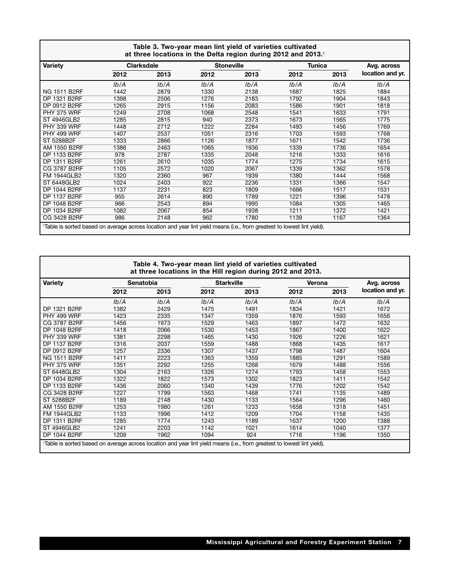|                                                                                                                        | Table 3. Two-year mean lint yield of varieties cultivated<br>at three locations in the Delta region during 2012 and 2013.1 |                   |      |                   |               |             |                  |  |  |  |  |  |
|------------------------------------------------------------------------------------------------------------------------|----------------------------------------------------------------------------------------------------------------------------|-------------------|------|-------------------|---------------|-------------|------------------|--|--|--|--|--|
| <b>Variety</b>                                                                                                         |                                                                                                                            | <b>Clarksdale</b> |      | <b>Stoneville</b> | <b>Tunica</b> | Avg. across |                  |  |  |  |  |  |
|                                                                                                                        | 2012                                                                                                                       | 2013              | 2012 | 2013              | 2012          | 2013        | location and yr. |  |  |  |  |  |
|                                                                                                                        | Ib/A                                                                                                                       | Ib/A              | lb/A | Ib/A              | Ib/A          | Ib/A        | Ib/A             |  |  |  |  |  |
| <b>NG 1511 B2RF</b>                                                                                                    | 1442                                                                                                                       | 2879              | 1330 | 2138              | 1687          | 1825        | 1884             |  |  |  |  |  |
| DP 1321 B2RF                                                                                                           | 1398                                                                                                                       | 2506              | 1276 | 2183              | 1792          | 1904        | 1843             |  |  |  |  |  |
| DP 0912 B2RF                                                                                                           | 1265                                                                                                                       | 2915              | 1156 | 2083              | 1586          | 1901        | 1818             |  |  |  |  |  |
| PHY 375 WRF                                                                                                            | 1249                                                                                                                       | 2708              | 1068 | 2548              | 1541          | 1633        | 1791             |  |  |  |  |  |
| <b>ST 4946GLB2</b>                                                                                                     | 1285                                                                                                                       | 2815              | 940  | 2373              | 1673          | 1565        | 1775             |  |  |  |  |  |
| PHY 339 WRF                                                                                                            | 1448                                                                                                                       | 2712              | 1222 | 2284              | 1493          | 1456        | 1769             |  |  |  |  |  |
| PHY 499 WRF                                                                                                            | 1407                                                                                                                       | 2537              | 1051 | 2316              | 1703          | 1593        | 1768             |  |  |  |  |  |
| ST 5288B2F                                                                                                             | 1333                                                                                                                       | 2866              | 1126 | 1877              | 1671          | 1542        | 1736             |  |  |  |  |  |
| AM 1550 B2RF                                                                                                           | 1386                                                                                                                       | 2463              | 1065 | 1936              | 1339          | 1736        | 1654             |  |  |  |  |  |
| DP 1133 B2RF                                                                                                           | 978                                                                                                                        | 2787              | 1335 | 2048              | 1216          | 1333        | 1616             |  |  |  |  |  |
| DP 1311 B2RF                                                                                                           | 1261                                                                                                                       | 2610              | 1035 | 1774              | 1275          | 1734        | 1615             |  |  |  |  |  |
| CG 3787 B2RF                                                                                                           | 1105                                                                                                                       | 2572              | 1020 | 2067              | 1339          | 1362        | 1578             |  |  |  |  |  |
| <b>FM 1944GLB2</b>                                                                                                     | 1320                                                                                                                       | 2360              | 967  | 1939              | 1380          | 1444        | 1568             |  |  |  |  |  |
| <b>ST 6448GLB2</b>                                                                                                     | 1024                                                                                                                       | 2403              | 922  | 2236              | 1331          | 1366        | 1547             |  |  |  |  |  |
| <b>DP 1044 B2RF</b>                                                                                                    | 1137                                                                                                                       | 2231              | 823  | 1809              | 1666          | 1517        | 1531             |  |  |  |  |  |
| <b>DP 1137 B2RF</b>                                                                                                    | 955                                                                                                                        | 2614              | 890  | 1789              | 1221          | 1396        | 1478             |  |  |  |  |  |
| DP 1048 B2RF                                                                                                           | 966                                                                                                                        | 2543              | 894  | 1995              | 1084          | 1305        | 1465             |  |  |  |  |  |
| <b>DP 1034 B2RF</b>                                                                                                    | 1082                                                                                                                       | 2067              | 854  | 1938              | 1211          | 1372        | 1421             |  |  |  |  |  |
| CG 3428 B2RF                                                                                                           | 986                                                                                                                        | 2148              | 962  | 1780              | 1139          | 1167        | 1364             |  |  |  |  |  |
| Table is sorted based on average across location and year lint yield means (i.e., from greatest to lowest lint yield). |                                                                                                                            |                   |      |                   |               |             |                  |  |  |  |  |  |

|                                                                                                                        | Table 4. Two-year mean lint yield of varieties cultivated<br>at three locations in the Hill region during 2012 and 2013. |           |      |                   |        |             |                  |  |  |  |  |  |
|------------------------------------------------------------------------------------------------------------------------|--------------------------------------------------------------------------------------------------------------------------|-----------|------|-------------------|--------|-------------|------------------|--|--|--|--|--|
| <b>Variety</b>                                                                                                         |                                                                                                                          | Senatobia |      | <b>Starkville</b> | Verona | Avg. across |                  |  |  |  |  |  |
|                                                                                                                        | 2012                                                                                                                     | 2013      | 2012 | 2013              | 2012   | 2013        | location and yr. |  |  |  |  |  |
|                                                                                                                        | Ib/A                                                                                                                     | Ib/A      | Ib/A | Ib/A              | Ib/A   | Ib/A        | Ib/A             |  |  |  |  |  |
| DP 1321 B2RF                                                                                                           | 1382                                                                                                                     | 2429      | 1475 | 1491              | 1834   | 1421        | 1672             |  |  |  |  |  |
| <b>PHY 499 WRF</b>                                                                                                     | 1423                                                                                                                     | 2335      | 1347 | 1359              | 1876   | 1593        | 1656             |  |  |  |  |  |
| CG 3787 B2RF                                                                                                           | 1456                                                                                                                     | 1973      | 1529 | 1463              | 1897   | 1472        | 1632             |  |  |  |  |  |
| DP 1048 B2RF                                                                                                           | 1418                                                                                                                     | 2066      | 1530 | 1453              | 1867   | 1400        | 1622             |  |  |  |  |  |
| PHY 339 WRF                                                                                                            | 1381                                                                                                                     | 2298      | 1465 | 1430              | 1926   | 1226        | 1621             |  |  |  |  |  |
| DP 1137 B2RF                                                                                                           | 1316                                                                                                                     | 2037      | 1559 | 1488              | 1868   | 1435        | 1617             |  |  |  |  |  |
| DP 0912 B2RF                                                                                                           | 1257                                                                                                                     | 2336      | 1307 | 1437              | 1798   | 1487        | 1604             |  |  |  |  |  |
| <b>NG 1511 B2RF</b>                                                                                                    | 1411                                                                                                                     | 2223      | 1363 | 1359              | 1885   | 1291        | 1589             |  |  |  |  |  |
| PHY 375 WRF                                                                                                            | 1351                                                                                                                     | 2292      | 1255 | 1268              | 1679   | 1488        | 1556             |  |  |  |  |  |
| ST 6448GLB2                                                                                                            | 1304                                                                                                                     | 2163      | 1326 | 1274              | 1793   | 1458        | 1553             |  |  |  |  |  |
| DP 1034 B2RF                                                                                                           | 1322                                                                                                                     | 1822      | 1573 | 1302              | 1823   | 1411        | 1542             |  |  |  |  |  |
| DP 1133 B2RF                                                                                                           | 1436                                                                                                                     | 2060      | 1340 | 1439              | 1776   | 1202        | 1542             |  |  |  |  |  |
| CG 3428 B2RF                                                                                                           | 1227                                                                                                                     | 1799      | 1563 | 1468              | 1741   | 1135        | 1489             |  |  |  |  |  |
| ST 5288B2F                                                                                                             | 1189                                                                                                                     | 2148      | 1430 | 1133              | 1564   | 1296        | 1460             |  |  |  |  |  |
| AM 1550 B2RF                                                                                                           | 1253                                                                                                                     | 1980      | 1261 | 1233              | 1658   | 1318        | 1451             |  |  |  |  |  |
| <b>FM 1944GLB2</b>                                                                                                     | 1133                                                                                                                     | 1996      | 1412 | 1209              | 1704   | 1158        | 1435             |  |  |  |  |  |
| DP 1311 B2RF                                                                                                           | 1285                                                                                                                     | 1774      | 1243 | 1189              | 1637   | 1200        | 1388             |  |  |  |  |  |
| <b>ST 4946GLB2</b>                                                                                                     | 1241                                                                                                                     | 2203      | 1142 | 1021              | 1614   | 1040        | 1377             |  |  |  |  |  |
| <b>DP 1044 B2RF</b>                                                                                                    | 1209                                                                                                                     | 1962      | 1094 | 924               | 1716   | 1196        | 1350             |  |  |  |  |  |
| Table is sorted based on average across location and year lint yield means (i.e., from greatest to lowest lint yield). |                                                                                                                          |           |      |                   |        |             |                  |  |  |  |  |  |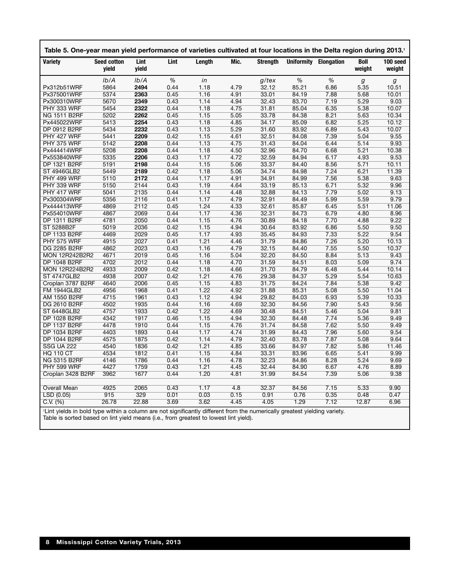| Table 5. One-year mean yield performance of varieties cultivated at four locations in the Delta region during 2013.1      |                             |               |      |        |      |                 |       |                              |                       |                    |
|---------------------------------------------------------------------------------------------------------------------------|-----------------------------|---------------|------|--------|------|-----------------|-------|------------------------------|-----------------------|--------------------|
| Variety                                                                                                                   | <b>Seed cotton</b><br>yield | Lint<br>yield | Lint | Length | Mic. | <b>Strength</b> |       | <b>Uniformity Elongation</b> | <b>Boll</b><br>weight | 100 seed<br>weight |
|                                                                                                                           | Ib/A                        | Ib/A          | %    | in     |      | $g$ /tex        | %     | %                            | g                     | g                  |
| Px312b51WRF                                                                                                               | 5864                        | 2494          | 0.44 | 1.18   | 4.79 | 32.12           | 85.21 | 6.86                         | 5.35                  | 10.51              |
| Px375001WRF                                                                                                               | 5374                        | 2363          | 0.45 | 1.16   | 4.91 | 33.01           | 84.19 | 7.88                         | 5.68                  | 10.01              |
| Px300310WRF                                                                                                               | 5670                        | 2349          | 0.43 | 1.14   | 4.94 | 32.43           | 83.70 | 7.19                         | 5.29                  | 9.03               |
| PHY 333 WRF                                                                                                               | 5454                        | 2322          | 0.44 | 1.18   | 4.75 | 31.81           | 85.04 | 6.35                         | 5.38                  | 10.07              |
| NG 1511 B2RF                                                                                                              | 5202                        | 2262          | 0.45 | 1.15   | 5.05 | 33.78           | 84.38 | 8.21                         | 5.63                  | 10.34              |
| Px445022WRF                                                                                                               | 5413                        | 2254          | 0.43 | 1.18   | 4.85 | 34.17           | 85.09 | 6.82                         | 5.25                  | 10.12              |
| DP 0912 B2RF                                                                                                              | 5434                        | 2232          | 0.43 | 1.13   | 5.29 | 31.60           | 83.92 | 6.89                         | 5.43                  | 10.07              |
| PHY 427 WRF                                                                                                               | 5441                        | 2209          | 0.42 | 1.15   | 4.61 | 32.51           | 84.08 | 7.39                         | 5.04                  | 9.55               |
| PHY 375 WRF                                                                                                               | 5142                        | 2208          | 0.44 | 1.13   | 4.75 | 31.43           | 84.04 | 6.44                         | 5.14                  | 9.93               |
| Px444414WRF                                                                                                               | 5208                        | 2208          | 0.44 | 1.18   | 4.50 | 32.96           | 84.70 | 6.68                         | 5.21                  | 10.38              |
| Px553840WRF                                                                                                               | 5335                        | 2206          | 0.43 | 1.17   | 4.72 | 32.59           | 84.94 | 6.17                         | 4.93                  | 9.53               |
| DP 1321 B2RF                                                                                                              | 5191                        | 2198          | 0.44 | 1.15   | 5.06 | 33.37           | 84.40 | 8.56                         | 5.71                  | 10.11              |
| <b>ST 4946GLB2</b>                                                                                                        | 5449                        | 2189          | 0.42 | 1.18   | 5.06 | 34.74           | 84.98 | 7.24                         | 6.21                  | 11.39              |
| PHY 499 WRF                                                                                                               | 5110                        | 2172          | 0.44 | 1.17   | 4.91 | 34.91           | 84.99 | 7.56                         | 5.38                  | 9.63               |
| PHY 339 WRF                                                                                                               | 5150                        | 2144          | 0.43 | 1.19   | 4.64 | 33.19           | 85.13 | 6.71                         | 5.32                  | 9.96               |
| PHY 417 WRF                                                                                                               | 5041                        | 2135          | 0.44 | 1.14   | 4.48 | 32.88           | 84.13 | 7.79                         | 5.02                  | 9.13               |
| Px300304WRF                                                                                                               | 5356                        | 2116          | 0.41 | 1.17   | 4.79 | 32.91           | 84.49 | 5.99                         | 5.59                  | 9.79               |
| Px444413WRF                                                                                                               | 4869                        | 2112          | 0.45 | 1.24   | 4.33 | 32.61           | 85.87 | 6.45                         | 5.51                  | 11.06              |
| Px554010WRF                                                                                                               | 4867                        | 2069          | 0.44 | 1.17   | 4.36 | 32.31           | 84.73 | 6.79                         | 4.80                  | 8.96               |
| DP 1311 B2RF                                                                                                              | 4781                        | 2050          | 0.44 | 1.15   | 4.76 | 30.89           | 84.18 | 7.70                         | 4.88                  | 9.22               |
| ST 5288B2F                                                                                                                | 5019                        | 2036          | 0.42 | 1.15   | 4.94 | 30.64           | 83.92 | 6.86                         | 5.50                  | 9.50               |
| <b>DP 1133 B2RF</b>                                                                                                       | 4469                        | 2029          | 0.45 | 1.17   | 4.93 | 35.45           | 84.93 | 7.33                         | 5.22                  | 9.54               |
| PHY 575 WRF                                                                                                               | 4915                        | 2027          | 0.41 | 1.21   | 4.46 | 31.79           | 84.86 | 7.26                         | 5.20                  | 10.13              |
| DG 2285 B2RF                                                                                                              | 4862                        | 2023          | 0.43 | 1.16   | 4.79 | 32.15           | 84.40 | 7.55                         | 5.50                  | 10.37              |
| <b>MON 12R242B2R2</b>                                                                                                     | 4671                        | 2019          | 0.45 | 1.16   | 5.04 | 32.20           | 84.50 | 8.84                         | 5.13                  | 9.43               |
| DP 1048 B2RF                                                                                                              | 4702                        | 2012          | 0.44 | 1.18   | 4.70 | 31.59           | 84.51 | 8.03                         | 5.09                  | 9.74               |
| <b>MON 12R224B2R2</b>                                                                                                     | 4933                        | 2009          | 0.42 | 1.18   | 4.66 | 31.70           | 84.79 | 6.48                         | 5.44                  | 10.14              |
| ST 4747GLB2                                                                                                               | 4938                        | 2007          | 0.42 | 1.21   | 4.76 | 29.38           | 84.37 | 5.29                         | 5.54                  | 10.63              |
| Croplan 3787 B2RF                                                                                                         | 4640                        | 2006          | 0.45 | 1.15   | 4.83 | 31.75           | 84.24 | 7.84                         | 5.38                  | 9.42               |
| <b>FM 1944GLB2</b>                                                                                                        | 4956                        | 1968          | 0.41 | 1.22   | 4.92 | 31.88           | 85.31 | 5.08                         | 5.50                  | 11.04              |
| AM 1550 B2RF                                                                                                              | 4715                        | 1961          | 0.43 | 1.12   | 4.94 | 29.82           | 84.03 | 6.93                         | 5.39                  | 10.33              |
| DG 2610 B2RF                                                                                                              | 4502                        | 1935          | 0.44 | 1.16   | 4.69 | 32.30           | 84.56 | 7.90                         | 5.43                  | 9.56               |
| ST 6448GLB2                                                                                                               | 4757                        | 1933          | 0.42 | 1.22   | 4.69 | 30.48           | 84.51 | 5.46                         | 5.04                  | 9.81               |
| DP 1028 B2RF                                                                                                              | 4342                        | 1917          | 0.46 | 1.15   | 4.94 | 32.30           | 84.48 | 7.74                         | 5.36                  | 9.49               |
| DP 1137 B2RF                                                                                                              | 4478                        | 1910          | 0.44 | 1.15   | 4.76 | 31.74           | 84.58 | 7.62                         | 5.50                  | 9.49               |
| DP 1034 B2RF                                                                                                              | 4403                        | 1893          | 0.44 | 1.17   | 4.74 | 31.99           | 84.43 | 7.96                         | 5.60                  | 9.54               |
| DP 1044 B2RF                                                                                                              | 4575                        | 1875          | 0.42 | 1.14   | 4.79 | 32.40           | 83.78 | 7.87                         | 5.08                  | 9.64               |
| SSG UA 222                                                                                                                | 4540                        | 1836          | 0.42 | 1.21   | 4.85 | 33.66           | 84.97 | 7.82                         | 5.86                  | 11.46              |
| HQ 110 CT                                                                                                                 | 4534                        | 1812          | 0.41 | 1.15   | 4.84 | 33.31           | 83.96 | 6.65                         | 5.41                  | 9.99               |
| <b>NG 5315 B2RF</b>                                                                                                       | 4146                        | 1786          | 0.44 | 1.16   | 4.78 | 32.23           | 84.86 | 8.28                         | 5.24                  | 9.69               |
| <b>PHY 599 WRF</b>                                                                                                        | 4427                        | 1759          | 0.43 | 1.21   | 4.45 | 32.44           | 84.90 | 6.67                         | 4.76                  | 8.89               |
| Croplan 3428 B2RF                                                                                                         | 3962                        | 1677          | 0.44 | 1.20   | 4.81 | 31.99           | 84.54 | 7.39                         | 5.06                  | 9.38               |
|                                                                                                                           |                             |               |      |        |      |                 |       |                              |                       |                    |
| Overall Mean                                                                                                              | 4925                        | 2065          | 0.43 | 1.17   | 4.8  | 32.37           | 84.56 | 7.15                         | 5.33                  | 9.90               |
| LSD (0.05)                                                                                                                | 915                         | 329           | 0.01 | 0.03   | 0.15 | 0.91            | 0.76  | 0.35                         | 0.48                  | 0.47               |
| C.V. (%)                                                                                                                  | 26.78                       | 22.88         | 3.69 | 3.62   | 4.45 | 4.05            | 1.29  | 7.12                         | 12.87                 | 6.96               |
| 'Lint yields in bold type within a column are not significantly different from the numerically greatest yielding variety. |                             |               |      |        |      |                 |       |                              |                       |                    |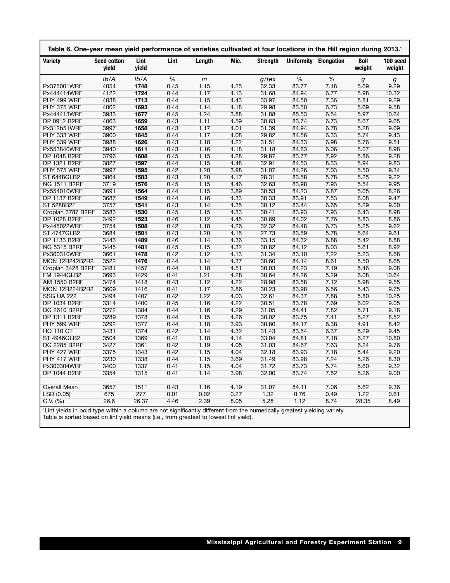| Lint<br><b>Strength</b><br><b>Variety</b><br><b>Seed cotton</b><br>Lint<br>Length<br>Mic.<br><b>Uniformity Elongation</b><br><b>Boll</b><br>100 seed<br>yield<br>yield<br>weight<br>weight<br>%<br>%<br>%<br>Ib/A<br>Ib/A<br>$g$ /tex<br>in<br>g<br>g<br>4054<br>1748<br>1.15<br>4.25<br>32.33<br>9.29<br>Px375001WRF<br>0.45<br>83.77<br>7.48<br>5.69<br>4122<br>1724<br>1.17<br>31.68<br>0.44<br>4.13<br>84.94<br>6.77<br>5.98<br>10.32<br>Px444414WRF<br>1.15<br>9.29<br>PHY 499 WRF<br>4038<br>1713<br>0.44<br>4.43<br>33.97<br>84.50<br>7.36<br>5.81<br>PHY 375 WRF<br>4002<br>1693<br>0.44<br>1.14<br>4.18<br>29.98<br>83.50<br>6.73<br>5.69<br>9.58<br>1.24<br>1677<br>3.88<br>31.88<br>6.54<br>5.97<br>10.64<br>Px444413WRF<br>3933<br>0.45<br>85.53<br>4063<br>1659<br>1.11<br>4.59<br>5.67<br>9.65<br>DP 0912 B2RF<br>0.43<br>30.63<br>83.74<br>6.73<br>1.17<br>3997<br>1658<br>31.39<br>84.94<br>6.78<br>5.28<br>9.69<br>Px312b51WRF<br>0.43<br>4.01<br>3900<br>1645<br>0.44<br>1.17<br>4.08<br>29.82<br>84.56<br>6.33<br>5.74<br>9.43<br>PHY 333 WRF<br>3988<br>1626<br>0.43<br>1.18<br>4.22<br>31.51<br>84.33<br>6.98<br>5.76<br>9.51<br>PHY 339 WRF<br>1.16<br>3940<br>1611<br>0.43<br>4.18<br>31.18<br>6.06<br>5.07<br>8.98<br>Px553840WRF<br>84.63<br>3796<br>1608<br>0.45<br>1.15<br>4.28<br>29.87<br>83.77<br>7.92<br>5.86<br>9.28<br>DP 1048 B2RF<br>1.15<br>5.94<br>DP 1321 B2RF<br>3827<br>1597<br>0.44<br>4.48<br>32.91<br>84.53<br>8.33<br>9.83<br>1.20<br>3997<br>1595<br>0.42<br>3.98<br>31.07<br>84.26<br>7.03<br>5.50<br>9.34<br><b>PHY 575 WRF</b><br>1.20<br><b>ST 6448GLB2</b><br>3864<br>1583<br>0.43<br>4.17<br>28.31<br>83.58<br>5.78<br>5.25<br>9.22<br>3719<br>1576<br>1.15<br>4.46<br>32.63<br>7.93<br>5.54<br>9.95<br>NG 1511 B2RF<br>0.45<br>83.98<br>1.15<br>8.26<br>3691<br>1564<br>0.44<br>3.89<br>30.53<br>84.23<br>6.87<br>5.05<br>Px554010WRF<br><b>DP 1137 B2RF</b><br>3687<br>1549<br>0.44<br>1.16<br>4.33<br>30.33<br>83.91<br>7.53<br>6.08<br>9.47<br>3757<br>1541<br>0.43<br>1.14<br>4.35<br>30.12<br>83.44<br>6.65<br>5.29<br>9.00<br>ST 5288B2F<br>3583<br>1530<br>1.15<br>4.33<br>7.93<br>8.98<br>Croplan 3787 B2RF<br>0.45<br>30.41<br>83.93<br>6.43<br>DP 1028 B2RF<br>3492<br>1523<br>0.46<br>1.12<br>4.45<br>30.69<br>84.02<br>7.76<br>5.83<br>8.86<br>1508<br>1.18<br>3754<br>0.42<br>4.26<br>32.32<br>84.48<br>6.73<br>5.25<br>9.62<br>Px445022WRF<br>1.20<br><b>ST 4747GLB2</b><br>3684<br>1501<br>0.43<br>4.15<br>27.73<br>83.59<br>5.78<br>5.64<br>9.61<br>3443<br>1489<br>1.14<br>4.36<br>33.15<br>84.32<br>8.88<br>DP 1133 B2RF<br>0.46<br>6.88<br>5.42<br>1481<br>0.45<br>1.15<br>4.32<br>30.82<br>84.12<br>8.92<br>NG 5315 B2RF<br>3445<br>8.03<br>5.61<br>1478<br>1.12<br>7.22<br>5.23<br>Px300310WRF<br>3661<br>0.42<br>4.13<br>31.34<br>83.10<br>8.68<br>3522<br>1476<br>0.44<br>1.14<br>4.37<br>30.60<br>8.61<br>5.50<br>8.65<br><b>MON 12R242B2R2</b><br>84.14<br>1457<br>0.44<br>1.18<br>4.51<br>30.03<br>84.23<br>7.19<br>5.46<br>9.08<br>Croplan 3428 B2RF<br>3481<br>1.21<br>3693<br>1429<br>0.41<br>4.28<br>30.64<br>84.26<br>5.29<br>6.08<br>10.64<br><b>FM 1944GLB2</b><br>3474<br>1418<br>1.12<br>4.22<br>28.98<br>83.58<br>7.12<br>5.98<br>9.55<br>AM 1550 B2RF<br>0.43<br>1.17<br><b>MON 12R224B2R2</b><br>3609<br>1416<br>0.41<br>3.86<br>30.23<br>83.98<br>6.56<br>5.43<br>9.75<br>1.22<br>3494<br>1407<br>0.42<br>4.03<br>32.61<br>84.37<br>7.88<br>5.80<br>10.25<br><b>SSG UA 222</b><br>1.16<br>DP 1034 B2RF<br>3314<br>1400<br>0.45<br>4.22<br>30.51<br>83.78<br>7.69<br>6.02<br>9.05<br>3272<br>1384<br>0.44<br>1.16<br>4.29<br>7.82<br>5.71<br>9.18<br>DG 2610 B2RF<br>31.05<br>84.41<br>3289<br>1378<br>1.15<br>4.26<br>30.02<br>83.75<br>7.41<br>5.27<br>8.52<br>DP 1311 B2RF<br>0.44<br>3292<br>1377<br>1.18<br>3.93<br>30.80<br>6.38<br>4.91<br>8.42<br><b>PHY 599 WRF</b><br>0.44<br>84.17<br>3431<br>1374<br>0.42<br>1.14<br>4.32<br>31.43<br>83.54<br>6.37<br>5.29<br>9.45<br><b>HQ 110 CT</b><br>1.18<br>3504<br>1369<br>0.41<br>4.14<br>33.04<br>84.81<br>7.18<br>6.27<br>10.80<br><b>ST 4946GLB2</b> | Table 6. One-year mean yield performance of varieties cultivated at four locations in the Hill region during 2013.1 |  |  |  |  |  |
|--------------------------------------------------------------------------------------------------------------------------------------------------------------------------------------------------------------------------------------------------------------------------------------------------------------------------------------------------------------------------------------------------------------------------------------------------------------------------------------------------------------------------------------------------------------------------------------------------------------------------------------------------------------------------------------------------------------------------------------------------------------------------------------------------------------------------------------------------------------------------------------------------------------------------------------------------------------------------------------------------------------------------------------------------------------------------------------------------------------------------------------------------------------------------------------------------------------------------------------------------------------------------------------------------------------------------------------------------------------------------------------------------------------------------------------------------------------------------------------------------------------------------------------------------------------------------------------------------------------------------------------------------------------------------------------------------------------------------------------------------------------------------------------------------------------------------------------------------------------------------------------------------------------------------------------------------------------------------------------------------------------------------------------------------------------------------------------------------------------------------------------------------------------------------------------------------------------------------------------------------------------------------------------------------------------------------------------------------------------------------------------------------------------------------------------------------------------------------------------------------------------------------------------------------------------------------------------------------------------------------------------------------------------------------------------------------------------------------------------------------------------------------------------------------------------------------------------------------------------------------------------------------------------------------------------------------------------------------------------------------------------------------------------------------------------------------------------------------------------------------------------------------------------------------------------------------------------------------------------------------------------------------------------------------------------------------------------------------------------------------------------------------------------------------------------------------------------------------------------------------------------------------------------------------------------------------------------------------------------------------------------------------------------------------------------------------------------------------------------------------------------------------------------------------------------------------------------------------------------------------------------------------------------------------------------------------------------------------------------------------------------------------------------------------------------------------------------------------------|---------------------------------------------------------------------------------------------------------------------|--|--|--|--|--|
|                                                                                                                                                                                                                                                                                                                                                                                                                                                                                                                                                                                                                                                                                                                                                                                                                                                                                                                                                                                                                                                                                                                                                                                                                                                                                                                                                                                                                                                                                                                                                                                                                                                                                                                                                                                                                                                                                                                                                                                                                                                                                                                                                                                                                                                                                                                                                                                                                                                                                                                                                                                                                                                                                                                                                                                                                                                                                                                                                                                                                                                                                                                                                                                                                                                                                                                                                                                                                                                                                                                                                                                                                                                                                                                                                                                                                                                                                                                                                                                                                                                                                                        |                                                                                                                     |  |  |  |  |  |
|                                                                                                                                                                                                                                                                                                                                                                                                                                                                                                                                                                                                                                                                                                                                                                                                                                                                                                                                                                                                                                                                                                                                                                                                                                                                                                                                                                                                                                                                                                                                                                                                                                                                                                                                                                                                                                                                                                                                                                                                                                                                                                                                                                                                                                                                                                                                                                                                                                                                                                                                                                                                                                                                                                                                                                                                                                                                                                                                                                                                                                                                                                                                                                                                                                                                                                                                                                                                                                                                                                                                                                                                                                                                                                                                                                                                                                                                                                                                                                                                                                                                                                        |                                                                                                                     |  |  |  |  |  |
|                                                                                                                                                                                                                                                                                                                                                                                                                                                                                                                                                                                                                                                                                                                                                                                                                                                                                                                                                                                                                                                                                                                                                                                                                                                                                                                                                                                                                                                                                                                                                                                                                                                                                                                                                                                                                                                                                                                                                                                                                                                                                                                                                                                                                                                                                                                                                                                                                                                                                                                                                                                                                                                                                                                                                                                                                                                                                                                                                                                                                                                                                                                                                                                                                                                                                                                                                                                                                                                                                                                                                                                                                                                                                                                                                                                                                                                                                                                                                                                                                                                                                                        |                                                                                                                     |  |  |  |  |  |
|                                                                                                                                                                                                                                                                                                                                                                                                                                                                                                                                                                                                                                                                                                                                                                                                                                                                                                                                                                                                                                                                                                                                                                                                                                                                                                                                                                                                                                                                                                                                                                                                                                                                                                                                                                                                                                                                                                                                                                                                                                                                                                                                                                                                                                                                                                                                                                                                                                                                                                                                                                                                                                                                                                                                                                                                                                                                                                                                                                                                                                                                                                                                                                                                                                                                                                                                                                                                                                                                                                                                                                                                                                                                                                                                                                                                                                                                                                                                                                                                                                                                                                        |                                                                                                                     |  |  |  |  |  |
|                                                                                                                                                                                                                                                                                                                                                                                                                                                                                                                                                                                                                                                                                                                                                                                                                                                                                                                                                                                                                                                                                                                                                                                                                                                                                                                                                                                                                                                                                                                                                                                                                                                                                                                                                                                                                                                                                                                                                                                                                                                                                                                                                                                                                                                                                                                                                                                                                                                                                                                                                                                                                                                                                                                                                                                                                                                                                                                                                                                                                                                                                                                                                                                                                                                                                                                                                                                                                                                                                                                                                                                                                                                                                                                                                                                                                                                                                                                                                                                                                                                                                                        |                                                                                                                     |  |  |  |  |  |
|                                                                                                                                                                                                                                                                                                                                                                                                                                                                                                                                                                                                                                                                                                                                                                                                                                                                                                                                                                                                                                                                                                                                                                                                                                                                                                                                                                                                                                                                                                                                                                                                                                                                                                                                                                                                                                                                                                                                                                                                                                                                                                                                                                                                                                                                                                                                                                                                                                                                                                                                                                                                                                                                                                                                                                                                                                                                                                                                                                                                                                                                                                                                                                                                                                                                                                                                                                                                                                                                                                                                                                                                                                                                                                                                                                                                                                                                                                                                                                                                                                                                                                        |                                                                                                                     |  |  |  |  |  |
|                                                                                                                                                                                                                                                                                                                                                                                                                                                                                                                                                                                                                                                                                                                                                                                                                                                                                                                                                                                                                                                                                                                                                                                                                                                                                                                                                                                                                                                                                                                                                                                                                                                                                                                                                                                                                                                                                                                                                                                                                                                                                                                                                                                                                                                                                                                                                                                                                                                                                                                                                                                                                                                                                                                                                                                                                                                                                                                                                                                                                                                                                                                                                                                                                                                                                                                                                                                                                                                                                                                                                                                                                                                                                                                                                                                                                                                                                                                                                                                                                                                                                                        |                                                                                                                     |  |  |  |  |  |
|                                                                                                                                                                                                                                                                                                                                                                                                                                                                                                                                                                                                                                                                                                                                                                                                                                                                                                                                                                                                                                                                                                                                                                                                                                                                                                                                                                                                                                                                                                                                                                                                                                                                                                                                                                                                                                                                                                                                                                                                                                                                                                                                                                                                                                                                                                                                                                                                                                                                                                                                                                                                                                                                                                                                                                                                                                                                                                                                                                                                                                                                                                                                                                                                                                                                                                                                                                                                                                                                                                                                                                                                                                                                                                                                                                                                                                                                                                                                                                                                                                                                                                        |                                                                                                                     |  |  |  |  |  |
|                                                                                                                                                                                                                                                                                                                                                                                                                                                                                                                                                                                                                                                                                                                                                                                                                                                                                                                                                                                                                                                                                                                                                                                                                                                                                                                                                                                                                                                                                                                                                                                                                                                                                                                                                                                                                                                                                                                                                                                                                                                                                                                                                                                                                                                                                                                                                                                                                                                                                                                                                                                                                                                                                                                                                                                                                                                                                                                                                                                                                                                                                                                                                                                                                                                                                                                                                                                                                                                                                                                                                                                                                                                                                                                                                                                                                                                                                                                                                                                                                                                                                                        |                                                                                                                     |  |  |  |  |  |
|                                                                                                                                                                                                                                                                                                                                                                                                                                                                                                                                                                                                                                                                                                                                                                                                                                                                                                                                                                                                                                                                                                                                                                                                                                                                                                                                                                                                                                                                                                                                                                                                                                                                                                                                                                                                                                                                                                                                                                                                                                                                                                                                                                                                                                                                                                                                                                                                                                                                                                                                                                                                                                                                                                                                                                                                                                                                                                                                                                                                                                                                                                                                                                                                                                                                                                                                                                                                                                                                                                                                                                                                                                                                                                                                                                                                                                                                                                                                                                                                                                                                                                        |                                                                                                                     |  |  |  |  |  |
|                                                                                                                                                                                                                                                                                                                                                                                                                                                                                                                                                                                                                                                                                                                                                                                                                                                                                                                                                                                                                                                                                                                                                                                                                                                                                                                                                                                                                                                                                                                                                                                                                                                                                                                                                                                                                                                                                                                                                                                                                                                                                                                                                                                                                                                                                                                                                                                                                                                                                                                                                                                                                                                                                                                                                                                                                                                                                                                                                                                                                                                                                                                                                                                                                                                                                                                                                                                                                                                                                                                                                                                                                                                                                                                                                                                                                                                                                                                                                                                                                                                                                                        |                                                                                                                     |  |  |  |  |  |
|                                                                                                                                                                                                                                                                                                                                                                                                                                                                                                                                                                                                                                                                                                                                                                                                                                                                                                                                                                                                                                                                                                                                                                                                                                                                                                                                                                                                                                                                                                                                                                                                                                                                                                                                                                                                                                                                                                                                                                                                                                                                                                                                                                                                                                                                                                                                                                                                                                                                                                                                                                                                                                                                                                                                                                                                                                                                                                                                                                                                                                                                                                                                                                                                                                                                                                                                                                                                                                                                                                                                                                                                                                                                                                                                                                                                                                                                                                                                                                                                                                                                                                        |                                                                                                                     |  |  |  |  |  |
|                                                                                                                                                                                                                                                                                                                                                                                                                                                                                                                                                                                                                                                                                                                                                                                                                                                                                                                                                                                                                                                                                                                                                                                                                                                                                                                                                                                                                                                                                                                                                                                                                                                                                                                                                                                                                                                                                                                                                                                                                                                                                                                                                                                                                                                                                                                                                                                                                                                                                                                                                                                                                                                                                                                                                                                                                                                                                                                                                                                                                                                                                                                                                                                                                                                                                                                                                                                                                                                                                                                                                                                                                                                                                                                                                                                                                                                                                                                                                                                                                                                                                                        |                                                                                                                     |  |  |  |  |  |
|                                                                                                                                                                                                                                                                                                                                                                                                                                                                                                                                                                                                                                                                                                                                                                                                                                                                                                                                                                                                                                                                                                                                                                                                                                                                                                                                                                                                                                                                                                                                                                                                                                                                                                                                                                                                                                                                                                                                                                                                                                                                                                                                                                                                                                                                                                                                                                                                                                                                                                                                                                                                                                                                                                                                                                                                                                                                                                                                                                                                                                                                                                                                                                                                                                                                                                                                                                                                                                                                                                                                                                                                                                                                                                                                                                                                                                                                                                                                                                                                                                                                                                        |                                                                                                                     |  |  |  |  |  |
|                                                                                                                                                                                                                                                                                                                                                                                                                                                                                                                                                                                                                                                                                                                                                                                                                                                                                                                                                                                                                                                                                                                                                                                                                                                                                                                                                                                                                                                                                                                                                                                                                                                                                                                                                                                                                                                                                                                                                                                                                                                                                                                                                                                                                                                                                                                                                                                                                                                                                                                                                                                                                                                                                                                                                                                                                                                                                                                                                                                                                                                                                                                                                                                                                                                                                                                                                                                                                                                                                                                                                                                                                                                                                                                                                                                                                                                                                                                                                                                                                                                                                                        |                                                                                                                     |  |  |  |  |  |
|                                                                                                                                                                                                                                                                                                                                                                                                                                                                                                                                                                                                                                                                                                                                                                                                                                                                                                                                                                                                                                                                                                                                                                                                                                                                                                                                                                                                                                                                                                                                                                                                                                                                                                                                                                                                                                                                                                                                                                                                                                                                                                                                                                                                                                                                                                                                                                                                                                                                                                                                                                                                                                                                                                                                                                                                                                                                                                                                                                                                                                                                                                                                                                                                                                                                                                                                                                                                                                                                                                                                                                                                                                                                                                                                                                                                                                                                                                                                                                                                                                                                                                        |                                                                                                                     |  |  |  |  |  |
|                                                                                                                                                                                                                                                                                                                                                                                                                                                                                                                                                                                                                                                                                                                                                                                                                                                                                                                                                                                                                                                                                                                                                                                                                                                                                                                                                                                                                                                                                                                                                                                                                                                                                                                                                                                                                                                                                                                                                                                                                                                                                                                                                                                                                                                                                                                                                                                                                                                                                                                                                                                                                                                                                                                                                                                                                                                                                                                                                                                                                                                                                                                                                                                                                                                                                                                                                                                                                                                                                                                                                                                                                                                                                                                                                                                                                                                                                                                                                                                                                                                                                                        |                                                                                                                     |  |  |  |  |  |
|                                                                                                                                                                                                                                                                                                                                                                                                                                                                                                                                                                                                                                                                                                                                                                                                                                                                                                                                                                                                                                                                                                                                                                                                                                                                                                                                                                                                                                                                                                                                                                                                                                                                                                                                                                                                                                                                                                                                                                                                                                                                                                                                                                                                                                                                                                                                                                                                                                                                                                                                                                                                                                                                                                                                                                                                                                                                                                                                                                                                                                                                                                                                                                                                                                                                                                                                                                                                                                                                                                                                                                                                                                                                                                                                                                                                                                                                                                                                                                                                                                                                                                        |                                                                                                                     |  |  |  |  |  |
|                                                                                                                                                                                                                                                                                                                                                                                                                                                                                                                                                                                                                                                                                                                                                                                                                                                                                                                                                                                                                                                                                                                                                                                                                                                                                                                                                                                                                                                                                                                                                                                                                                                                                                                                                                                                                                                                                                                                                                                                                                                                                                                                                                                                                                                                                                                                                                                                                                                                                                                                                                                                                                                                                                                                                                                                                                                                                                                                                                                                                                                                                                                                                                                                                                                                                                                                                                                                                                                                                                                                                                                                                                                                                                                                                                                                                                                                                                                                                                                                                                                                                                        |                                                                                                                     |  |  |  |  |  |
|                                                                                                                                                                                                                                                                                                                                                                                                                                                                                                                                                                                                                                                                                                                                                                                                                                                                                                                                                                                                                                                                                                                                                                                                                                                                                                                                                                                                                                                                                                                                                                                                                                                                                                                                                                                                                                                                                                                                                                                                                                                                                                                                                                                                                                                                                                                                                                                                                                                                                                                                                                                                                                                                                                                                                                                                                                                                                                                                                                                                                                                                                                                                                                                                                                                                                                                                                                                                                                                                                                                                                                                                                                                                                                                                                                                                                                                                                                                                                                                                                                                                                                        |                                                                                                                     |  |  |  |  |  |
|                                                                                                                                                                                                                                                                                                                                                                                                                                                                                                                                                                                                                                                                                                                                                                                                                                                                                                                                                                                                                                                                                                                                                                                                                                                                                                                                                                                                                                                                                                                                                                                                                                                                                                                                                                                                                                                                                                                                                                                                                                                                                                                                                                                                                                                                                                                                                                                                                                                                                                                                                                                                                                                                                                                                                                                                                                                                                                                                                                                                                                                                                                                                                                                                                                                                                                                                                                                                                                                                                                                                                                                                                                                                                                                                                                                                                                                                                                                                                                                                                                                                                                        |                                                                                                                     |  |  |  |  |  |
|                                                                                                                                                                                                                                                                                                                                                                                                                                                                                                                                                                                                                                                                                                                                                                                                                                                                                                                                                                                                                                                                                                                                                                                                                                                                                                                                                                                                                                                                                                                                                                                                                                                                                                                                                                                                                                                                                                                                                                                                                                                                                                                                                                                                                                                                                                                                                                                                                                                                                                                                                                                                                                                                                                                                                                                                                                                                                                                                                                                                                                                                                                                                                                                                                                                                                                                                                                                                                                                                                                                                                                                                                                                                                                                                                                                                                                                                                                                                                                                                                                                                                                        |                                                                                                                     |  |  |  |  |  |
|                                                                                                                                                                                                                                                                                                                                                                                                                                                                                                                                                                                                                                                                                                                                                                                                                                                                                                                                                                                                                                                                                                                                                                                                                                                                                                                                                                                                                                                                                                                                                                                                                                                                                                                                                                                                                                                                                                                                                                                                                                                                                                                                                                                                                                                                                                                                                                                                                                                                                                                                                                                                                                                                                                                                                                                                                                                                                                                                                                                                                                                                                                                                                                                                                                                                                                                                                                                                                                                                                                                                                                                                                                                                                                                                                                                                                                                                                                                                                                                                                                                                                                        |                                                                                                                     |  |  |  |  |  |
|                                                                                                                                                                                                                                                                                                                                                                                                                                                                                                                                                                                                                                                                                                                                                                                                                                                                                                                                                                                                                                                                                                                                                                                                                                                                                                                                                                                                                                                                                                                                                                                                                                                                                                                                                                                                                                                                                                                                                                                                                                                                                                                                                                                                                                                                                                                                                                                                                                                                                                                                                                                                                                                                                                                                                                                                                                                                                                                                                                                                                                                                                                                                                                                                                                                                                                                                                                                                                                                                                                                                                                                                                                                                                                                                                                                                                                                                                                                                                                                                                                                                                                        |                                                                                                                     |  |  |  |  |  |
|                                                                                                                                                                                                                                                                                                                                                                                                                                                                                                                                                                                                                                                                                                                                                                                                                                                                                                                                                                                                                                                                                                                                                                                                                                                                                                                                                                                                                                                                                                                                                                                                                                                                                                                                                                                                                                                                                                                                                                                                                                                                                                                                                                                                                                                                                                                                                                                                                                                                                                                                                                                                                                                                                                                                                                                                                                                                                                                                                                                                                                                                                                                                                                                                                                                                                                                                                                                                                                                                                                                                                                                                                                                                                                                                                                                                                                                                                                                                                                                                                                                                                                        |                                                                                                                     |  |  |  |  |  |
|                                                                                                                                                                                                                                                                                                                                                                                                                                                                                                                                                                                                                                                                                                                                                                                                                                                                                                                                                                                                                                                                                                                                                                                                                                                                                                                                                                                                                                                                                                                                                                                                                                                                                                                                                                                                                                                                                                                                                                                                                                                                                                                                                                                                                                                                                                                                                                                                                                                                                                                                                                                                                                                                                                                                                                                                                                                                                                                                                                                                                                                                                                                                                                                                                                                                                                                                                                                                                                                                                                                                                                                                                                                                                                                                                                                                                                                                                                                                                                                                                                                                                                        |                                                                                                                     |  |  |  |  |  |
|                                                                                                                                                                                                                                                                                                                                                                                                                                                                                                                                                                                                                                                                                                                                                                                                                                                                                                                                                                                                                                                                                                                                                                                                                                                                                                                                                                                                                                                                                                                                                                                                                                                                                                                                                                                                                                                                                                                                                                                                                                                                                                                                                                                                                                                                                                                                                                                                                                                                                                                                                                                                                                                                                                                                                                                                                                                                                                                                                                                                                                                                                                                                                                                                                                                                                                                                                                                                                                                                                                                                                                                                                                                                                                                                                                                                                                                                                                                                                                                                                                                                                                        |                                                                                                                     |  |  |  |  |  |
|                                                                                                                                                                                                                                                                                                                                                                                                                                                                                                                                                                                                                                                                                                                                                                                                                                                                                                                                                                                                                                                                                                                                                                                                                                                                                                                                                                                                                                                                                                                                                                                                                                                                                                                                                                                                                                                                                                                                                                                                                                                                                                                                                                                                                                                                                                                                                                                                                                                                                                                                                                                                                                                                                                                                                                                                                                                                                                                                                                                                                                                                                                                                                                                                                                                                                                                                                                                                                                                                                                                                                                                                                                                                                                                                                                                                                                                                                                                                                                                                                                                                                                        |                                                                                                                     |  |  |  |  |  |
|                                                                                                                                                                                                                                                                                                                                                                                                                                                                                                                                                                                                                                                                                                                                                                                                                                                                                                                                                                                                                                                                                                                                                                                                                                                                                                                                                                                                                                                                                                                                                                                                                                                                                                                                                                                                                                                                                                                                                                                                                                                                                                                                                                                                                                                                                                                                                                                                                                                                                                                                                                                                                                                                                                                                                                                                                                                                                                                                                                                                                                                                                                                                                                                                                                                                                                                                                                                                                                                                                                                                                                                                                                                                                                                                                                                                                                                                                                                                                                                                                                                                                                        |                                                                                                                     |  |  |  |  |  |
|                                                                                                                                                                                                                                                                                                                                                                                                                                                                                                                                                                                                                                                                                                                                                                                                                                                                                                                                                                                                                                                                                                                                                                                                                                                                                                                                                                                                                                                                                                                                                                                                                                                                                                                                                                                                                                                                                                                                                                                                                                                                                                                                                                                                                                                                                                                                                                                                                                                                                                                                                                                                                                                                                                                                                                                                                                                                                                                                                                                                                                                                                                                                                                                                                                                                                                                                                                                                                                                                                                                                                                                                                                                                                                                                                                                                                                                                                                                                                                                                                                                                                                        |                                                                                                                     |  |  |  |  |  |
|                                                                                                                                                                                                                                                                                                                                                                                                                                                                                                                                                                                                                                                                                                                                                                                                                                                                                                                                                                                                                                                                                                                                                                                                                                                                                                                                                                                                                                                                                                                                                                                                                                                                                                                                                                                                                                                                                                                                                                                                                                                                                                                                                                                                                                                                                                                                                                                                                                                                                                                                                                                                                                                                                                                                                                                                                                                                                                                                                                                                                                                                                                                                                                                                                                                                                                                                                                                                                                                                                                                                                                                                                                                                                                                                                                                                                                                                                                                                                                                                                                                                                                        |                                                                                                                     |  |  |  |  |  |
|                                                                                                                                                                                                                                                                                                                                                                                                                                                                                                                                                                                                                                                                                                                                                                                                                                                                                                                                                                                                                                                                                                                                                                                                                                                                                                                                                                                                                                                                                                                                                                                                                                                                                                                                                                                                                                                                                                                                                                                                                                                                                                                                                                                                                                                                                                                                                                                                                                                                                                                                                                                                                                                                                                                                                                                                                                                                                                                                                                                                                                                                                                                                                                                                                                                                                                                                                                                                                                                                                                                                                                                                                                                                                                                                                                                                                                                                                                                                                                                                                                                                                                        |                                                                                                                     |  |  |  |  |  |
|                                                                                                                                                                                                                                                                                                                                                                                                                                                                                                                                                                                                                                                                                                                                                                                                                                                                                                                                                                                                                                                                                                                                                                                                                                                                                                                                                                                                                                                                                                                                                                                                                                                                                                                                                                                                                                                                                                                                                                                                                                                                                                                                                                                                                                                                                                                                                                                                                                                                                                                                                                                                                                                                                                                                                                                                                                                                                                                                                                                                                                                                                                                                                                                                                                                                                                                                                                                                                                                                                                                                                                                                                                                                                                                                                                                                                                                                                                                                                                                                                                                                                                        |                                                                                                                     |  |  |  |  |  |
|                                                                                                                                                                                                                                                                                                                                                                                                                                                                                                                                                                                                                                                                                                                                                                                                                                                                                                                                                                                                                                                                                                                                                                                                                                                                                                                                                                                                                                                                                                                                                                                                                                                                                                                                                                                                                                                                                                                                                                                                                                                                                                                                                                                                                                                                                                                                                                                                                                                                                                                                                                                                                                                                                                                                                                                                                                                                                                                                                                                                                                                                                                                                                                                                                                                                                                                                                                                                                                                                                                                                                                                                                                                                                                                                                                                                                                                                                                                                                                                                                                                                                                        |                                                                                                                     |  |  |  |  |  |
|                                                                                                                                                                                                                                                                                                                                                                                                                                                                                                                                                                                                                                                                                                                                                                                                                                                                                                                                                                                                                                                                                                                                                                                                                                                                                                                                                                                                                                                                                                                                                                                                                                                                                                                                                                                                                                                                                                                                                                                                                                                                                                                                                                                                                                                                                                                                                                                                                                                                                                                                                                                                                                                                                                                                                                                                                                                                                                                                                                                                                                                                                                                                                                                                                                                                                                                                                                                                                                                                                                                                                                                                                                                                                                                                                                                                                                                                                                                                                                                                                                                                                                        |                                                                                                                     |  |  |  |  |  |
|                                                                                                                                                                                                                                                                                                                                                                                                                                                                                                                                                                                                                                                                                                                                                                                                                                                                                                                                                                                                                                                                                                                                                                                                                                                                                                                                                                                                                                                                                                                                                                                                                                                                                                                                                                                                                                                                                                                                                                                                                                                                                                                                                                                                                                                                                                                                                                                                                                                                                                                                                                                                                                                                                                                                                                                                                                                                                                                                                                                                                                                                                                                                                                                                                                                                                                                                                                                                                                                                                                                                                                                                                                                                                                                                                                                                                                                                                                                                                                                                                                                                                                        |                                                                                                                     |  |  |  |  |  |
|                                                                                                                                                                                                                                                                                                                                                                                                                                                                                                                                                                                                                                                                                                                                                                                                                                                                                                                                                                                                                                                                                                                                                                                                                                                                                                                                                                                                                                                                                                                                                                                                                                                                                                                                                                                                                                                                                                                                                                                                                                                                                                                                                                                                                                                                                                                                                                                                                                                                                                                                                                                                                                                                                                                                                                                                                                                                                                                                                                                                                                                                                                                                                                                                                                                                                                                                                                                                                                                                                                                                                                                                                                                                                                                                                                                                                                                                                                                                                                                                                                                                                                        |                                                                                                                     |  |  |  |  |  |
|                                                                                                                                                                                                                                                                                                                                                                                                                                                                                                                                                                                                                                                                                                                                                                                                                                                                                                                                                                                                                                                                                                                                                                                                                                                                                                                                                                                                                                                                                                                                                                                                                                                                                                                                                                                                                                                                                                                                                                                                                                                                                                                                                                                                                                                                                                                                                                                                                                                                                                                                                                                                                                                                                                                                                                                                                                                                                                                                                                                                                                                                                                                                                                                                                                                                                                                                                                                                                                                                                                                                                                                                                                                                                                                                                                                                                                                                                                                                                                                                                                                                                                        |                                                                                                                     |  |  |  |  |  |
|                                                                                                                                                                                                                                                                                                                                                                                                                                                                                                                                                                                                                                                                                                                                                                                                                                                                                                                                                                                                                                                                                                                                                                                                                                                                                                                                                                                                                                                                                                                                                                                                                                                                                                                                                                                                                                                                                                                                                                                                                                                                                                                                                                                                                                                                                                                                                                                                                                                                                                                                                                                                                                                                                                                                                                                                                                                                                                                                                                                                                                                                                                                                                                                                                                                                                                                                                                                                                                                                                                                                                                                                                                                                                                                                                                                                                                                                                                                                                                                                                                                                                                        |                                                                                                                     |  |  |  |  |  |
| 3427<br>1361<br>0.42<br>1.19<br>4.05<br>31.03<br>84.67<br>7.63<br>6.24<br>9.76<br>DG 2285 B2RF                                                                                                                                                                                                                                                                                                                                                                                                                                                                                                                                                                                                                                                                                                                                                                                                                                                                                                                                                                                                                                                                                                                                                                                                                                                                                                                                                                                                                                                                                                                                                                                                                                                                                                                                                                                                                                                                                                                                                                                                                                                                                                                                                                                                                                                                                                                                                                                                                                                                                                                                                                                                                                                                                                                                                                                                                                                                                                                                                                                                                                                                                                                                                                                                                                                                                                                                                                                                                                                                                                                                                                                                                                                                                                                                                                                                                                                                                                                                                                                                         |                                                                                                                     |  |  |  |  |  |
| 1343<br>1.15<br>9.20<br>PHY 427 WRF<br>3375<br>0.42<br>4.04<br>32.18<br>83.93<br>7.18<br>5.44                                                                                                                                                                                                                                                                                                                                                                                                                                                                                                                                                                                                                                                                                                                                                                                                                                                                                                                                                                                                                                                                                                                                                                                                                                                                                                                                                                                                                                                                                                                                                                                                                                                                                                                                                                                                                                                                                                                                                                                                                                                                                                                                                                                                                                                                                                                                                                                                                                                                                                                                                                                                                                                                                                                                                                                                                                                                                                                                                                                                                                                                                                                                                                                                                                                                                                                                                                                                                                                                                                                                                                                                                                                                                                                                                                                                                                                                                                                                                                                                          |                                                                                                                     |  |  |  |  |  |
| 1338<br>1.15<br>3230<br>0.44<br>31.49<br>83.98<br>7.24<br>5.26<br>8.30<br>PHY 417 WRF<br>3.69                                                                                                                                                                                                                                                                                                                                                                                                                                                                                                                                                                                                                                                                                                                                                                                                                                                                                                                                                                                                                                                                                                                                                                                                                                                                                                                                                                                                                                                                                                                                                                                                                                                                                                                                                                                                                                                                                                                                                                                                                                                                                                                                                                                                                                                                                                                                                                                                                                                                                                                                                                                                                                                                                                                                                                                                                                                                                                                                                                                                                                                                                                                                                                                                                                                                                                                                                                                                                                                                                                                                                                                                                                                                                                                                                                                                                                                                                                                                                                                                          |                                                                                                                     |  |  |  |  |  |
| Px300304WRF<br>3400<br>1337<br>0.41<br>1.15<br>4.04<br>31.72<br>83.73<br>5.74<br>5.60<br>9.32                                                                                                                                                                                                                                                                                                                                                                                                                                                                                                                                                                                                                                                                                                                                                                                                                                                                                                                                                                                                                                                                                                                                                                                                                                                                                                                                                                                                                                                                                                                                                                                                                                                                                                                                                                                                                                                                                                                                                                                                                                                                                                                                                                                                                                                                                                                                                                                                                                                                                                                                                                                                                                                                                                                                                                                                                                                                                                                                                                                                                                                                                                                                                                                                                                                                                                                                                                                                                                                                                                                                                                                                                                                                                                                                                                                                                                                                                                                                                                                                          |                                                                                                                     |  |  |  |  |  |
| 1.14<br>7.52<br>5.26<br>DP 1044 B2RF<br>3354<br>1315<br>0.41<br>3.98<br>32.00<br>83.74<br>9.00                                                                                                                                                                                                                                                                                                                                                                                                                                                                                                                                                                                                                                                                                                                                                                                                                                                                                                                                                                                                                                                                                                                                                                                                                                                                                                                                                                                                                                                                                                                                                                                                                                                                                                                                                                                                                                                                                                                                                                                                                                                                                                                                                                                                                                                                                                                                                                                                                                                                                                                                                                                                                                                                                                                                                                                                                                                                                                                                                                                                                                                                                                                                                                                                                                                                                                                                                                                                                                                                                                                                                                                                                                                                                                                                                                                                                                                                                                                                                                                                         |                                                                                                                     |  |  |  |  |  |
| 3657<br>1511<br>0.43<br>1.16<br>4.19<br>31.07<br>84.11<br>7.06<br>5.62<br>9.36<br>Overall Mean                                                                                                                                                                                                                                                                                                                                                                                                                                                                                                                                                                                                                                                                                                                                                                                                                                                                                                                                                                                                                                                                                                                                                                                                                                                                                                                                                                                                                                                                                                                                                                                                                                                                                                                                                                                                                                                                                                                                                                                                                                                                                                                                                                                                                                                                                                                                                                                                                                                                                                                                                                                                                                                                                                                                                                                                                                                                                                                                                                                                                                                                                                                                                                                                                                                                                                                                                                                                                                                                                                                                                                                                                                                                                                                                                                                                                                                                                                                                                                                                         |                                                                                                                     |  |  |  |  |  |
| 1.32<br>675<br>277<br>0.01<br>0.02<br>0.27<br>0.76<br>0.49<br>1.22<br>0.61<br>LSD (0.05)                                                                                                                                                                                                                                                                                                                                                                                                                                                                                                                                                                                                                                                                                                                                                                                                                                                                                                                                                                                                                                                                                                                                                                                                                                                                                                                                                                                                                                                                                                                                                                                                                                                                                                                                                                                                                                                                                                                                                                                                                                                                                                                                                                                                                                                                                                                                                                                                                                                                                                                                                                                                                                                                                                                                                                                                                                                                                                                                                                                                                                                                                                                                                                                                                                                                                                                                                                                                                                                                                                                                                                                                                                                                                                                                                                                                                                                                                                                                                                                                               |                                                                                                                     |  |  |  |  |  |
| 26.37<br>2.39<br>5.28<br>1.12<br>28.35<br>C.V. (%)<br>26.6<br>4.46<br>8.05<br>8.74<br>8.49                                                                                                                                                                                                                                                                                                                                                                                                                                                                                                                                                                                                                                                                                                                                                                                                                                                                                                                                                                                                                                                                                                                                                                                                                                                                                                                                                                                                                                                                                                                                                                                                                                                                                                                                                                                                                                                                                                                                                                                                                                                                                                                                                                                                                                                                                                                                                                                                                                                                                                                                                                                                                                                                                                                                                                                                                                                                                                                                                                                                                                                                                                                                                                                                                                                                                                                                                                                                                                                                                                                                                                                                                                                                                                                                                                                                                                                                                                                                                                                                             |                                                                                                                     |  |  |  |  |  |
| 'Lint yields in bold type within a column are not significantly different from the numerically greatest yielding variety.                                                                                                                                                                                                                                                                                                                                                                                                                                                                                                                                                                                                                                                                                                                                                                                                                                                                                                                                                                                                                                                                                                                                                                                                                                                                                                                                                                                                                                                                                                                                                                                                                                                                                                                                                                                                                                                                                                                                                                                                                                                                                                                                                                                                                                                                                                                                                                                                                                                                                                                                                                                                                                                                                                                                                                                                                                                                                                                                                                                                                                                                                                                                                                                                                                                                                                                                                                                                                                                                                                                                                                                                                                                                                                                                                                                                                                                                                                                                                                              |                                                                                                                     |  |  |  |  |  |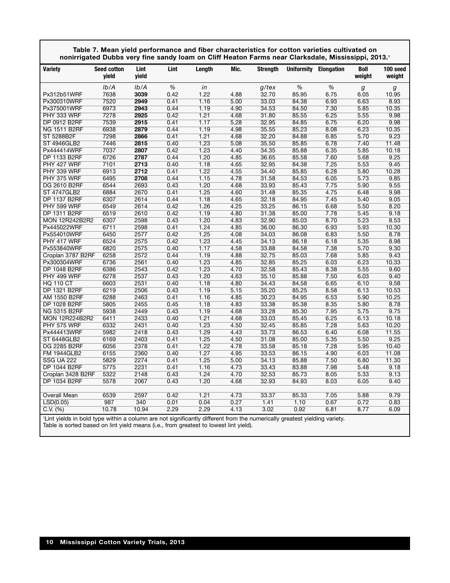| Lint<br>Lint<br><b>Strenath</b><br>Uniformity Elongation<br>Variety<br><b>Seed cotton</b><br>Length<br>Mic.<br>Boll<br>100 seed<br>yield<br>yield<br>weight<br>weight |  |
|-----------------------------------------------------------------------------------------------------------------------------------------------------------------------|--|
|                                                                                                                                                                       |  |
| $\%$<br>$\%$<br>$\%$<br>Ib/A<br>Ib/A<br>in<br>$g$ /tex<br>$\boldsymbol{g}$<br>$\boldsymbol{g}$                                                                        |  |
| 7638<br>3039<br>1.22<br>32.70<br>0.42<br>4.88<br>85.95<br>6.75<br>6.05<br>Px312b51WRF<br>10.95                                                                        |  |
| 7520<br>2949<br>0.41<br>1.16<br>5.00<br>33.03<br>84.38<br>6.93<br>8.93<br>Px300310WRF<br>6.63                                                                         |  |
| 6973<br>2943<br>0.44<br>1.19<br>4.90<br>34.53<br>7.30<br>10.35<br>Px375001WRF<br>84.50<br>5.85                                                                        |  |
| PHY 333 WRF<br>7278<br>2925<br>0.42<br>1.21<br>4.68<br>31.80<br>85.55<br>6.25<br>5.55<br>9.98                                                                         |  |
| 6.75<br><b>DP 0912 B2RF</b><br>7539<br>2915<br>0.41<br>1.17<br>5.28<br>32.95<br>6.20<br>9.98<br>84.85                                                                 |  |
| 6938<br>1.19<br><b>NG 1511 B2RF</b><br>2879<br>0.44<br>4.98<br>35.55<br>85.23<br>8.08<br>6.23<br>10.35                                                                |  |
| 7298<br>1.21<br>9.23<br>ST 5288B2F<br>2866<br>0.41<br>4.68<br>32.20<br>84.88<br>6.85<br>5.70                                                                          |  |
| 7446<br>2815<br>0.40<br>1.23<br>35.50<br>85.85<br>6.78<br>7.40<br>11.48<br><b>ST 4946GLB2</b><br>5.08                                                                 |  |
| 7037<br>2807<br>1.23<br>85.88<br>6.35<br>5.85<br>10.18<br>Px444414WRF<br>0.42<br>4.40<br>34.35                                                                        |  |
| 6726<br>2787<br>1.20<br>9.25<br><b>DP 1133 B2RF</b><br>0.44<br>4.85<br>36.65<br>85.58<br>7.60<br>5.68                                                                 |  |
| 2713<br>84.38<br>7.25<br>5.53<br>9.45<br>PHY 427 WRF<br>7101<br>0.40<br>1.18<br>4.65<br>32.95                                                                         |  |
| 6913<br>2712<br>1.22<br>6.28<br>PHY 339 WRF<br>0.41<br>4.55<br>34.40<br>85.85<br>5.80<br>10.28                                                                        |  |
| PHY 375 WRF<br>6495<br>2708<br>0.44<br>1.15<br>4.78<br>31.58<br>84.53<br>6.05<br>5.73<br>9.85                                                                         |  |
| 2693<br>1.20<br>7.75<br>DG 2610 B2RF<br>6544<br>0.43<br>4.68<br>33.93<br>85.43<br>5.90<br>9.55                                                                        |  |
| 6884<br>2670<br>1.25<br>4.60<br>4.75<br>9.98<br><b>ST 4747GLB2</b><br>0.41<br>31.48<br>85.35<br>6.48                                                                  |  |
| <b>DP 1137 B2RF</b><br>6307<br>2614<br>0.44<br>1.18<br>4.65<br>32.18<br>84.95<br>7.45<br>5.40<br>9.05                                                                 |  |
| 2614<br>86.15<br>PHY 599 WRF<br>6549<br>0.42<br>1.26<br>4.25<br>33.25<br>6.68<br>5.50<br>8.20                                                                         |  |
| <b>DP 1311 B2RF</b><br>6519<br>2610<br>0.42<br>1.19<br>4.80<br>31.38<br>85.00<br>7.78<br>5.45<br>9.18                                                                 |  |
| 2598<br>1.20<br>85.03<br>8.70<br>5.23<br>6307<br>0.43<br>4.83<br>32.90<br>8.53<br><b>MON 12R242B2R2</b>                                                               |  |
| 6711<br>2598<br>0.41<br>1.24<br>4.85<br>36.00<br>86.30<br>6.93<br>5.93<br>10.30<br>Px445022WRF                                                                        |  |
| 6450<br>2577<br>0.42<br>1.25<br>4.08<br>34.03<br>86.08<br>6.83<br>5.50<br>8.78<br>Px554010WRF                                                                         |  |
| 6524<br>2575<br>0.42<br>1.23<br>4.45<br>8.98<br>PHY 417 WRF<br>34.13<br>86.18<br>6.18<br>5.35                                                                         |  |
| 6820<br>2575<br>0.40<br>1.17<br>4.58<br>33.88<br>84.58<br>7.38<br>5.70<br>9.30<br>Px553840WRF                                                                         |  |
| 1.19<br>6258<br>2572<br>0.44<br>4.88<br>85.03<br>7.68<br>5.85<br>9.43<br>Croplan 3787 B2RF<br>32.75                                                                   |  |
| 1.23<br>6.03<br>10.33<br>6736<br>2561<br>0.40<br>4.85<br>32.85<br>85.25<br>6.23<br>Px300304WRF                                                                        |  |
| 6386<br>2543<br>0.42<br>1.23<br>4.70<br>32.58<br>85.43<br>8.38<br>5.55<br>9.60<br>DP 1048 B2RF                                                                        |  |
| 6278<br>2537<br>0.43<br>1.20<br>85.88<br>7.50<br>6.03<br>9.40<br>PHY 499 WRF<br>4.63<br>35.10                                                                         |  |
| 6603<br>2531<br>1.18<br>84.58<br>6.65<br>9.58<br><b>HQ 110 CT</b><br>0.40<br>4.80<br>34.43<br>6.10                                                                    |  |
| 6219<br>2506<br>1.19<br>85.25<br><b>DP 1321 B2RF</b><br>0.43<br>5.15<br>35.20<br>8.58<br>6.13<br>10.53                                                                |  |
| 6288<br>2463<br>1.16<br>4.85<br>30.23<br>5.90<br>10.25<br><b>AM 1550 B2RF</b><br>0.41<br>84.95<br>6.53                                                                |  |
| 2455<br><b>DP 1028 B2RF</b><br>5805<br>0.45<br>1.18<br>4.83<br>33.38<br>85.38<br>8.35<br>5.80<br>8.78                                                                 |  |
| 5938<br>2449<br>0.43<br>1.19<br>4.68<br>33.28<br>7.95<br>9.75<br><b>NG 5315 B2RF</b><br>85.30<br>5.75                                                                 |  |
| 1.21<br><b>MON 12R224B2R2</b><br>6411<br>2433<br>0.40<br>4.68<br>33.03<br>85.45<br>6.25<br>6.13<br>10.18                                                              |  |
| 6332<br>2431<br>0.40<br>1.23<br>7.28<br>5.63<br>10.20<br>PHY 575 WRF<br>4.50<br>32.45<br>85.85                                                                        |  |
| 1.29<br>Px444413WRF<br>5982<br>2418<br>0.43<br>4.43<br>33.73<br>86.53<br>6.40<br>6.08<br>11.55                                                                        |  |
| 5.35<br>9.25<br><b>ST 6448GLB2</b><br>6169<br>2403<br>0.41<br>1.25<br>4.50<br>31.08<br>85.00<br>5.50                                                                  |  |
| 2378<br>7.28<br><b>DG 2285 B2RF</b><br>6056<br>0.41<br>1.22<br>4.78<br>33.58<br>85.18<br>5.95<br>10.40                                                                |  |
| 6155<br>2360<br>1.27<br>86.15<br>4.90<br>11.08<br><b>FM 1944GLB2</b><br>0.40<br>4.95<br>33.53<br>6.03                                                                 |  |
| 5829<br>2274<br>1.25<br>5.00<br>34.13<br>85.88<br>7.50<br>6.80<br>11.30<br><b>SSG UA 222</b><br>0.41                                                                  |  |
| <b>DP 1044 B2RF</b><br>5775<br>2231<br>0.41<br>1.16<br>4.73<br>33.43<br>83.88<br>7.98<br>5.48<br>9.18                                                                 |  |
| 5322<br>2148<br>0.43<br>1.24<br>4.70<br>32.53<br>85.73<br>8.05<br>5.33<br>9.13<br>Croplan 3428 B2RF                                                                   |  |
| <b>DP 1034 B2RF</b><br>2067<br>0.43<br>1.20<br>84.93<br>9.40<br>5578<br>4.68<br>32.93<br>8.03<br>6.05                                                                 |  |
|                                                                                                                                                                       |  |
| 6539<br>2597<br>1.21<br>9.79<br><b>Overall Mean</b><br>0.42<br>4.73<br>33.37<br>85.33<br>7.05<br>5.88                                                                 |  |
| 340<br>0.04<br>0.27<br>1.41<br>0.67<br>0.83<br>987<br>0.01<br>1.10<br>0.72<br>LSD(0.05)                                                                               |  |
| 10.78<br>10.94<br>2.29<br>C.V. (%)<br>2.29<br>4.13<br>3.02<br>0.92<br>6.81<br>8.77<br>6.09<br>$\sim$ $\sim$ $\sim$<br>.                                               |  |

**Table 7. Mean yield performance and fiber characteristics for cotton varieties cultivated on nonirrigated Dubbs very fine sandy loam on Cliff Heaton Farms near Clarksdale, Mississippi, 2013.1**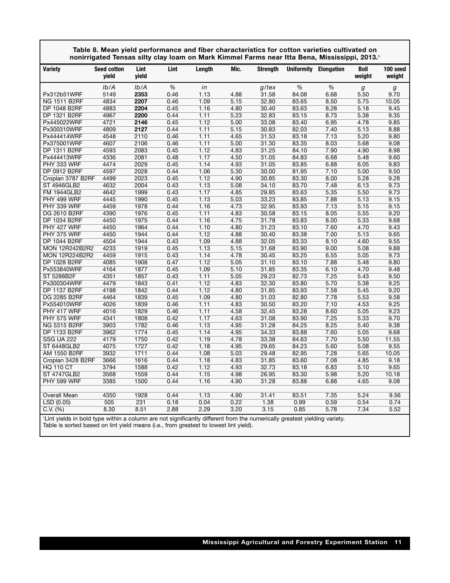|                       | nonirrigated Tensas silty clay loam on Mark Kimmel Farms near Itta Bena, Mississippi, 2013.1 |               |      |        |      |                 |       |                              |                |                    |
|-----------------------|----------------------------------------------------------------------------------------------|---------------|------|--------|------|-----------------|-------|------------------------------|----------------|--------------------|
| <b>Variety</b>        | <b>Seed cotton</b><br>yield                                                                  | Lint<br>yield | Lint | Length | Mic. | <b>Strength</b> |       | <b>Uniformity Elongation</b> | Boll<br>weight | 100 seed<br>weight |
|                       | Ib/A                                                                                         | Ib/A          | %    | in     |      | g/tex           | %     | %                            | g              | g                  |
| Px312b51WRF           | 5149                                                                                         | 2353          | 0.46 | 1.13   | 4.88 | 31.58           | 84.08 | 6.68                         | 5.50           | 9.70               |
| <b>NG 1511 B2RF</b>   | 4834                                                                                         | 2207          | 0.46 | 1.09   | 5.15 | 32.80           | 83.65 | 8.50                         | 5.75           | 10.05              |
| DP 1048 B2RF          | 4883                                                                                         | 2204          | 0.45 | 1.16   | 4.80 | 30.40           | 83.63 | 8.28                         | 5.18           | 9.45               |
| DP 1321 B2RF          | 4967                                                                                         | 2200          | 0.44 | 1.11   | 5.23 | 32.83           | 83.15 | 8.73                         | 5.38           | 9.35               |
| Px445022WRF           | 4721                                                                                         | 2146          | 0.45 | 1.12   | 5.00 | 33.08           | 83.40 | 6.95                         | 4.78           | 9.85               |
| Px300310WRF           | 4809                                                                                         | 2127          | 0.44 | 1.11   | 5.15 | 30.83           | 82.03 | 7.40                         | 5.13           | 8.88               |
| Px444414WRF           | 4548                                                                                         | 2110          | 0.46 | 1.11   | 4.65 | 31.53           | 83.18 | 7.13                         | 5.20           | 9.80               |
| Px375001WRF           | 4607                                                                                         | 2106          | 0.46 | 1.11   | 5.00 | 31.30           | 83.35 | 8.03                         | 5.68           | 9.08               |
| DP 1311 B2RF          | 4593                                                                                         | 2083          | 0.45 | 1.12   | 4.83 | 31.25           | 84.10 | 7.90                         | 4.90           | 8.98               |
| Px444413WRF           | 4336                                                                                         | 2081          | 0.48 | 1.17   | 4.50 | 31.05           | 84.83 | 6.68                         | 5.48           | 9.60               |
| PHY 333 WRF           | 4474                                                                                         | 2029          | 0.45 | 1.14   | 4.93 | 31.05           | 83.85 | 6.88                         | 6.05           | 9.83               |
| <b>DP 0912 B2RF</b>   | 4597                                                                                         | 2028          | 0.44 | 1.06   | 5.30 | 30.00           | 81.95 | 7.10                         | 5.00           | 9.50               |
| Croplan 3787 B2RF     | 4499                                                                                         | 2023          | 0.45 | 1.12   | 4.90 | 30.85           | 83.30 | 8.00                         | 5.28           | 9.28               |
| <b>ST 4946GLB2</b>    | 4632                                                                                         | 2004          | 0.43 | 1.13   | 5.08 | 34.10           | 83.70 | 7.48                         | 6.13           | 9.73               |
| <b>FM 1944GLB2</b>    | 4642                                                                                         | 1999          | 0.43 | 1.17   | 4.85 | 29.85           | 83.63 | 5.35                         | 5.50           | 9.73               |
| PHY 499 WRF           | 4445                                                                                         | 1990          | 0.45 | 1.13   | 5.03 | 33.23           | 83.85 | 7.88                         | 5.13           | 9.15               |
| PHY 339 WRF           | 4459                                                                                         | 1978          | 0.44 | 1.16   | 4.73 | 32.95           | 83.93 | 7.13                         | 5.15           | 9.15               |
| <b>DG 2610 B2RF</b>   | 4390                                                                                         | 1976          | 0.45 | 1.11   | 4.83 | 30.58           | 83.15 | 8.05                         | 5.55           | 9.20               |
| DP 1034 B2RF          | 4450                                                                                         | 1975          | 0.44 | 1.16   | 4.75 | 31.78           | 83.83 | 8.00                         | 5.33           | 9.68               |
| PHY 427 WRF           | 4450                                                                                         | 1964          | 0.44 | 1.10   | 4.80 | 31.23           | 83.10 | 7.60                         | 4.70           | 9.43               |
| PHY 375 WRF           | 4450                                                                                         | 1944          | 0.44 | 1.12   | 4.88 | 30.40           | 83.38 | 7.00                         | 5.13           | 9.65               |
| <b>DP 1044 B2RF</b>   | 4504                                                                                         | 1944          | 0.43 | 1.09   | 4.88 | 32.05           | 83.33 | 8.10                         | 4.60           | 9.55               |
| <b>MON 12R242B2R2</b> | 4233                                                                                         | 1919          | 0.45 | 1.13   | 5.15 | 31.68           | 83.90 | 9.00                         | 5.08           | 9.88               |
| <b>MON 12R224B2R2</b> | 4459                                                                                         | 1915          | 0.43 | 1.14   | 4.78 | 30.45           | 83.25 | 6.55                         | 5.05           | 9.73               |
| <b>DP 1028 B2RF</b>   | 4085                                                                                         | 1908          | 0.47 | 1.12   | 5.05 | 31.10           | 83.10 | 7.88                         | 5.48           | 9.80               |
| Px553840WRF           | 4164                                                                                         | 1877          | 0.45 | 1.09   | 5.10 | 31.85           | 83.35 | 6.10                         | 4.70           | 9.48               |
| ST 5288B2F            | 4351                                                                                         | 1857          | 0.43 | 1.11   | 5.05 | 29.23           | 82.73 | 7.25                         | 5.43           | 9.50               |
| Px300304WRF           | 4479                                                                                         | 1843          | 0.41 | 1.12   | 4.83 | 32.30           | 83.80 | 5.70                         | 5.38           | 9.25               |
| <b>DP 1137 B2RF</b>   | 4198                                                                                         | 1842          | 0.44 | 1.12   | 4.80 | 31.85           | 83.93 | 7.58                         | 5.45           | 9.20               |
| <b>DG 2285 B2RF</b>   | 4464                                                                                         | 1839          | 0.45 | 1.09   | 4.80 | 31.03           | 82.80 | 7.78                         | 5.53           | 9.58               |
| Px554010WRF           | 4026                                                                                         | 1839          | 0.46 | 1.11   | 4.83 | 30.50           | 83.20 | 7.10                         | 4.53           | 9.25               |
| PHY 417 WRF           | 4016                                                                                         | 1829          | 0.46 | 1.11   | 4.58 | 32.45           | 83.28 | 8.60                         | 5.05           | 9.23               |
| PHY 575 WRF           | 4341                                                                                         | 1808          | 0.42 | 1.17   | 4.63 | 31.08           | 83.90 | 7.25                         | 5.33           | 9.70               |
| NG 5315 B2RF          | 3903                                                                                         | 1782          | 0.46 | 1.13   | 4.95 | 31.28           | 84.25 | 8.25                         | 5.40           | 9.38               |
| <b>DP 1133 B2RF</b>   | 3962                                                                                         | 1774          | 0.45 | 1.14   | 4.95 | 34.33           | 83.88 | 7.60                         | 5.05           | 9.68               |
| <b>SSG UA 222</b>     | 4179                                                                                         | 1750          | 0.42 | 1.19   | 4.78 | 33.38           | 84.63 | 7.70                         | 5.50           | 11.55              |
| <b>ST 6448GLB2</b>    | 4075                                                                                         | 1727          | 0.42 | 1.18   | 4.95 | 29.65           | 84.23 | 5.60                         | 5.08           | 9.55               |
| AM 1550 B2RF          | 3932                                                                                         | 1711          | 0.44 | 1.08   | 5.03 | 29.48           | 82.95 | 7.28                         | 5.65           | 10.05              |
| Croplan 3428 B2RF     | 3666                                                                                         | 1616          | 0.44 | 1.18   | 4.83 | 31.85           | 83.60 | 7.08                         | 4.85           | 9.18               |
| <b>HQ 110 CT</b>      | 3794                                                                                         | 1588          | 0.42 | 1.12   | 4.93 | 32.73           | 83.18 | 6.83                         | 5.10           | 9.65               |
| <b>ST 4747GLB2</b>    | 3568                                                                                         | 1559          | 0.44 | 1.15   | 4.98 | 26.95           | 83.30 | 5.98                         | 5.20           | 10.18              |
| PHY 599 WRF           | 3385                                                                                         | 1500          | 0.44 | 1.16   | 4.90 | 31.28           | 83.88 | 6.88                         | 4.65           | 9.08               |
|                       |                                                                                              |               |      |        |      |                 |       |                              |                |                    |
| <b>Overall Mean</b>   | 4350                                                                                         | 1928          | 0.44 | 1.13   | 4.90 | 31.41           | 83.51 | 7.35                         | 5.24           | 9.56               |
| LSD (0.05)            | 505                                                                                          | 231           | 0.18 | 0.04   | 0.22 | 1.38            | 0.99  | 0.59                         | 0.54           | 0.74               |
| C.V. (%)              | 8.30                                                                                         | 8.51          | 2.88 | 2.29   | 3.20 | 3.15            | 0.85  | 5.78                         | 7.34           | 5.52               |
|                       |                                                                                              |               |      |        |      |                 |       |                              |                |                    |

**Table 8. Mean yield performance and fiber characteristics for cotton varieties cultivated on**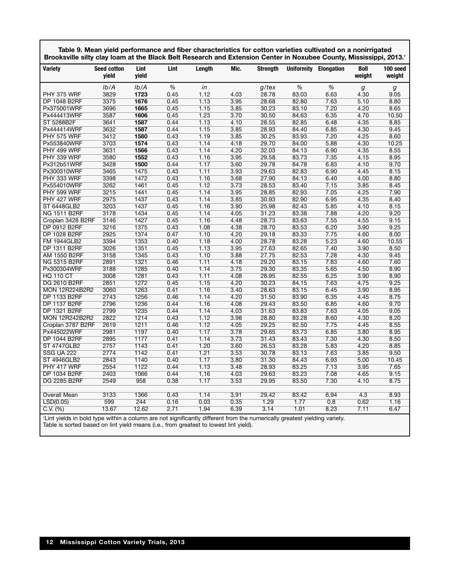| Table 9. Mean yield performance and fiber characteristics for cotton varieties cultivated on a nonirrigated       |
|-------------------------------------------------------------------------------------------------------------------|
| Brooksville silty clay loam at the Black Belt Research and Extension Center in Noxubee County, Mississippi, 2013. |

| <b>Variety</b>        | <b>Seed cotton</b><br>vield | Lint<br>vield | Lint | Length | Mic. | <b>Strength</b> |       | Uniformity Elongation | <b>Boll</b><br>weight | 100 seed<br>weight |
|-----------------------|-----------------------------|---------------|------|--------|------|-----------------|-------|-----------------------|-----------------------|--------------------|
|                       | Ib/A                        | Ib/A          | $\%$ | in     |      | g/tex           | $\%$  | $\%$                  | g                     |                    |
| PHY 375 WRF           | 3829                        | 1723          | 0.45 | 1.12   | 4.03 | 28.78           | 83.03 | 6.63                  | 4.30                  | g<br>9.05          |
| DP 1048 B2RF          | 3375                        | 1676          | 0.45 | 1.13   | 3.95 | 28.68           | 82.80 | 7.63                  | 5.10                  | 8.80               |
| Px375001WRF           | 3696                        | 1665          | 0.45 | 1.15   | 3.85 | 30.23           | 83.10 | 7.20                  | 4.20                  | 8.65               |
| Px444413WRF           | 3587                        | 1606          | 0.45 | 1.23   | 3.70 | 30.50           | 84.63 | 6.35                  | 4.70                  | 10.50              |
| ST 5288B2F            | 3641                        | 1587          | 0.44 | 1.13   | 4.10 | 28.55           | 82.85 | 6.48                  | 4.35                  | 8.85               |
| Px444414WRF           | 3632                        | 1587          | 0.44 | 1.15   | 3.85 | 28.93           | 84.40 | 6.85                  | 4.30                  | 9.45               |
| PHY 575 WRF           | 3412                        | 1580          | 0.43 | 1.19   | 3.85 | 30.25           | 83.93 | 7.20                  | 4.25                  | 8.60               |
| Px553840WRF           | 3703                        | 1574          | 0.43 | 1.14   | 4.18 | 29.70           | 84.00 | 5.88                  | 4.30                  | 10.25              |
| PHY 499 WRF           | 3631                        | 1566          | 0.43 | 1.14   | 4.20 | 32.03           | 84.13 | 6.90                  | 4.35                  | 8.55               |
| PHY 339 WRF           | 3580                        | 1552          | 0.43 | 1.16   | 3.95 | 29.58           | 83.73 | 7.35                  | 4.15                  | 8.95               |
| Px312b51WRF           | 3428                        | 1500          | 0.44 | 1.17   | 3.60 | 29.78           | 84.78 | 6.83                  | 4.10                  | 9.70               |
| Px300310WRF           | 3465                        | 1475          | 0.43 | 1.11   | 3.93 | 29.63           | 82.83 | 6.90                  | 4.45                  | 8.15               |
| PHY 333 WRF           | 3398                        | 1472          | 0.43 | 1.16   | 3.68 | 27.90           | 84.13 | 6.40                  | 4.00                  | 8.80               |
| Px554010WRF           | 3262                        | 1461          | 0.45 | 1.12   | 3.73 | 28.53           | 83.40 | 7.15                  | 3.85                  | 8.45               |
| <b>PHY 599 WRF</b>    | 3215                        | 1441          | 0.45 | 1.14   | 3.95 | 28.85           | 82.93 | 7.05                  | 4.25                  | 7.90               |
| PHY 427 WRF           | 2975                        | 1437          | 0.43 | 1.14   | 3.85 | 30.93           | 82.90 | 6.95                  | 4.35                  | 8.40               |
| <b>ST 6448GLB2</b>    | 3203                        | 1437          | 0.45 | 1.16   | 3.90 | 25.98           | 82.43 | 5.85                  | 4.10                  | 8.15               |
| <b>NG 1511 B2RF</b>   | 3178                        | 1434          | 0.45 | 1.14   | 4.05 | 31.23           | 83.38 | 7.88                  | 4.20                  | 9.20               |
| Croplan 3428 B2RF     | 3146                        | 1427          | 0.45 | 1.16   | 4.48 | 28.73           | 83.63 | 7.55                  | 4.55                  | 9.15               |
| DP 0912 B2RF          | 3216                        | 1375          | 0.43 | 1.08   | 4.38 | 28.70           | 83.53 | 6.20                  | 3.90                  | 9.25               |
| DP 1028 B2RF          | 2925                        | 1374          | 0.47 | 1.10   | 4.20 | 29.18           | 83.33 | 7.75                  | 4.60                  | 8.00               |
| <b>FM 1944GLB2</b>    | 3394                        | 1353          | 0.40 | 1.18   | 4.00 | 28.78           | 83.28 | 5.23                  | 4.60                  | 10.55              |
| DP 1311 B2RF          | 3026                        | 1351          | 0.45 | 1.13   | 3.95 | 27.63           | 82.65 | 7.40                  | 3.90                  | 8.50               |
| AM 1550 B2RF          | 3158                        | 1345          | 0.43 | 1.10   | 3.88 | 27.75           | 82.53 | 7.28                  | 4.30                  | 9.45               |
| <b>NG 5315 B2RF</b>   | 2891                        | 1321          | 0.46 | 1.11   | 4.18 | 29.20           | 83.15 | 7.83                  | 4.60                  | 7.60               |
| Px300304WRF           | 3188                        | 1285          | 0.40 | 1.14   | 3.75 | 29.30           | 83.35 | 5.65                  | 4.50                  | 8.90               |
| HQ 110 CT             | 3008                        | 1281          | 0.43 | 1.11   | 4.08 | 28.95           | 82.55 | 6.25                  | 3.90                  | 8.90               |
| <b>DG 2610 B2RF</b>   | 2851                        | 1272          | 0.45 | 1.15   | 4.20 | 30.23           | 84.15 | 7.63                  | 4.75                  | 9.25               |
| <b>MON 12R224B2R2</b> | 3060                        | 1263          | 0.41 | 1.16   | 3.40 | 28.63           | 83.15 | 6.45                  | 3.90                  | 8.95               |
| <b>DP 1133 B2RF</b>   | 2743                        | 1256          | 0.46 | 1.14   | 4.20 | 31.50           | 83.90 | 6.35                  | 4.45                  | 8.75               |
| <b>DP 1137 B2RF</b>   | 2796                        | 1236          | 0.44 | 1.16   | 4.08 | 29.43           | 83.50 | 6.85                  | 4.60                  | 9.70               |
| <b>DP 1321 B2RF</b>   | 2799                        | 1235          | 0.44 | 1.14   | 4.03 | 31.63           | 83.83 | 7.63                  | 4.05                  | 9.05               |
| <b>MON 12R242B2R2</b> | 2822                        | 1214          | 0.43 | 1.12   | 3.98 | 28.80           | 83.28 | 8.60                  | 4.30                  | 8.20               |
| Croplan 3787 B2RF     | 2619                        | 1211          | 0.46 | 1.12   | 4.05 | 29.25           | 82.50 | 7.75                  | 4.45                  | 8.55               |
| Px445022WRF           | 2981                        | 1197          | 0.40 | 1.17   | 3.78 | 29.65           | 83.73 | 6.85                  | 3.80                  | 8.95               |
| <b>DP 1044 B2RF</b>   | 2895                        | 1177          | 0.41 | 1.14   | 3.73 | 31.43           | 83.43 | 7.30                  | 4.30                  | 8.50               |
| <b>ST 4747GLB2</b>    | 2757                        | 1143          | 0.41 | 1.20   | 3.60 | 26.53           | 83.28 | 5.83                  | 4.20                  | 8.85               |
| <b>SSG UA 222</b>     | 2774                        | 1142          | 0.41 | 1.21   | 3.53 | 30.78           | 83.13 | 7.63                  | 3.85                  | 9.50               |
| ST 4946GLB2           | 2843                        | 1140          | 0.40 | 1.17   | 3.80 | 31.30           | 84.43 | 6.93                  | 5.00                  | 10.45              |
| PHY 417 WRF           | 2554                        | 1122          | 0.44 | 1.13   | 3.48 | 28.93           | 83.25 | 7.13                  | 3.95                  | 7.65               |
| DP 1034 B2RF          | 2403                        | 1066          | 0.44 | 1.16   | 4.03 | 29.63           | 83.23 | 7.08                  | 4.65                  | 9.15               |
| <b>DG 2285 B2RF</b>   | 2549                        | 958           | 0.38 | 1.17   | 3.53 | 29.95           | 83.50 | 7.30                  | 4.10                  | 8.75               |
| <b>Overall Mean</b>   | 3133                        | 1366          | 0.43 | 1.14   | 3.91 | 29.42           | 83.42 | 6.94                  | 4.3                   | 8.93               |
| LSD(0.05)             | 599                         | 244           | 0.16 | 0.03   | 0.35 | 1.29            | 1.77  | 0.8                   | 0.62                  | 1.16               |
| C.V. (%)              | 13.67                       | 12.62         | 2.71 | 1.94   | 6.39 | 3.14            | 1.01  | 8.23                  | 7.11                  | 6.47               |
|                       |                             |               |      |        |      |                 |       |                       |                       |                    |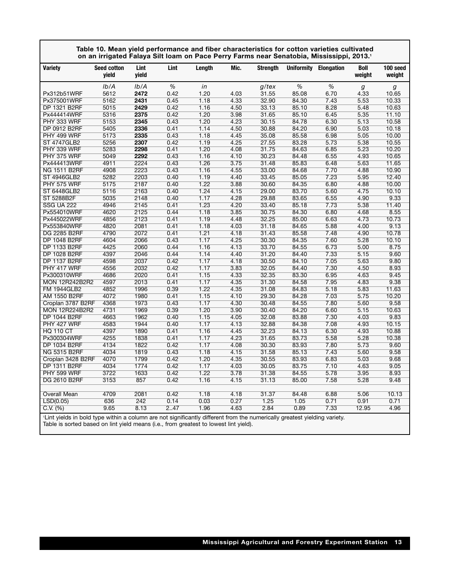|                                                                                                                          | Table 10. Mean yield performance and fiber characteristics for cotton varieties cultivated<br>on an irrigated Falaya Silt Ioam on Pace Perry Farms near Senatobia, Mississippi, 2013.1 |               |      |        |      |                 |       |                       |                       |                    |
|--------------------------------------------------------------------------------------------------------------------------|----------------------------------------------------------------------------------------------------------------------------------------------------------------------------------------|---------------|------|--------|------|-----------------|-------|-----------------------|-----------------------|--------------------|
| Variety                                                                                                                  | <b>Seed cotton</b><br>yield                                                                                                                                                            | Lint<br>yield | Lint | Length | Mic. | <b>Strength</b> |       | Uniformity Elongation | <b>Boll</b><br>weight | 100 seed<br>weight |
|                                                                                                                          | Ib/A                                                                                                                                                                                   | Ib/A          | $\%$ | in     |      | g/tex           | $\%$  | $\%$                  | g                     | g                  |
| Px312b51WRF                                                                                                              | 5612                                                                                                                                                                                   | 2472          | 0.42 | 1.20   | 4.03 | 31.55           | 85.08 | 6.70                  | 4.33                  | 10.65              |
| Px375001WRF                                                                                                              | 5162                                                                                                                                                                                   | 2431          | 0.45 | 1.18   | 4.33 | 32.90           | 84.30 | 7.43                  | 5.53                  | 10.33              |
| DP 1321 B2RF                                                                                                             | 5015                                                                                                                                                                                   | 2429          | 0.42 | 1.16   | 4.50 | 33.13           | 85.10 | 8.28                  | 5.48                  | 10.63              |
| Px444414WRF                                                                                                              | 5316                                                                                                                                                                                   | 2375          | 0.42 | 1.20   | 3.98 | 31.65           | 85.10 | 6.45                  | 5.35                  | 11.10              |
| PHY 333 WRF                                                                                                              | 5153                                                                                                                                                                                   | 2345          | 0.43 | 1.20   | 4.23 | 30.15           | 84.78 | 6.30                  | 5.13                  | 10.58              |
| DP 0912 B2RF                                                                                                             | 5405                                                                                                                                                                                   | 2336          | 0.41 | 1.14   | 4.50 | 30.88           | 84.20 | 6.90                  | 5.03                  | 10.18              |
| PHY 499 WRF                                                                                                              | 5173                                                                                                                                                                                   | 2335          | 0.43 | 1.18   | 4.45 | 35.08           | 85.58 | 6.98                  | 5.05                  | 10.00              |
| <b>ST 4747GLB2</b>                                                                                                       | 5256                                                                                                                                                                                   | 2307          | 0.42 | 1.19   | 4.25 | 27.55           | 83.28 | 5.73                  | 5.38                  | 10.55              |
| PHY 339 WRF                                                                                                              | 5283                                                                                                                                                                                   | 2298          | 0.41 | 1.20   | 4.08 | 31.75           | 84.63 | 6.85                  | 5.23                  | 10.20              |
| PHY 375 WRF                                                                                                              | 5049                                                                                                                                                                                   | 2292          | 0.43 | 1.16   | 4.10 | 30.23           | 84.48 | 6.55                  | 4.93                  | 10.65              |
| Px444413WRF                                                                                                              | 4911                                                                                                                                                                                   | 2224          | 0.43 | 1.26   | 3.75 | 31.48           | 85.83 | 6.48                  | 5.63                  | 11.65              |
| NG 1511 B2RF                                                                                                             | 4908                                                                                                                                                                                   | 2223          | 0.43 | 1.16   | 4.55 | 33.00           | 84.68 | 7.70                  | 4.88                  | 10.90              |
| <b>ST 4946GLB2</b>                                                                                                       | 5282                                                                                                                                                                                   | 2203          | 0.40 | 1.19   | 4.40 | 33.45           | 85.05 | 7.23                  | 5.95                  | 12.40              |
| PHY 575 WRF                                                                                                              | 5175                                                                                                                                                                                   | 2187          | 0.40 | 1.22   | 3.88 | 30.60           | 84.35 | 6.80                  | 4.88                  | 10.00              |
| ST 6448GLB2                                                                                                              | 5116                                                                                                                                                                                   | 2163          | 0.40 | 1.24   | 4.15 | 29.00           | 83.70 | 5.60                  | 4.75                  | 10.10              |
| ST 5288B2F                                                                                                               | 5035                                                                                                                                                                                   | 2148          | 0.40 | 1.17   | 4.28 | 29.88           | 83.65 | 6.55                  | 4.90                  | 9.33               |
| <b>SSG UA 222</b>                                                                                                        | 4946                                                                                                                                                                                   | 2145          | 0.41 | 1.23   | 4.20 | 33.40           | 85.18 | 7.73                  | 5.38                  | 11.40              |
| Px554010WRF                                                                                                              | 4620                                                                                                                                                                                   | 2125          | 0.44 | 1.18   | 3.85 | 30.75           | 84.30 | 6.80                  | 4.68                  | 8.55               |
| Px445022WRF                                                                                                              | 4856                                                                                                                                                                                   | 2123          | 0.41 | 1.19   | 4.48 | 32.25           | 85.00 | 6.63                  | 4.73                  | 10.73              |
| Px553840WRF                                                                                                              | 4820                                                                                                                                                                                   | 2081          | 0.41 | 1.18   | 4.03 | 31.18           | 84.65 | 5.88                  | 4.00                  | 9.13               |
| DG 2285 B2RF                                                                                                             | 4790                                                                                                                                                                                   | 2072          | 0.41 | 1.21   | 4.18 | 31.43           | 85.58 | 7.48                  | 4.90                  | 10.78              |
| DP 1048 B2RF                                                                                                             | 4604                                                                                                                                                                                   | 2066          | 0.43 | 1.17   | 4.25 | 30.30           | 84.35 | 7.60                  | 5.28                  | 10.10              |
| DP 1133 B2RF                                                                                                             | 4425                                                                                                                                                                                   | 2060          | 0.44 | 1.16   | 4.13 | 33.70           | 84.55 | 6.73                  | 5.00                  | 8.75               |
| DP 1028 B2RF                                                                                                             | 4397                                                                                                                                                                                   | 2046          | 0.44 | 1.14   | 4.40 | 31.20           | 84.40 | 7.33                  | 5.15                  | 9.60               |
| DP 1137 B2RF                                                                                                             | 4598                                                                                                                                                                                   | 2037          | 0.42 | 1.17   | 4.18 | 30.50           | 84.10 | 7.05                  | 5.63                  | 9.80               |
| PHY 417 WRF                                                                                                              | 4556                                                                                                                                                                                   | 2032          | 0.42 | 1.17   | 3.83 | 32.05           | 84.40 | 7.30                  | 4.50                  | 8.93               |
| Px300310WRF                                                                                                              | 4686                                                                                                                                                                                   | 2020          | 0.41 | 1.15   | 4.33 | 32.35           | 83.30 | 6.95                  | 4.63                  | 9.45               |
| <b>MON 12R242B2R2</b>                                                                                                    | 4597                                                                                                                                                                                   | 2013          | 0.41 | 1.17   | 4.35 | 31.30           | 84.58 | 7.95                  | 4.83                  | 9.38               |
| <b>FM 1944GLB2</b>                                                                                                       | 4852                                                                                                                                                                                   | 1996          | 0.39 | 1.22   | 4.35 | 31.08           | 84.83 | 5.18                  | 5.83                  | 11.63              |
| AM 1550 B2RF                                                                                                             | 4072                                                                                                                                                                                   | 1980          | 0.41 | 1.15   | 4.10 | 29.30           | 84.28 | 7.03                  | 5.75                  | 10.20              |
| Croplan 3787 B2RF                                                                                                        | 4368                                                                                                                                                                                   | 1973          | 0.43 | 1.17   | 4.30 | 30.48           | 84.55 | 7.80                  | 5.60                  | 9.58               |
| <b>MON 12R224B2R2</b>                                                                                                    | 4731                                                                                                                                                                                   | 1969          | 0.39 | 1.20   | 3.90 | 30.40           | 84.20 | 6.60                  | 5.15                  | 10.63              |
| DP 1044 B2RF                                                                                                             | 4663                                                                                                                                                                                   | 1962          | 0.40 | 1.15   | 4.05 | 32.08           | 83.88 | 7.30                  | 4.03                  | 9.83               |
| PHY 427 WRF                                                                                                              | 4583                                                                                                                                                                                   | 1944          | 0.40 | 1.17   | 4.13 | 32.88           | 84.38 | 7.08                  | 4.93                  | 10.15              |
| <b>HQ 110 CT</b>                                                                                                         | 4397                                                                                                                                                                                   | 1890          | 0.41 | 1.16   | 4.45 | 32.23           | 84.13 | 6.30                  | 4.93                  | 10.88              |
| Px300304WRF                                                                                                              | 4255                                                                                                                                                                                   | 1838          | 0.41 | 1.17   | 4.23 | 31.65           | 83.73 | 5.58                  | 5.28                  | 10.38              |
| <b>DP 1034 B2RF</b>                                                                                                      | 4134                                                                                                                                                                                   | 1822          | 0.42 | 1.17   | 4.08 | 30.30           | 83.93 | 7.80                  | 5.73                  | 9.60               |
| <b>NG 5315 B2RF</b>                                                                                                      | 4034                                                                                                                                                                                   | 1819          | 0.43 | 1.18   | 4.15 | 31.58           | 85.13 | 7.43                  | 5.60                  | 9.58               |
| Croplan 3428 B2RF                                                                                                        | 4070                                                                                                                                                                                   | 1799          | 0.42 | 1.20   | 4.35 | 30.55           | 83.93 | 6.83                  | 5.03                  | 9.68               |
| <b>DP 1311 B2RF</b>                                                                                                      | 4034                                                                                                                                                                                   | 1774          | 0.42 | 1.17   | 4.03 | 30.05           | 83.75 | 7.10                  | 4.63                  | 9.05               |
| PHY 599 WRF                                                                                                              | 3722                                                                                                                                                                                   | 1633          | 0.42 | 1.22   | 3.78 | 31.38           | 84.55 | 5.78                  | 3.95                  | 8.93               |
| DG 2610 B2RF                                                                                                             | 3153                                                                                                                                                                                   | 857           | 0.42 | 1.16   | 4.15 | 31.13           | 85.00 | 7.58                  | 5.28                  | 9.48               |
|                                                                                                                          |                                                                                                                                                                                        |               |      |        |      |                 |       |                       |                       |                    |
| <b>Overall Mean</b>                                                                                                      | 4709                                                                                                                                                                                   | 2081          | 0.42 | 1.18   | 4.18 | 31.37           | 84.48 | 6.88                  | 5.06                  | 10.13              |
| LSD(0.05)                                                                                                                | 636                                                                                                                                                                                    | 242           | 0.14 | 0.03   | 0.27 | 1.25            | 1.05  | 0.71                  | 0.91                  | 0.71               |
| C.V. (%)                                                                                                                 | 9.65                                                                                                                                                                                   | 8.13          | 247  | 1.96   | 4.63 | 2.84            | 0.89  | 7.33                  | 12.95                 | 4.96               |
| If interiode in hold two within a column are not oignificantly different from the numerically areatent violding variety. |                                                                                                                                                                                        |               |      |        |      |                 |       |                       |                       |                    |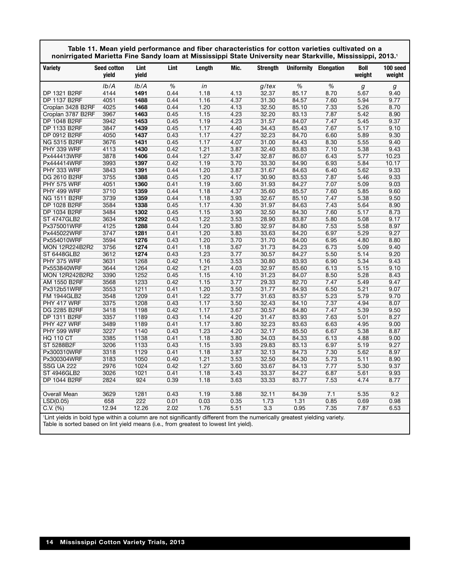| nonirrigated Marietta Fine Sandy Ioam at Mississippi State University near Starkville, Mississippi, 2013.1              | Table 11. Mean yield performance and fiber characteristics for cotton varieties cultivated on a |               |      |        |      |                 |       |                              |                |                    |
|-------------------------------------------------------------------------------------------------------------------------|-------------------------------------------------------------------------------------------------|---------------|------|--------|------|-----------------|-------|------------------------------|----------------|--------------------|
| <b>Variety</b>                                                                                                          | <b>Seed cotton</b><br>vield                                                                     | Lint<br>vield | Lint | Length | Mic. | <b>Strength</b> |       | <b>Uniformity Elongation</b> | Boll<br>weight | 100 seed<br>weight |
|                                                                                                                         | Ib/A                                                                                            | Ib/A          | %    | in     |      | g/tex           | %     | %                            | g              | g                  |
| DP 1321 B2RF                                                                                                            | 4144                                                                                            | 1491          | 0.44 | 1.18   | 4.13 | 32.37           | 85.17 | 8.70                         | 5.67           | 9.40               |
| <b>DP 1137 B2RF</b>                                                                                                     | 4051                                                                                            | 1488          | 0.44 | 1.16   | 4.37 | 31.30           | 84.57 | 7.60                         | 5.94           | 9.77               |
| Croplan 3428 B2RF                                                                                                       | 4025                                                                                            | 1468          | 0.44 | 1.20   | 4.13 | 32.50           | 85.10 | 7.33                         | 5.26           | 8.70               |
| Croplan 3787 B2RF                                                                                                       | 3967                                                                                            | 1463          | 0.45 | 1.15   | 4.23 | 32.20           | 83.13 | 7.87                         | 5.42           | 8.90               |
| <b>DP 1048 B2RF</b>                                                                                                     | 3942                                                                                            | 1453          | 0.45 | 1.19   | 4.23 | 31.57           | 84.07 | 7.47                         | 5.45           | 9.37               |
| DP 1133 B2RF                                                                                                            | 3847                                                                                            | 1439          | 0.45 | 1.17   | 4.40 | 34.43           | 85.43 | 7.67                         | 5.17           | 9.10               |
| DP 0912 B2RF                                                                                                            | 4050                                                                                            | 1437          | 0.43 | 1.17   | 4.27 | 32.23           | 84.70 | 6.60                         | 5.89           | 9.30               |
| <b>NG 5315 B2RF</b>                                                                                                     | 3676                                                                                            | 1431          | 0.45 | 1.17   | 4.07 | 31.00           | 84.43 | 8.30                         | 5.55           | 9.40               |
| PHY 339 WRF                                                                                                             | 4113                                                                                            | 1430          | 0.42 | 1.21   | 3.87 | 32.40           | 83.83 | 7.10                         | 5.38           | 9.43               |
| Px444413WRF                                                                                                             | 3878                                                                                            | 1406          | 0.44 | 1.27   | 3.47 | 32.87           | 86.07 | 6.43                         | 5.77           | 10.23              |
| Px444414WRF                                                                                                             | 3993                                                                                            | 1397          | 0.42 | 1.19   | 3.70 | 33.30           | 84.90 | 6.93                         | 5.84           | 10.17              |
| PHY 333 WRF                                                                                                             | 3843                                                                                            | 1391          | 0.44 | 1.20   | 3.87 | 31.67           | 84.63 | 6.40                         | 5.62           | 9.33               |
| DG 2610 B2RF                                                                                                            | 3755                                                                                            | 1388          | 0.45 | 1.20   | 4.17 | 30.90           | 83.53 | 7.87                         | 5.46           | 9.33               |
| PHY 575 WRF                                                                                                             | 4051                                                                                            | 1360          | 0.41 | 1.19   | 3.60 | 31.93           | 84.27 | 7.07                         | 5.09           | 9.03               |
| PHY 499 WRF                                                                                                             | 3710                                                                                            | 1359          | 0.44 | 1.18   | 4.37 | 35.60           | 85.57 | 7.60                         | 5.85           | 9.60               |
| <b>NG 1511 B2RF</b>                                                                                                     | 3739                                                                                            | 1359          | 0.44 | 1.18   | 3.93 | 32.67           | 85.10 | 7.47                         | 5.38           | 9.50               |
| DP 1028 B2RF                                                                                                            | 3584                                                                                            | 1338          | 0.45 | 1.17   | 4.30 | 31.97           | 84.63 | 7.43                         | 5.64           | 8.90               |
| DP 1034 B2RF                                                                                                            | 3484                                                                                            | 1302          | 0.45 | 1.15   | 3.90 | 32.50           | 84.30 | 7.60                         | 5.17           | 8.73               |
| <b>ST 4747GLB2</b>                                                                                                      | 3634                                                                                            | 1292          | 0.43 | 1.22   | 3.53 | 28.90           | 83.87 | 5.80                         | 5.08           | 9.17               |
| Px375001WRF                                                                                                             | 4125                                                                                            | 1288          | 0.44 | 1.20   | 3.80 | 32.97           | 84.80 | 7.53                         | 5.58           | 8.97               |
| Px445022WRF                                                                                                             | 3747                                                                                            | 1281          | 0.41 | 1.20   | 3.83 | 33.63           | 84.20 | 6.97                         | 5.29           | 9.27               |
| Px554010WRF                                                                                                             | 3594                                                                                            | 1276          | 0.43 | 1.20   | 3.70 | 31.70           | 84.00 | 6.95                         | 4.80           | 8.80               |
| <b>MON 12R224B2R2</b>                                                                                                   | 3756                                                                                            | 1274          | 0.41 | 1.18   | 3.67 | 31.73           | 84.23 | 6.73                         | 5.09           | 9.40               |
| ST 6448GLB2                                                                                                             | 3612                                                                                            | 1274          | 0.43 | 1.23   | 3.77 | 30.57           | 84.27 | 5.50                         | 5.14           | 9.20               |
| PHY 375 WRF                                                                                                             | 3631                                                                                            | 1268          | 0.42 | 1.16   | 3.53 | 30.80           | 83.93 | 6.90                         | 5.34           | 9.43               |
| Px553840WRF                                                                                                             | 3644                                                                                            | 1264          | 0.42 | 1.21   | 4.03 | 32.97           | 85.60 | 6.13                         | 5.15           | 9.10               |
| <b>MON 12R242B2R2</b>                                                                                                   | 3390                                                                                            | 1252          | 0.45 | 1.15   | 4.10 | 31.23           | 84.07 | 8.50                         | 5.28           | 8.43               |
| AM 1550 B2RF                                                                                                            | 3568                                                                                            | 1233          | 0.42 | 1.15   | 3.77 | 29.33           | 82.70 | 7.47                         | 5.49           | 9.47               |
| Px312b51WRF                                                                                                             | 3553                                                                                            | 1211          | 0.41 | 1.20   | 3.50 | 31.77           | 84.93 | 6.50                         | 5.21           | 9.07               |
| <b>FM 1944GLB2</b>                                                                                                      | 3548                                                                                            | 1209          | 0.41 | 1.22   | 3.77 | 31.63           | 83.57 | 5.23                         | 5.79           | 9.70               |
| PHY 417 WRF                                                                                                             | 3375                                                                                            | 1208          | 0.43 | 1.17   | 3.50 | 32.43           | 84.10 | 7.37                         | 4.94           | 8.07               |
| <b>DG 2285 B2RF</b>                                                                                                     | 3418                                                                                            | 1198          | 0.42 | 1.17   | 3.67 | 30.57           | 84.80 | 7.47                         | 5.39           | 9.50               |
| DP 1311 B2RF                                                                                                            | 3357                                                                                            | 1189          | 0.43 | 1.14   | 4.20 | 31.47           | 83.93 | 7.63                         | 5.01           | 8.27               |
| PHY 427 WRF                                                                                                             | 3489                                                                                            | 1189          | 0.41 | 1.17   | 3.80 | 32.23           | 83.63 | 6.63                         | 4.95           | 9.00               |
| PHY 599 WRF                                                                                                             | 3227                                                                                            | 1140          | 0.43 | 1.23   | 4.20 | 32.17           | 85.50 | 6.67                         | 5.38           | 8.87               |
| <b>HQ 110 CT</b>                                                                                                        | 3385                                                                                            | 1138          | 0.41 | 1.18   | 3.80 | 34.03           | 84.33 | 6.13                         | 4.88           | 9.00               |
| ST 5288B2F                                                                                                              | 3206                                                                                            | 1133          | 0.43 | 1.15   | 3.93 | 29.83           | 83.13 | 6.97                         | 5.19           | 9.27               |
| Px300310WRF                                                                                                             | 3318                                                                                            | 1129          | 0.41 | 1.18   | 3.87 | 32.13           | 84.73 | 7.30                         | 5.62           | 8.97               |
| Px300304WRF                                                                                                             | 3183                                                                                            | 1050          | 0.40 | 1.21   | 3.53 | 32.50           | 84.30 | 5.73                         | 5.11           | 8.90               |
| <b>SSG UA 222</b>                                                                                                       | 2976                                                                                            | 1024          | 0.42 | 1.27   | 3.60 | 33.67           | 84.13 | 7.77                         | 5.30           | 9.37               |
| <b>ST 4946GLB2</b>                                                                                                      | 3026                                                                                            | 1021          | 0.41 | 1.18   | 3.43 | 33.37           | 84.27 | 6.87                         | 5.61           | 9.93               |
| DP 1044 B2RF                                                                                                            | 2824                                                                                            | 924           | 0.39 | 1.18   | 3.63 | 33.33           | 83.77 | 7.53                         | 4.74           | 8.77               |
|                                                                                                                         |                                                                                                 |               |      |        |      |                 |       |                              |                |                    |
| Overall Mean                                                                                                            | 3629                                                                                            | 1281          | 0.43 | 1.19   | 3.88 | 32.11           | 84.39 | 7.1                          | 5.35           | 9.2                |
| LSD(0.05)                                                                                                               | 658                                                                                             | 222           | 0.01 | 0.03   | 0.35 | 1.73            | 1.31  | 0.85                         | 0.69           | 0.98               |
| C.V. (%)                                                                                                                | 12.94                                                                                           | 12.26         | 2.02 | 1.76   | 5.51 | 3.3             | 0.95  | 7.35                         | 7.87           | 6.53               |
| If interior in bold type within a column are not significantly different from the numerically greatest vielding variety |                                                                                                 |               |      |        |      |                 |       |                              |                |                    |

'Lint yields in bold type within a column are not significantly different from the numerically greatest yielding variety. Table is sorted based on lint yield means (i.e., from greatest to lowest lint yield).

Г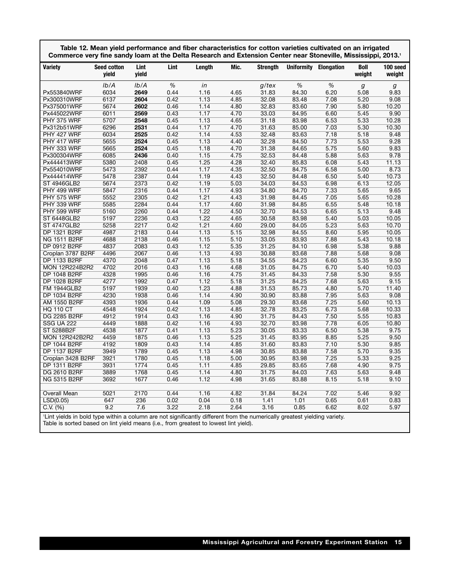| Commerce very fine sandy loam at the Delta Research and Extension Center near Stoneville, Mississippi, 2013.1 | Table 12. Mean yield performance and fiber characteristics for cotton varieties cultivated on an irrigated |               |      |        |      |                 |                   |            |                       |                    |
|---------------------------------------------------------------------------------------------------------------|------------------------------------------------------------------------------------------------------------|---------------|------|--------|------|-----------------|-------------------|------------|-----------------------|--------------------|
| <b>Variety</b>                                                                                                | <b>Seed cotton</b><br>yield                                                                                | Lint<br>yield | Lint | Length | Mic. | <b>Strength</b> | <b>Uniformity</b> | Elongation | <b>Boll</b><br>weight | 100 seed<br>weight |
|                                                                                                               | Ib/A                                                                                                       | Ib/A          | %    | in     |      | g/tex           | $\%$              | %          | g                     | g                  |
| Px553840WRF                                                                                                   | 6034                                                                                                       | 2649          | 0.44 | 1.16   | 4.65 | 31.83           | 84.30             | 6.20       | 5.08                  | 9.83               |
| Px300310WRF                                                                                                   | 6137                                                                                                       | 2604          | 0.42 | 1.13   | 4.85 | 32.08           | 83.48             | 7.08       | 5.20                  | 9.08               |
| Px375001WRF                                                                                                   | 5674                                                                                                       | 2602          | 0.46 | 1.14   | 4.80 | 32.83           | 83.60             | 7.90       | 5.80                  | 10.20              |
| Px445022WRF                                                                                                   | 6011                                                                                                       | 2569          | 0.43 | 1.17   | 4.70 | 33.03           | 84.95             | 6.60       | 5.45                  | 9.90               |
| PHY 375 WRF                                                                                                   | 5707                                                                                                       | 2548          | 0.45 | 1.13   | 4.65 | 31.18           | 83.98             | 6.53       | 5.33                  | 10.28              |
| Px312b51WRF                                                                                                   | 6296                                                                                                       | 2531          | 0.44 | 1.17   | 4.70 | 31.63           | 85.00             | 7.03       | 5.30                  | 10.30              |
| PHY 427 WRF                                                                                                   | 6034                                                                                                       | 2525          | 0.42 | 1.14   | 4.53 | 32.48           | 83.63             | 7.18       | 5.18                  | 9.48               |
| PHY 417 WRF                                                                                                   | 5655                                                                                                       | 2524          | 0.45 | 1.13   | 4.40 | 32.28           | 84.50             | 7.73       | 5.53                  | 9.28               |
| PHY 333 WRF                                                                                                   | 5665                                                                                                       | 2524          | 0.45 | 1.18   | 4.70 | 31.38           | 84.65             | 5.75       | 5.60                  | 9.83               |
| Px300304WRF                                                                                                   | 6085                                                                                                       | 2436          | 0.40 | 1.15   | 4.75 | 32.53           | 84.48             | 5.88       | 5.63                  | 9.78               |
| Px444413WRF                                                                                                   | 5380                                                                                                       | 2408          | 0.45 | 1.25   | 4.28 | 32.40           | 85.83             | 6.08       | 5.43                  | 11.13              |
| Px554010WRF                                                                                                   | 5473                                                                                                       | 2392          | 0.44 | 1.17   | 4.35 | 32.50           | 84.75             | 6.58       | 5.00                  | 8.73               |
| Px444414WRF                                                                                                   | 5478                                                                                                       | 2387          | 0.44 | 1.19   | 4.43 | 32.50           | 84.48             | 6.50       | 5.40                  | 10.73              |
| <b>ST 4946GLB2</b>                                                                                            | 5674                                                                                                       | 2373          | 0.42 | 1.19   | 5.03 | 34.03           | 84.53             | 6.98       | 6.13                  | 12.05              |
| PHY 499 WRF                                                                                                   | 5847                                                                                                       | 2316          | 0.44 | 1.17   | 4.93 | 34.80           | 84.70             | 7.33       | 5.65                  | 9.65               |
| PHY 575 WRF                                                                                                   | 5552                                                                                                       | 2305          | 0.42 | 1.21   | 4.43 | 31.98           | 84.45             | 7.05       | 5.65                  | 10.28              |
| PHY 339 WRF                                                                                                   | 5585                                                                                                       | 2284          | 0.44 | 1.17   | 4.60 | 31.98           | 84.85             | 6.55       | 5.48                  | 10.18              |
| PHY 599 WRF                                                                                                   | 5160                                                                                                       | 2260          | 0.44 | 1.22   | 4.50 | 32.70           | 84.53             | 6.65       | 5.13                  | 9.48               |
| ST 6448GLB2                                                                                                   | 5197                                                                                                       | 2236          | 0.43 | 1.22   | 4.65 | 30.58           | 83.98             | 5.40       | 5.03                  | 10.05              |
| <b>ST 4747GLB2</b>                                                                                            | 5258                                                                                                       | 2217          | 0.42 | 1.21   | 4.60 | 29.00           | 84.05             | 5.23       | 5.63                  | 10.70              |
| DP 1321 B2RF                                                                                                  | 4987                                                                                                       | 2183          | 0.44 | 1.13   | 5.15 | 32.98           | 84.55             | 8.60       | 5.95                  | 10.05              |
| NG 1511 B2RF                                                                                                  | 4688                                                                                                       | 2138          | 0.46 | 1.15   | 5.10 | 33.05           | 83.93             | 7.88       | 5.43                  | 10.18              |
| <b>DP 0912 B2RF</b>                                                                                           | 4837                                                                                                       | 2083          | 0.43 | 1.12   | 5.35 | 31.25           | 84.10             | 6.98       | 5.38                  | 9.88               |
| Croplan 3787 B2RF                                                                                             | 4496                                                                                                       | 2067          | 0.46 | 1.13   | 4.93 | 30.88           | 83.68             | 7.88       | 5.68                  | 9.08               |
| <b>DP 1133 B2RF</b>                                                                                           | 4370                                                                                                       | 2048          | 0.47 | 1.13   | 5.18 | 34.55           | 84.23             | 6.60       | 5.35                  | 9.50               |
| <b>MON 12R224B2R2</b>                                                                                         | 4702                                                                                                       | 2016          | 0.43 | 1.16   | 4.68 | 31.05           | 84.75             | 6.70       | 5.40                  | 10.03              |
| DP 1048 B2RF                                                                                                  | 4328                                                                                                       | 1995          | 0.46 | 1.16   | 4.75 | 31.45           | 84.33             | 7.58       | 5.30                  | 9.55               |
| DP 1028 B2RF                                                                                                  | 4277                                                                                                       | 1992          | 0.47 | 1.12   | 5.18 | 31.25           | 84.25             | 7.68       | 5.63                  | 9.15               |
| <b>FM 1944GLB2</b>                                                                                            | 5197                                                                                                       | 1939          | 0.40 | 1.23   | 4.88 | 31.53           | 85.73             | 4.80       | 5.70                  | 11.40              |
| <b>DP 1034 B2RF</b>                                                                                           | 4230                                                                                                       | 1938          | 0.46 | 1.14   | 4.90 | 30.90           | 83.88             | 7.95       | 5.63                  | 9.08               |
| AM 1550 B2RF                                                                                                  | 4393                                                                                                       | 1936          | 0.44 | 1.09   | 5.08 | 29.30           | 83.68             | 7.25       | 5.60                  | 10.13              |
| <b>HQ 110 CT</b>                                                                                              | 4548                                                                                                       | 1924          | 0.42 | 1.13   | 4.85 | 32.78           | 83.25             | 6.73       | 5.68                  | 10.33              |
| DG 2285 B2RF                                                                                                  | 4912                                                                                                       | 1914          | 0.43 | 1.16   | 4.90 | 31.75           | 84.43             | 7.50       | 5.55                  | 10.83              |
| <b>SSG UA 222</b>                                                                                             | 4449                                                                                                       | 1888          | 0.42 | 1.16   | 4.93 | 32.70           | 83.98             | 7.78       | 6.05                  | 10.80              |
| ST 5288B2F                                                                                                    | 4538                                                                                                       | 1877          | 0.41 | 1.13   | 5.23 | 30.05           | 83.33             | 6.50       | 5.38                  | 9.75               |
| <b>MON 12R242B2R2</b>                                                                                         | 4459                                                                                                       | 1875          | 0.46 | 1.13   | 5.25 | 31.45           | 83.95             | 8.85       | 5.25                  | 9.50               |
| <b>DP 1044 B2RF</b>                                                                                           | 4192                                                                                                       | 1809          | 0.43 | 1.14   | 4.85 | 31.60           | 83.83             | 7.10       | 5.30                  | 9.85               |
| <b>DP 1137 B2RF</b>                                                                                           | 3949                                                                                                       | 1789          | 0.45 | 1.13   | 4.98 | 30.85           | 83.88             | 7.58       | 5.70                  | 9.35               |
| Croplan 3428 B2RF                                                                                             | 3921                                                                                                       | 1780          | 0.45 | 1.18   | 5.00 | 30.95           | 83.98             | 7.25       | 5.33                  | 9.25               |
| DP 1311 B2RF                                                                                                  | 3931                                                                                                       | 1774          | 0.45 | 1.11   | 4.85 | 29.85           | 83.65             | 7.68       | 4.90                  | 9.75               |
| <b>DG 2610 B2RF</b>                                                                                           | 3889                                                                                                       | 1768          | 0.45 | 1.14   | 4.80 | 31.75           | 84.03             | 7.63       | 5.63                  | 9.48               |
| <b>NG 5315 B2RF</b>                                                                                           | 3692                                                                                                       | 1677          | 0.46 | 1.12   | 4.98 | 31.65           | 83.88             | 8.15       | 5.18                  | 9.10               |
|                                                                                                               |                                                                                                            |               |      |        |      |                 |                   |            |                       |                    |
| Overall Mean                                                                                                  | 5021                                                                                                       | 2170          | 0.44 | 1.16   | 4.82 | 31.84           | 84.24             | 7.02       | 5.46                  | 9.92               |
| LSD(0.05)                                                                                                     | 647                                                                                                        | 236           | 0.02 | 0.04   | 0.18 | 1.41            | 1.01              | 0.65       | 0.61                  | 0.83               |
| C.V. (%)                                                                                                      | 9.2                                                                                                        | 7.6           | 3.22 | 2.18   | 2.64 | 3.16            | 0.85              | 6.62       | 8.02                  | 5.97               |
|                                                                                                               |                                                                                                            |               |      |        |      |                 |                   |            |                       |                    |

Table is sorted based on lint yield means (i.e., from greatest to lowest lint yield).

Г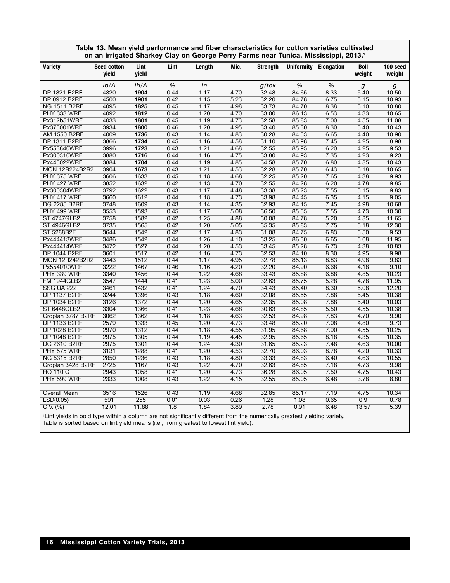|                                                                                                                           | Table 13. Mean yield performance and fiber characteristics for cotton varieties cultivated<br>on an irrigated Sharkey Clay on George Perry Farms near Tunica, Mississippi, 2013.1 |               |              |              |              |                |                |                       |                |                    |
|---------------------------------------------------------------------------------------------------------------------------|-----------------------------------------------------------------------------------------------------------------------------------------------------------------------------------|---------------|--------------|--------------|--------------|----------------|----------------|-----------------------|----------------|--------------------|
| <b>Variety</b>                                                                                                            | <b>Seed cotton</b><br>yield                                                                                                                                                       | Lint<br>yield | Lint         | Lenath       | Mic.         | Strenath       |                | Uniformity Elongation | Boll<br>weight | 100 seed<br>weight |
|                                                                                                                           | lb/A                                                                                                                                                                              | Ib/A          | $\%$         | in           |              | g/tex          | %              | $\%$                  | g              | g                  |
| DP 1321 B2RF                                                                                                              | 4320                                                                                                                                                                              | 1904          | 0.44         | 1.17         | 4.70         | 32.48          | 84.65          | 8.33                  | 5.40           | 10.50              |
| DP 0912 B2RF                                                                                                              | 4500                                                                                                                                                                              | 1901          | 0.42         | 1.15         | 5.23         | 32.20          | 84.78          | 6.75                  | 5.15           | 10.93              |
| <b>NG 1511 B2RF</b>                                                                                                       | 4095                                                                                                                                                                              | 1825          | 0.45         | 1.17         | 4.98         | 33.73          | 84.70          | 8.38                  | 5.10           | 10.80              |
| PHY 333 WRF                                                                                                               | 4092                                                                                                                                                                              | 1812          | 0.44         | 1.20         | 4.70         | 33.00          | 86.13          | 6.53                  | 4.33           | 10.65              |
| Px312b51WRF                                                                                                               | 4033                                                                                                                                                                              | 1801          | 0.45         | 1.19         | 4.73         | 32.58          | 85.83          | 7.00                  | 4.55           | 11.08              |
| Px375001WRF                                                                                                               | 3934                                                                                                                                                                              | 1800          | 0.46         | 1.20         | 4.95         | 33.40          | 85.30          | 8.30                  | 5.40           | 10.43              |
| AM 1550 B2RF                                                                                                              | 4009                                                                                                                                                                              | 1736          | 0.43         | 1.14         | 4.83         | 30.28          | 84.53          | 6.65                  | 4.40           | 10.90              |
| DP 1311 B2RF                                                                                                              | 3866                                                                                                                                                                              | 1734          | 0.45         | 1.16         | 4.58         | 31.10          | 83.98          | 7.45                  | 4.25           | 8.98               |
| Px553840WRF                                                                                                               | 3996                                                                                                                                                                              | 1723          | 0.43         | 1.21         | 4.68         | 32.55          | 85.95          | 6.20                  | 4.25           | 9.53               |
| Px300310WRF                                                                                                               | 3880                                                                                                                                                                              | 1716          | 0.44         | 1.16         | 4.75         | 33.80          | 84.93          | 7.35                  | 4.23           | 9.23               |
| Px445022WRF                                                                                                               | 3884                                                                                                                                                                              | 1704          | 0.44         | 1.19         | 4.85         | 34.58          | 85.70          | 6.80                  | 4.85           | 10.43              |
| <b>MON 12R224B2R2</b>                                                                                                     | 3904                                                                                                                                                                              | 1673          | 0.43         | 1.21         | 4.53         | 32.28          | 85.70          | 6.43                  | 5.18           | 10.65              |
| PHY 375 WRF                                                                                                               | 3606                                                                                                                                                                              | 1633          | 0.45         | 1.18         | 4.68         | 32.25          | 85.20          | 7.65                  | 4.38           | 9.93               |
| PHY 427 WRF                                                                                                               | 3852                                                                                                                                                                              | 1632          | 0.42         | 1.13         | 4.70         | 32.55          | 84.28          | 6.20                  | 4.78           | 9.85               |
| Px300304WRF                                                                                                               | 3792                                                                                                                                                                              | 1622          | 0.43         | 1.17         | 4.48         | 33.38          | 85.23          | 7.55                  | 5.15           | 9.83               |
| PHY 417 WRF                                                                                                               | 3660                                                                                                                                                                              | 1612          | 0.44         | 1.18         | 4.73         | 33.98          | 84.45          | 6.35                  | 4.15           | 9.05               |
| <b>DG 2285 B2RF</b>                                                                                                       | 3748                                                                                                                                                                              | 1609          | 0.43         | 1.14         | 4.35         | 32.93          | 84.15          | 7.45                  | 4.98           | 10.68              |
| PHY 499 WRF                                                                                                               | 3553                                                                                                                                                                              | 1593          | 0.45         | 1.17         | 5.08         | 36.50          | 85.55          | 7.55                  | 4.73           | 10.30              |
| <b>ST 4747GLB2</b>                                                                                                        | 3758                                                                                                                                                                              | 1582          | 0.42         | 1.25         | 4.88         | 30.08          | 84.78          | 5.20                  | 4.85           | 11.65              |
| <b>ST 4946GLB2</b>                                                                                                        | 3735                                                                                                                                                                              | 1565          | 0.42         | 1.20         | 5.05         | 35.35          | 85.83          | 7.75                  | 5.18           | 12.30              |
| ST 5288B2F                                                                                                                | 3644                                                                                                                                                                              | 1542          | 0.42         | 1.17         | 4.83         | 31.08          | 84.75          | 6.83                  | 5.50           | 9.53               |
| Px444413WRF                                                                                                               | 3486                                                                                                                                                                              | 1542          | 0.44         | 1.26         | 4.10<br>4.53 | 33.25          | 86.30          | 6.65                  | 5.08           | 11.95              |
| Px444414WRF                                                                                                               | 3472                                                                                                                                                                              | 1527          | 0.44<br>0.42 | 1.20         | 4.73         | 33.45          | 85.28          | 6.73                  | 4.38<br>4.95   | 10.83<br>9.98      |
| DP 1044 B2RF<br><b>MON 12R242B2R2</b>                                                                                     | 3601<br>3443                                                                                                                                                                      | 1517<br>1512  | 0.44         | 1.16<br>1.17 | 4.95         | 32.53<br>32.78 | 84.10<br>85.13 | 8.30<br>8.83          | 4.98           | 9.83               |
| Px554010WRF                                                                                                               | 3222                                                                                                                                                                              | 1467          | 0.46         | 1.16         | 4.20         | 32.20          | 84.90          | 6.68                  | 4.18           | 9.10               |
| PHY 339 WRF                                                                                                               | 3340                                                                                                                                                                              | 1456          | 0.44         | 1.22         | 4.68         | 33.43          | 85.88          | 6.88                  | 4.85           | 10.23              |
| <b>FM 1944GLB2</b>                                                                                                        | 3547                                                                                                                                                                              | 1444          | 0.41         | 1.23         | 5.00         | 32.63          | 85.75          | 5.28                  | 4.78           | 11.95              |
| <b>SSG UA 222</b>                                                                                                         | 3461                                                                                                                                                                              | 1432          | 0.41         | 1.24         | 4.70         | 34.43          | 85.40          | 8.30                  | 5.08           | 12.20              |
| <b>DP 1137 B2RF</b>                                                                                                       | 3244                                                                                                                                                                              | 1396          | 0.43         | 1.18         | 4.60         | 32.08          | 85.55          | 7.88                  | 5.45           | 10.38              |
| <b>DP 1034 B2RF</b>                                                                                                       | 3126                                                                                                                                                                              | 1372          | 0.44         | 1.20         | 4.65         | 32.35          | 85.08          | 7.88                  | 5.40           | 10.03              |
| <b>ST 6448GLB2</b>                                                                                                        | 3304                                                                                                                                                                              | 1366          | 0.41         | 1.23         | 4.68         | 30.63          | 84.85          | 5.50                  | 4.55           | 10.38              |
| Croplan 3787 B2RF                                                                                                         | 3062                                                                                                                                                                              | 1362          | 0.44         | 1.18         | 4.63         | 32.53          | 84.98          | 7.83                  | 4.70           | 9.90               |
| DP 1133 B2RF                                                                                                              | 2579                                                                                                                                                                              | 1333          | 0.45         | 1.20         | 4.73         | 33.48          | 85.20          | 7.08                  | 4.80           | 9.73               |
| DP 1028 B2RF                                                                                                              | 2970                                                                                                                                                                              | 1312          | 0.44         | 1.18         | 4.55         | 31.95          | 84.68          | 7.90                  | 4.55           | 10.25              |
| DP 1048 B2RF                                                                                                              | 2975                                                                                                                                                                              | 1305          | 0.44         | 1.19         | 4.45         | 32.95          | 85.65          | 8.18                  | 4.35           | 10.35              |
| DG 2610 B2RF                                                                                                              | 2975                                                                                                                                                                              | 1301          | 0.44         | 1.24         | 4.30         | 31.65          | 85.23          | 7.48                  | 4.63           | 10.00              |
| PHY 575 WRF                                                                                                               | 3131                                                                                                                                                                              | 1288          | 0.41         | 1.20         | 4.53         | 32.70          | 86.03          | 8.78                  | 4.20           | 10.33              |
| <b>NG 5315 B2RF</b>                                                                                                       | 2850                                                                                                                                                                              | 1236          | 0.43         | 1.18         | 4.80         | 33.33          | 84.83          | 6.40                  | 4.63           | 10.55              |
| Croplan 3428 B2RF                                                                                                         | 2725                                                                                                                                                                              | 1167          | 0.43         | 1.22         | 4.70         | 32.63          | 84.85          | 7.18                  | 4.73           | 9.98               |
| <b>HQ 110 CT</b>                                                                                                          | 2943                                                                                                                                                                              | 1058          | 0.41         | 1.20         | 4.73         | 36.28          | 86.05          | 7.50                  | 4.75           | 10.43              |
| PHY 599 WRF                                                                                                               | 2333                                                                                                                                                                              | 1008          | 0.43         | 1.22         | 4.15         | 32.55          | 85.05          | 6.48                  | 3.78           | 8.80               |
|                                                                                                                           |                                                                                                                                                                                   |               |              |              |              |                |                |                       |                |                    |
| Overall Mean                                                                                                              | 3516                                                                                                                                                                              | 1526          | 0.43         | 1.19         | 4.68         | 32.85          | 85.17          | 7.19                  | 4.75           | 10.34              |
| LSD(0.05)                                                                                                                 | 591                                                                                                                                                                               | 255           | 0.01         | 0.03         | 0.26         | 1.28           | 1.08           | 0.65                  | 0.9            | 0.78               |
| C.V. (%)                                                                                                                  | 12.01                                                                                                                                                                             | 11.88         | 1.8          | 1.84         | 3.89         | 2.78           | 0.91           | 6.48                  | 13.57          | 5.39               |
| If intevialds in bold type within a column are not significantly different from the numerically greatest violding variety |                                                                                                                                                                                   |               |              |              |              |                |                |                       |                |                    |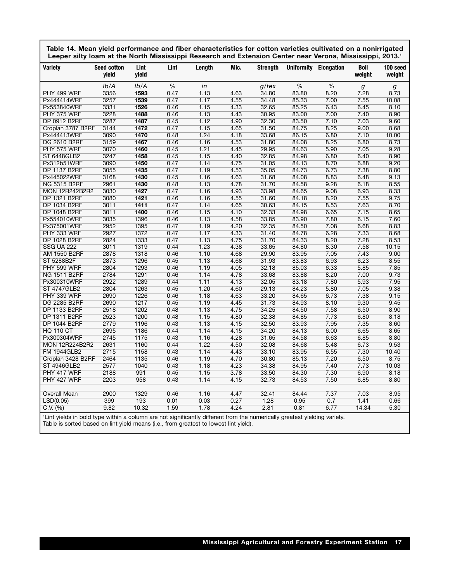| Table 14. Mean yield performance and fiber characteristics for cotton varieties cultivated on a nonirrigated |
|--------------------------------------------------------------------------------------------------------------|
| Leeper silty loam at the North Mississippi Research and Extension Center near Verona, Mississippi, 2013.1    |

| <b>Variety</b>                                  | <b>Seed cotton</b><br>yield | Lint<br>yield | Lint         | Length                                                                        | Mic.         | <b>Strength</b> | <b>Uniformity</b> | <b>Elongation</b> | Boll<br>weight | 100 seed<br>weight |
|-------------------------------------------------|-----------------------------|---------------|--------------|-------------------------------------------------------------------------------|--------------|-----------------|-------------------|-------------------|----------------|--------------------|
|                                                 |                             |               |              |                                                                               |              |                 |                   |                   |                |                    |
|                                                 | Ib/A                        | Ib/A          | $\%$         | in                                                                            |              | $g$ /tex        | %                 | $\%$              | g              | g                  |
| PHY 499 WRF                                     | 3356                        | 1593          | 0.47         | 1.13                                                                          | 4.63         | 34.80           | 83.80             | 8.20              | 7.28           | 8.73               |
| Px444414WRF                                     | 3257                        | 1539<br>1526  | 0.47         | 1.17                                                                          | 4.55         | 34.48           | 85.33             | 7.00              | 7.55           | 10.08              |
| Px553840WRF                                     | 3331                        |               | 0.46         | 1.15                                                                          | 4.33         | 32.65           | 85.25             | 6.43              | 6.45           | 8.10               |
| PHY 375 WRF                                     | 3228                        | 1488          | 0.46         | 1.13                                                                          | 4.43         | 30.95           | 83.00             | 7.00              | 7.40           | 8.90               |
| DP 0912 B2RF                                    | 3287                        | 1487          | 0.45         | 1.12                                                                          | 4.90         | 32.30           | 83.50             | 7.10              | 7.03           | 9.60               |
| Croplan 3787 B2RF                               | 3144                        | 1472          | 0.47         | 1.15                                                                          | 4.65         | 31.50           | 84.75             | 8.25              | 9.00           | 8.68               |
| Px444413WRF<br><b>DG 2610 B2RF</b>              | 3090                        | 1470<br>1467  | 0.48         | 1.24                                                                          | 4.18         | 33.68           | 86.15             | 6.80              | 7.10           | 10.00              |
|                                                 | 3159                        | 1460          | 0.46         | 1.16<br>1.21                                                                  | 4.53<br>4.45 | 31.80           | 84.08             | 8.25              | 6.80<br>7.05   | 8.73<br>9.28       |
| PHY 575 WRF                                     | 3070<br>3247                | 1458          | 0.45<br>0.45 | 1.15                                                                          | 4.40         | 29.95<br>32.85  | 84.63<br>84.98    | 5.90<br>6.80      | 6.40           | 8.90               |
| ST 6448GLB2                                     |                             | 1450          |              | 1.14                                                                          | 4.75         |                 |                   | 8.70              | 6.88           | 9.20               |
| Px312b51WRF                                     | 3090                        | 1435          | 0.47         | 1.19                                                                          | 4.53         | 31.05           | 84.13             |                   | 7.38           |                    |
| <b>DP 1137 B2RF</b><br>Px445022WRF              | 3055<br>3168                | 1430          | 0.47         |                                                                               | 4.63         | 35.05           | 84.73<br>84.08    | 6.73              |                | 8.80<br>9.13       |
|                                                 |                             |               | 0.45         | 1.16                                                                          |              | 31.68           |                   | 8.83              | 6.48           |                    |
| <b>NG 5315 B2RF</b>                             | 2961                        | 1430          | 0.48         | 1.13                                                                          | 4.78         | 31.70           | 84.58             | 9.28              | 6.18           | 8.55               |
| <b>MON 12R242B2R2</b>                           | 3030                        | 1427          | 0.47         | 1.16                                                                          | 4.93         | 33.98           | 84.65             | 9.08              | 6.93           | 8.33               |
| DP 1321 B2RF                                    | 3080                        | 1421          | 0.46         | 1.16                                                                          | 4.55         | 31.60           | 84.18             | 8.20              | 7.55           | 9.75               |
| DP 1034 B2RF                                    | 3011                        | 1411          | 0.47         | 1.14<br>1.15                                                                  | 4.65         | 30.63           | 84.15             | 8.53              | 7.63           | 8.70               |
| DP 1048 B2RF                                    | 3011                        | 1400          | 0.46         |                                                                               | 4.10         | 32.33           | 84.98             | 6.65              | 7.15           | 8.65               |
| Px554010WRF                                     | 3035                        | 1396          | 0.46         | 1.13                                                                          | 4.58         | 33.85           | 83.90             | 7.80              | 6.15           | 7.60               |
| Px375001WRF                                     | 2952                        | 1395          | 0.47         | 1.19                                                                          | 4.20         | 32.35           | 84.50             | 7.08              | 6.68           | 8.83               |
| PHY 333 WRF                                     | 2927                        | 1372          | 0.47         | 1.17<br>1.13                                                                  | 4.33         | 31.40           | 84.78             | 6.28<br>8.20      | 7.33<br>7.28   | 8.68               |
| DP 1028 B2RF                                    | 2824                        | 1333          | 0.47         |                                                                               | 4.75         | 31.70           | 84.33             |                   |                | 8.53               |
| <b>SSG UA 222</b>                               | 3011                        | 1319          | 0.44         | 1.23                                                                          | 4.38         | 33.65           | 84.80             | 8.30              | 7.58           | 10.15              |
| <b>AM 1550 B2RF</b>                             | 2878                        | 1318          | 0.46         | 1.10                                                                          | 4.68         | 29.90           | 83.95             | 7.05              | 7.43           | 9.00               |
| ST 5288B2F                                      | 2873                        | 1296          | 0.45         | 1.13                                                                          | 4.68         | 31.93           | 83.83             | 6.93              | 6.23           | 8.55               |
| PHY 599 WRF                                     | 2804                        | 1293          | 0.46         | 1.19                                                                          | 4.05         | 32.18           | 85.03             | 6.33              | 5.85           | 7.85               |
| <b>NG 1511 B2RF</b>                             | 2784                        | 1291          | 0.46         | 1.14                                                                          | 4.78         | 33.68           | 83.88             | 8.20              | 7.00           | 9.73               |
| Px300310WRF                                     | 2922                        | 1289          | 0.44         | 1.11                                                                          | 4.13         | 32.05           | 83.18             | 7.80              | 5.93           | 7.95               |
| <b>ST 4747GLB2</b>                              | 2804                        | 1263          | 0.45         | 1.20                                                                          | 4.60         | 29.13           | 84.23             | 5.80              | 7.05           | 9.38               |
| PHY 339 WRF                                     | 2690                        | 1226          | 0.46         | 1.18                                                                          | 4.63         | 33.20           | 84.65             | 6.73              | 7.38           | 9.15               |
| DG 2285 B2RF                                    | 2690                        | 1217          | 0.45         | 1.19                                                                          | 4.45         | 31.73           | 84.93             | 8.10              | 9.30           | 9.45               |
| DP 1133 B2RF                                    | 2518                        | 1202          | 0.48         | 1.13                                                                          | 4.75         | 34.25           | 84.50             | 7.58              | 6.50           | 8.90               |
| DP 1311 B2RF                                    | 2523                        | 1200          | 0.48         | 1.15                                                                          | 4.80         | 32.38           | 84.85             | 7.73              | 6.80           | 8.18               |
| DP 1044 B2RF                                    | 2779                        | 1196          | 0.43         | 1.13                                                                          | 4.15         | 32.50           | 83.93             | 7.95              | 7.35           | 8.60               |
| <b>HQ 110 CT</b>                                | 2695                        | 1186          | 0.44         | 1.14                                                                          | 4.15         | 34.20           | 84.13             | 6.00              | 6.65           | 8.65               |
| Px300304WRF                                     | 2745                        | 1175          | 0.43         | 1.16                                                                          | 4.28         | 31.65           | 84.58             | 6.63              | 6.85           | 8.80               |
| <b>MON 12R224B2R2</b>                           | 2631                        | 1160          | 0.44         | 1.22                                                                          | 4.50         | 32.08           | 84.68             | 5.48              | 6.73           | 9.53               |
| <b>FM 1944GLB2</b>                              | 2715                        | 1158          | 0.43         | 1.14                                                                          | 4.43         | 33.10           | 83.95             | 6.55              | 7.30           | 10.40              |
| Croplan 3428 B2RF                               | 2464                        | 1135          | 0.46         | 1.19                                                                          | 4.70         | 30.80           | 85.13             | 7.20              | 6.50           | 8.75               |
| <b>ST 4946GLB2</b>                              | 2577                        | 1040          | 0.43         | 1.18                                                                          | 4.23         | 34.38           | 84.95             | 7.40              | 7.73           | 10.03              |
| PHY 417 WRF                                     | 2188                        | 991           | 0.45         | 1.15                                                                          | 3.78         | 33.50           | 84.30             | 7.30              | 6.90           | 8.18               |
| PHY 427 WRF                                     | 2203                        | 958           | 0.43         | 1.14                                                                          | 4.15         | 32.73           | 84.53             | 7.50              | 6.85           | 8.80               |
| Overall Mean                                    | 2900                        | 1329          | 0.46         | 1.16                                                                          | 4.47         | 32.41           | 84.44             | 7.37              | 7.03           | 8.95               |
| LSD(0.05)                                       | 399                         | 193           | 0.01         | 0.03                                                                          | 0.27         | 1.28            | 0.95              | 0.7               | 1.41           | 0.66               |
| C.V. (%)                                        | 9.82                        | 10.32         | 1.59         | 1.78                                                                          | 4.24         | 2.81            | 0.81              | 6.77              | 14.34          | 5.30               |
| 11 interiolate in hold temperature of only mon- |                             |               |              | are not oing tiggether different from the numerically quested, delivery under |              |                 |                   |                   |                |                    |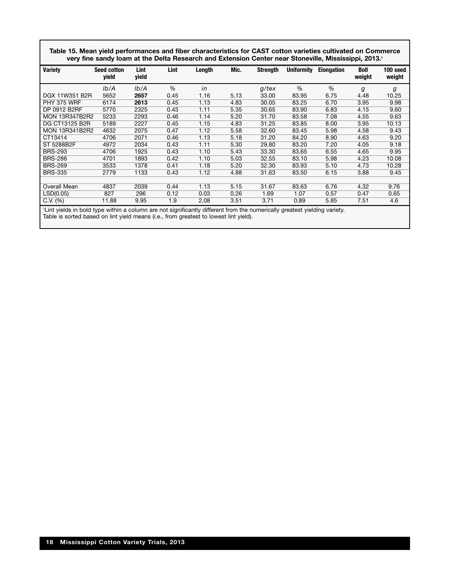**Table 15. Mean yield performances and fiber characteristics for CAST cotton varieties cultivated on Commerce very fine sandy loam at the Delta Research and Extension Center near Stoneville, Mississippi, 2013.1**

| <b>Variety</b>                                                                                                            | <b>Seed cotton</b><br>yield | Lint<br>yield | Lint | Length | Mic. | <b>Strength</b> | <b>Uniformity</b> | <b>Elongation</b> | <b>Boll</b><br>weight | 100 seed<br>weight |
|---------------------------------------------------------------------------------------------------------------------------|-----------------------------|---------------|------|--------|------|-----------------|-------------------|-------------------|-----------------------|--------------------|
|                                                                                                                           | lb/A                        | Ib/A          | $\%$ | in     |      | $g$ /tex        | %                 | %                 | g                     | g                  |
| DGX 11W351 B2R                                                                                                            | 5652                        | 2657          | 0.45 | 1.16   | 5.13 | 33.00           | 83.95             | 6.75              | 4.48                  | 10.25              |
| PHY 375 WRF                                                                                                               | 6174                        | 2613          | 0.45 | 1.13   | 4.83 | 30.05           | 83.25             | 6.70              | 3.95                  | 9.98               |
| DP 0912 B2RF                                                                                                              | 5770                        | 2325          | 0.43 | 1.11   | 5.35 | 30.65           | 83.90             | 6.83              | 4.15                  | 9.60               |
| <b>MON 13R347B2R2</b>                                                                                                     | 5233                        | 2293          | 0.46 | 1.14   | 5.20 | 31.70           | 83.58             | 7.08              | 4.55                  | 9.63               |
| DG CT13125 B2R                                                                                                            | 5189                        | 2227          | 0.45 | 1.15   | 4.83 | 31.25           | 83.85             | 8.00              | 3.95                  | 10.13              |
| <b>MON 13R341B2R2</b>                                                                                                     | 4632                        | 2075          | 0.47 | 1.12   | 5.58 | 32.60           | 83.45             | 5.98              | 4.58                  | 9.43               |
| CT13414                                                                                                                   | 4706                        | 2071          | 0.46 | 1.13   | 5.18 | 31.20           | 84.20             | 8.90              | 4.63                  | 9.20               |
| ST 5288B2F                                                                                                                | 4972                        | 2034          | 0.43 | 1.11   | 5.30 | 29.80           | 83.20             | 7.20              | 4.05                  | 9.18               |
| <b>BRS-293</b>                                                                                                            | 4706                        | 1925          | 0.43 | 1.10   | 5.43 | 33.30           | 83.65             | 6.55              | 4.65                  | 9.95               |
| <b>BRS-286</b>                                                                                                            | 4701                        | 1893          | 0.42 | 1.10   | 5.03 | 32.55           | 83.10             | 5.98              | 4.23                  | 10.08              |
| <b>BRS-269</b>                                                                                                            | 3533                        | 1378          | 0.41 | 1.18   | 5.20 | 32.30           | 83.93             | 5.10              | 4.73                  | 10.28              |
| <b>BRS-335</b>                                                                                                            | 2779                        | 1133          | 0.43 | 1.12   | 4.88 | 31.63           | 83.50             | 6.15              | 3.88                  | 9.45               |
|                                                                                                                           |                             |               |      |        |      |                 |                   |                   |                       |                    |
| Overall Mean                                                                                                              | 4837                        | 2039          | 0.44 | 1.13   | 5.15 | 31.67           | 83.63             | 6.76              | 4.32                  | 9.76               |
| LSD(0.05)                                                                                                                 | 827                         | 296           | 0.12 | 0.03   | 0.26 | 1.69            | 1.07              | 0.57              | 0.47                  | 0.65               |
| $C.V.$ $(\%)$                                                                                                             | 11.88                       | 9.95          | 1.9  | 2.08   | 3.51 | 3.71            | 0.89              | 5.85              | 7.51                  | 4.6                |
| 'Lint yields in bold type within a column are not significantly different from the numerically greatest yielding variety. |                             |               |      |        |      |                 |                   |                   |                       |                    |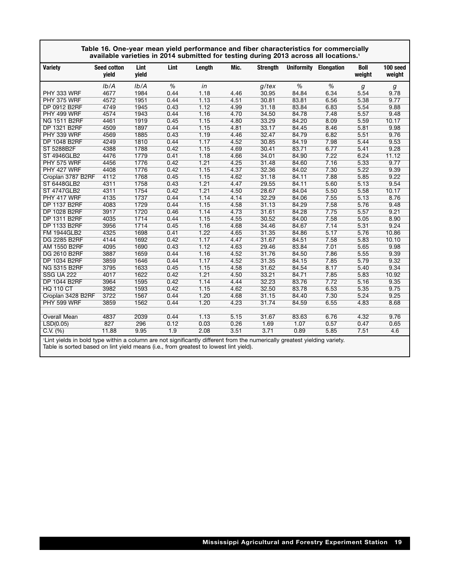|                     | Table 16. One-year mean yield performance and fiber characteristics for commercially<br>available varieties in 2014 submitted for testing during 2013 across all locations. <sup>1</sup> |               |      |        |      |                 |                   |                   |                       |                    |
|---------------------|------------------------------------------------------------------------------------------------------------------------------------------------------------------------------------------|---------------|------|--------|------|-----------------|-------------------|-------------------|-----------------------|--------------------|
| <b>Variety</b>      | <b>Seed cotton</b><br>vield                                                                                                                                                              | Lint<br>vield | Lint | Length | Mic. | <b>Strength</b> | <b>Uniformity</b> | <b>Elongation</b> | <b>Boll</b><br>weight | 100 seed<br>weight |
|                     | Ib/A                                                                                                                                                                                     | Ib/A          | %    | in     |      | $q$ /tex        | %                 | %                 | $\boldsymbol{g}$      | g                  |
| PHY 333 WRF         | 4677                                                                                                                                                                                     | 1984          | 0.44 | 1.18   | 4.46 | 30.95           | 84.84             | 6.34              | 5.54                  | 9.78               |
| PHY 375 WRF         | 4572                                                                                                                                                                                     | 1951          | 0.44 | 1.13   | 4.51 | 30.81           | 83.81             | 6.56              | 5.38                  | 9.77               |
| DP 0912 B2RF        | 4749                                                                                                                                                                                     | 1945          | 0.43 | 1.12   | 4.99 | 31.18           | 83.84             | 6.83              | 5.54                  | 9.88               |
| PHY 499 WRF         | 4574                                                                                                                                                                                     | 1943          | 0.44 | 1.16   | 4.70 | 34.50           | 84.78             | 7.48              | 5.57                  | 9.48               |
| <b>NG 1511 B2RF</b> | 4461                                                                                                                                                                                     | 1919          | 0.45 | 1.15   | 4.80 | 33.29           | 84.20             | 8.09              | 5.59                  | 10.17              |
| DP 1321 B2RF        | 4509                                                                                                                                                                                     | 1897          | 0.44 | 1.15   | 4.81 | 33.17           | 84.45             | 8.46              | 5.81                  | 9.98               |
| PHY 339 WRF         | 4569                                                                                                                                                                                     | 1885          | 0.43 | 1.19   | 4.46 | 32.47           | 84.79             | 6.82              | 5.51                  | 9.76               |
| <b>DP 1048 B2RF</b> | 4249                                                                                                                                                                                     | 1810          | 0.44 | 1.17   | 4.52 | 30.85           | 84.19             | 7.98              | 5.44                  | 9.53               |
| ST 5288B2F          | 4388                                                                                                                                                                                     | 1788          | 0.42 | 1.15   | 4.69 | 30.41           | 83.71             | 6.77              | 5.41                  | 9.28               |
| <b>ST 4946GLB2</b>  | 4476                                                                                                                                                                                     | 1779          | 0.41 | 1.18   | 4.66 | 34.01           | 84.90             | 7.22              | 6.24                  | 11.12              |
| PHY 575 WRF         | 4456                                                                                                                                                                                     | 1776          | 0.42 | 1.21   | 4.25 | 31.48           | 84.60             | 7.16              | 5.33                  | 9.77               |
| PHY 427 WRF         | 4408                                                                                                                                                                                     | 1776          | 0.42 | 1.15   | 4.37 | 32.36           | 84.02             | 7.30              | 5.22                  | 9.39               |
| Croplan 3787 B2RF   | 4112                                                                                                                                                                                     | 1768          | 0.45 | 1.15   | 4.62 | 31.18           | 84.11             | 7.88              | 5.85                  | 9.22               |
| <b>ST 6448GLB2</b>  | 4311                                                                                                                                                                                     | 1758          | 0.43 | 1.21   | 4.47 | 29.55           | 84.11             | 5.60              | 5.13                  | 9.54               |
| <b>ST 4747GLB2</b>  | 4311                                                                                                                                                                                     | 1754          | 0.42 | 1.21   | 4.50 | 28.67           | 84.04             | 5.50              | 5.58                  | 10.17              |
| PHY 417 WRF         | 4135                                                                                                                                                                                     | 1737          | 0.44 | 1.14   | 4.14 | 32.29           | 84.06             | 7.55              | 5.13                  | 8.76               |
| <b>DP 1137 B2RF</b> | 4083                                                                                                                                                                                     | 1729          | 0.44 | 1.15   | 4.58 | 31.13           | 84.29             | 7.58              | 5.76                  | 9.48               |
| <b>DP 1028 B2RF</b> | 3917                                                                                                                                                                                     | 1720          | 0.46 | 1.14   | 4.73 | 31.61           | 84.28             | 7.75              | 5.57                  | 9.21               |
| DP 1311 B2RF        | 4035                                                                                                                                                                                     | 1714          | 0.44 | 1.15   | 4.55 | 30.52           | 84.00             | 7.58              | 5.05                  | 8.90               |
| <b>DP 1133 B2RF</b> | 3956                                                                                                                                                                                     | 1714          | 0.45 | 1.16   | 4.68 | 34.46           | 84.67             | 7.14              | 5.31                  | 9.24               |
| <b>FM 1944GLB2</b>  | 4325                                                                                                                                                                                     | 1698          | 0.41 | 1.22   | 4.65 | 31.35           | 84.86             | 5.17              | 5.76                  | 10.86              |
| DG 2285 B2RF        | 4144                                                                                                                                                                                     | 1692          | 0.42 | 1.17   | 4.47 | 31.67           | 84.51             | 7.58              | 5.83                  | 10.10              |
| AM 1550 B2RF        | 4095                                                                                                                                                                                     | 1690          | 0.43 | 1.12   | 4.63 | 29.46           | 83.84             | 7.01              | 5.65                  | 9.98               |
| DG 2610 B2RF        | 3887                                                                                                                                                                                     | 1659          | 0.44 | 1.16   | 4.52 | 31.76           | 84.50             | 7.86              | 5.55                  | 9.39               |
| DP 1034 B2RF        | 3859                                                                                                                                                                                     | 1646          | 0.44 | 1.17   | 4.52 | 31.35           | 84.15             | 7.85              | 5.79                  | 9.32               |
| <b>NG 5315 B2RF</b> | 3795                                                                                                                                                                                     | 1633          | 0.45 | 1.15   | 4.58 | 31.62           | 84.54             | 8.17              | 5.40                  | 9.34               |
| <b>SSG UA 222</b>   | 4017                                                                                                                                                                                     | 1622          | 0.42 | 1.21   | 4.50 | 33.21           | 84.71             | 7.85              | 5.83                  | 10.92              |
| <b>DP 1044 B2RF</b> | 3964                                                                                                                                                                                     | 1595          | 0.42 | 1.14   | 4.44 | 32.23           | 83.76             | 7.72              | 5.16                  | 9.35               |
| <b>HQ 110 CT</b>    | 3982                                                                                                                                                                                     | 1593          | 0.42 | 1.15   | 4.62 | 32.50           | 83.78             | 6.53              | 5.35                  | 9.75               |
| Croplan 3428 B2RF   | 3722                                                                                                                                                                                     | 1567          | 0.44 | 1.20   | 4.68 | 31.15           | 84.40             | 7.30              | 5.24                  | 9.25               |
| PHY 599 WRF         | 3859                                                                                                                                                                                     | 1562          | 0.44 | 1.20   | 4.23 | 31.74           | 84.59             | 6.55              | 4.83                  | 8.68               |
|                     |                                                                                                                                                                                          |               |      |        |      |                 |                   |                   |                       |                    |
| <b>Overall Mean</b> | 4837                                                                                                                                                                                     | 2039          | 0.44 | 1.13   | 5.15 | 31.67           | 83.63             | 6.76              | 4.32                  | 9.76               |
| LSD(0.05)           | 827                                                                                                                                                                                      | 296           | 0.12 | 0.03   | 0.26 | 1.69            | 1.07              | 0.57              | 0.47                  | 0.65               |
| C.V. (%)            | 11.88                                                                                                                                                                                    | 9.95          | 1.9  | 2.08   | 3.51 | 3.71            | 0.89              | 5.85              | 7.51                  | 4.6                |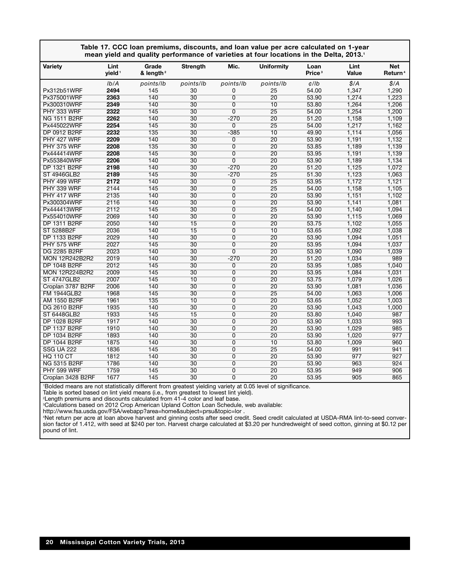|                       |                            |                                |                 |                | Table 17. CCC loan premiums, discounts, and loan value per acre calculated on 1-year<br>mean yield and quality performance of varieties at four locations in the Delta, 2013.1 |                            |               |                                   |
|-----------------------|----------------------------|--------------------------------|-----------------|----------------|--------------------------------------------------------------------------------------------------------------------------------------------------------------------------------|----------------------------|---------------|-----------------------------------|
| Variety               | Lint<br>yield <sup>1</sup> | Grade<br>& length <sup>2</sup> | Strength        | Mic.           | <b>Uniformity</b>                                                                                                                                                              | Loan<br>Price <sup>3</sup> | Lint<br>Value | <b>Net</b><br>Return <sup>4</sup> |
|                       | Ib/A                       | points/lb                      | points/lb       | points/lb      | points/lb                                                                                                                                                                      | $\frac{d}{d}$              | \$/A          | \$/A                              |
| Px312b51WRF           | 2494                       | 145                            | 30              | 0              | 25                                                                                                                                                                             | 54.00                      | 1,347         | 1,290                             |
| Px375001WRF           | 2363                       | 140                            | 30              | $\overline{0}$ | $\overline{20}$                                                                                                                                                                | 53.90                      | 1,274         | 1,223                             |
| Px300310WRF           | 2349                       | 140                            | 30              | $\overline{0}$ | 10                                                                                                                                                                             | 53.80                      | 1,264         | 1,206                             |
| PHY 333 WRF           | 2322                       | 145                            | 30              | $\overline{0}$ | 25                                                                                                                                                                             | 54.00                      | 1,254         | 1,200                             |
| <b>NG 1511 B2RF</b>   | 2262                       | 140                            | 30              | $-270$         | 20                                                                                                                                                                             | 51.20                      | 1,158         | 1,109                             |
| Px445022WRF           | 2254                       | 145                            | 30              | 0              | $\overline{25}$                                                                                                                                                                | 54.00                      | 1,217         | 1,162                             |
| <b>DP 0912 B2RF</b>   | 2232                       | $\overline{135}$               | 30              | $-385$         | $\overline{10}$                                                                                                                                                                | 49.90                      | 1,114         | 1,056                             |
| PHY 427 WRF           | 2209                       | 140                            | 30              | $\overline{0}$ | 20                                                                                                                                                                             | 53.90                      | 1,191         | 1,132                             |
| PHY 375 WRF           | 2208                       | 135                            | 30              | $\overline{0}$ | 20                                                                                                                                                                             | 53.85                      | 1,189         | 1,139                             |
| Px444414WRF           | 2208                       | 145                            | 30              | $\overline{0}$ | $\overline{20}$                                                                                                                                                                | 53.95                      | 1,191         | 1,139                             |
| Px553840WRF           | 2206                       | 140                            | 30              | $\overline{0}$ | 20                                                                                                                                                                             | 53.90                      | 1,189         | 1,134                             |
| DP 1321 B2RF          | 2198                       | 140                            | 30              | $-270$         | $\overline{20}$                                                                                                                                                                | 51.20                      | 1,125         | 1,072                             |
| <b>ST 4946GLB2</b>    | 2189                       | 145                            | 30              | $-270$         | $\overline{25}$                                                                                                                                                                | 51.30                      | 1,123         | 1,063                             |
| PHY 499 WRF           | 2172                       | 140                            | 30              | $\overline{0}$ | $\overline{25}$                                                                                                                                                                | 53.95                      | 1,172         | 1,121                             |
| PHY 339 WRF           | 2144                       | 145                            | 30              | 0              | 25                                                                                                                                                                             | 54.00                      | 1,158         | 1,105                             |
| PHY 417 WRF           | 2135                       | 140                            | 30              | $\mathbf 0$    | $\overline{20}$                                                                                                                                                                | 53.90                      | 1,151         | 1,102                             |
| Px300304WRF           | 2116                       | 140                            | 30              | $\overline{0}$ | 20                                                                                                                                                                             | 53.90                      | 1,141         | 1,081                             |
| Px444413WRF           | 2112                       | 145                            | 30              | 0              | $\overline{25}$                                                                                                                                                                | 54.00                      | 1,140         | 1,094                             |
| Px554010WRF           | 2069                       | 140                            | 30              | $\overline{0}$ | $\overline{20}$                                                                                                                                                                | 53.90                      | 1,115         | 1,069                             |
| DP 1311 B2RF          | 2050                       | 140                            | 15              | $\overline{0}$ | 20                                                                                                                                                                             | 53.75                      | 1,102         | 1,055                             |
| ST 5288B2F            | 2036                       | 140                            | $\overline{15}$ | 0              | 10                                                                                                                                                                             | 53.65                      | 1,092         | 1,038                             |
| <b>DP 1133 B2RF</b>   | 2029                       | 140                            | 30              | $\overline{0}$ | 20                                                                                                                                                                             | 53.90                      | 1,094         | 1,051                             |
| PHY 575 WRF           | 2027                       | 145                            | 30              | $\overline{0}$ | 20                                                                                                                                                                             | 53.95                      | 1,094         | 1,037                             |
| DG 2285 B2RF          | 2023                       | 140                            | 30              | $\overline{0}$ | 20                                                                                                                                                                             | 53.90                      | 1,090         | 1,039                             |
| <b>MON 12R242B2R2</b> | 2019                       | 140                            | 30              | $-270$         | $\overline{20}$                                                                                                                                                                | 51.20                      | 1,034         | 989                               |
| DP 1048 B2RF          | 2012                       | 145                            | 30              | $\overline{0}$ | 20                                                                                                                                                                             | 53.95                      | 1,085         | 1,040                             |
| <b>MON 12R224B2R2</b> | 2009                       | 145                            | 30              | $\overline{0}$ | $\overline{20}$                                                                                                                                                                | 53.95                      | 1,084         | 1,031                             |
| <b>ST 4747GLB2</b>    | 2007                       | 145                            | 10              | $\overline{0}$ | $\overline{20}$                                                                                                                                                                | 53.75                      | 1,079         | 1,026                             |
| Croplan 3787 B2RF     | 2006                       | 140                            | 30              | $\Omega$       | 20                                                                                                                                                                             | 53.90                      | 1,081         | 1,036                             |
| <b>FM 1944GLB2</b>    | 1968                       | 145                            | 30              | 0              | 25                                                                                                                                                                             | 54.00                      | 1,063         | 1,006                             |
| <b>AM 1550 B2RF</b>   | 1961                       | 135                            | 10              | $\overline{0}$ | $\overline{20}$                                                                                                                                                                | 53.65                      | 1,052         | 1,003                             |
| DG 2610 B2RF          | 1935                       | 140                            | 30              | $\overline{0}$ | 20                                                                                                                                                                             | 53.90                      | 1,043         | 1,000                             |
| <b>ST 6448GLB2</b>    | 1933                       | 145                            | 15              | $\overline{0}$ | 20                                                                                                                                                                             | 53.80                      | 1,040         | 987                               |
| <b>DP 1028 B2RF</b>   | 1917                       | 140                            | 30              | $\overline{0}$ | $\overline{20}$                                                                                                                                                                | 53.90                      | 1,033         | 993                               |
| DP 1137 B2RF          | 1910                       | 140                            | 30              | $\overline{0}$ | 20                                                                                                                                                                             | 53.90                      | 1,029         | 985                               |
| DP 1034 B2RF          | 1893                       | 140                            | 30              | 0              | $\overline{20}$                                                                                                                                                                | 53.90                      | 1,020         | 977                               |
| <b>DP 1044 B2RF</b>   | 1875                       | 140                            | 30              | $\overline{0}$ | 10                                                                                                                                                                             | 53.80                      | 1,009         | 960                               |
| <b>SSG UA 222</b>     | 1836                       | 145                            | 30              | 0              | 25                                                                                                                                                                             | 54.00                      | 991           | 941                               |
| <b>HQ 110 CT</b>      | 1812                       | 140                            | 30              | $\overline{0}$ | 20                                                                                                                                                                             | 53.90                      | 977           | 927                               |
| <b>NG 5315 B2RF</b>   | 1786                       | 140                            | 30              | 0              | 20                                                                                                                                                                             | 53.90                      | 963           | 924                               |
| PHY 599 WRF           | 1759                       | 145                            | 30              | 0              | 20                                                                                                                                                                             | 53.95                      | 949           | 906                               |
| Croplan 3428 B2RF     | 1677                       | 145                            | 30              | $\overline{0}$ | $\overline{20}$                                                                                                                                                                | 53.95                      | 905           | 865                               |
|                       |                            |                                |                 |                |                                                                                                                                                                                |                            |               |                                   |

1 Bolded means are not statistically different from greatest yielding variety at 0.05 level of significance.

Table is sorted based on lint yield means (i.e., from greatest to lowest lint yield). 2 Length premiums and discounts calculated from 41-4 color and leaf base.

3 Calculations based on 2012 Crop American Upland Cotton Loan Schedule, web available:

http://www.fsa.usda.gov/FSA/webapp?area=home&subject=prsu&topic=lor .

4 Net return per acre at loan above harvest and ginning costs after seed credit. Seed credit calculated at USDA-RMA lint-to-seed conversion factor of 1.412, with seed at \$240 per ton. Harvest charge calculated at \$3.20 per hundredweight of seed cotton, ginning at \$0.12 per pound of lint.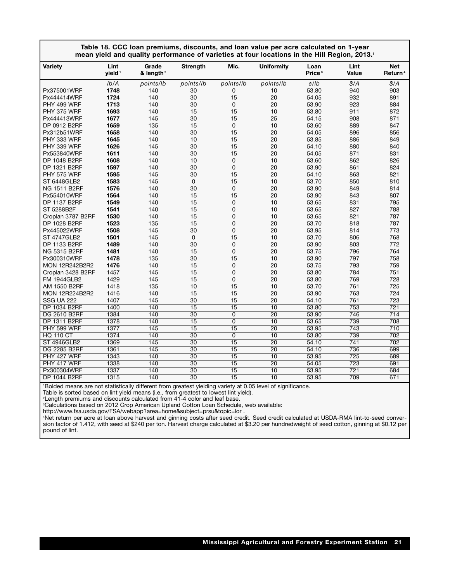|                       |                            |                                |                 |                 | Table 18. CCC loan premiums, discounts, and loan value per acre calculated on 1-year<br>mean yield and quality performance of varieties at four locations in the Hill Region, 2013.1 |                            |                  |                                   |
|-----------------------|----------------------------|--------------------------------|-----------------|-----------------|--------------------------------------------------------------------------------------------------------------------------------------------------------------------------------------|----------------------------|------------------|-----------------------------------|
| <b>Variety</b>        | Lint<br>yield <sup>1</sup> | Grade<br>& length <sup>2</sup> | <b>Strength</b> | Mic.            | <b>Uniformity</b>                                                                                                                                                                    | Loan<br>Price <sup>3</sup> | Lint<br>Value    | <b>Net</b><br>Return <sup>4</sup> |
|                       | Ib/A                       | points/lb                      | points/lb       | points/lb       | points/lb                                                                                                                                                                            | $d$ /lb                    | \$/A             | \$/A                              |
| Px375001WRF           | 1748                       | 140                            | 30              | 0               | 10                                                                                                                                                                                   | 53.80                      | 940              | 903                               |
| Px444414WRF           | 1724                       | 140                            | 30              | $\overline{15}$ | $\overline{20}$                                                                                                                                                                      | 54.05                      | 932              | 891                               |
| PHY 499 WRF           | 1713                       | 140                            | 30              | $\overline{0}$  | $\overline{20}$                                                                                                                                                                      | 53.90                      | 923              | 884                               |
| PHY 375 WRF           | 1693                       | 140                            | $\overline{15}$ | $\overline{15}$ | 10                                                                                                                                                                                   | 53.80                      | 911              | 872                               |
| Px444413WRF           | 1677                       | 145                            | 30              | $\overline{15}$ | 25                                                                                                                                                                                   | 54.15                      | 908              | 871                               |
| <b>DP 0912 B2RF</b>   | 1659                       | 135                            | 15              | $\overline{0}$  | 10                                                                                                                                                                                   | 53.60                      | 889              | 847                               |
| Px312b51WRF           | 1658                       | 140                            | 30              | $\overline{15}$ | $\overline{20}$                                                                                                                                                                      | 54.05                      | 896              | 856                               |
| PHY 333 WRF           | 1645                       | 140                            | 10              | 15              | 20                                                                                                                                                                                   | 53.85                      | 886              | 849                               |
| PHY 339 WRF           | 1626                       | 145                            | 30              | 15              | $\overline{20}$                                                                                                                                                                      | 54.10                      | 880              | 840                               |
| Px553840WRF           | 1611                       | 140                            | 30              | 15              | 20                                                                                                                                                                                   | 54.05                      | 871              | 831                               |
| DP 1048 B2RF          | 1608                       | 140                            | 10              | $\overline{0}$  | $\overline{10}$                                                                                                                                                                      | 53.60                      | 862              | 826                               |
| <b>DP 1321 B2RF</b>   | 1597                       | 140                            | 30              | $\overline{0}$  | $\overline{20}$                                                                                                                                                                      | 53.90                      | 861              | 824                               |
| PHY 575 WRF           | 1595                       | 145                            | $\overline{30}$ | $\overline{15}$ | $\overline{20}$                                                                                                                                                                      | 54.10                      | 863              | 821                               |
| <b>ST 6448GLB2</b>    | 1583                       | 145                            | $\overline{0}$  | $\overline{15}$ | 10                                                                                                                                                                                   | 53.70                      | 850              | 810                               |
| <b>NG 1511 B2RF</b>   | 1576                       | 140                            | 30              | $\overline{0}$  | 20                                                                                                                                                                                   | 53.90                      | 849              | 814                               |
| Px554010WRF           | 1564                       | 140                            | 15              | 15              | $\overline{20}$                                                                                                                                                                      | 53.90                      | 843              | 807                               |
| DP 1137 B2RF          | 1549                       | 140                            | 15              | 0               | 10                                                                                                                                                                                   | 53.65                      | 831              | 795                               |
| ST 5288B2F            | 1541                       | 140                            | $\overline{15}$ | $\overline{0}$  | 10                                                                                                                                                                                   | 53.65                      | 827              | 788                               |
| Croplan 3787 B2RF     | 1530                       | 140                            | 15              | $\overline{0}$  | 10                                                                                                                                                                                   | 53.65                      | 821              | 787                               |
| DP 1028 B2RF          | 1523                       | 135                            | $\overline{15}$ | $\overline{0}$  | $\overline{20}$                                                                                                                                                                      | 53.70                      | 818              | 787                               |
| Px445022WRF           | 1508                       | 145                            | 30              | $\overline{0}$  | $\overline{20}$                                                                                                                                                                      | 53.95                      | 814              | 773                               |
| <b>ST 4747GLB2</b>    | 1501                       | 145                            | $\overline{0}$  | $\overline{15}$ | 10                                                                                                                                                                                   | 53.70                      | 806              | 768                               |
| <b>DP 1133 B2RF</b>   | 1489                       | 140                            | 30              | $\overline{0}$  | 20                                                                                                                                                                                   | 53.90                      | 803              | 772                               |
| <b>NG 5315 B2RF</b>   | 1481                       | 140                            | 15              | $\overline{0}$  | $\overline{20}$                                                                                                                                                                      | 53.75                      | 796              | 764                               |
| Px300310WRF           | 1478                       | $\overline{135}$               | 30              | 15              | $\overline{10}$                                                                                                                                                                      | 53.90                      | 797              | 758                               |
| <b>MON 12R242B2R2</b> | 1476                       | 140                            | 15              | $\overline{0}$  | $\overline{20}$                                                                                                                                                                      | 53.75                      | 793              | 759                               |
| Croplan 3428 B2RF     | 1457                       | 145                            | 15              | $\overline{0}$  | $\overline{20}$                                                                                                                                                                      | 53.80                      | 784              | 751                               |
| <b>FM 1944GLB2</b>    | 1429                       | 145                            | 15              | $\overline{0}$  | $\overline{20}$                                                                                                                                                                      | 53.80                      | 769              | 728                               |
| AM 1550 B2RF          | 1418                       | 135                            | 10              | 15              | 10                                                                                                                                                                                   | 53.70                      | 761              | 725                               |
| <b>MON 12R224B2R2</b> | 1416                       | 140                            | 15              | 15              | $\overline{20}$                                                                                                                                                                      | 53.90                      | 763              | 724                               |
| <b>SSG UA 222</b>     | 1407                       | 145                            | 30              | $\overline{15}$ | $\overline{20}$                                                                                                                                                                      | 54.10                      | 761              | 723                               |
| <b>DP 1034 B2RF</b>   | 1400                       | 140                            | 15              | 15              | 10                                                                                                                                                                                   | 53.80                      | 753              | $\overline{721}$                  |
| <b>DG 2610 B2RF</b>   | 1384                       | 140                            | 30              | $\overline{0}$  | $\overline{20}$                                                                                                                                                                      | 53.90                      | 746              | 714                               |
| <b>DP 1311 B2RF</b>   | 1378                       | 140                            | $\overline{15}$ | $\overline{0}$  | $\overline{10}$                                                                                                                                                                      | 53.65                      | 739              | 708                               |
| PHY 599 WRF           | 1377                       | 145                            | 15              | $\overline{15}$ | $\overline{20}$                                                                                                                                                                      | 53.95                      | 743              | 710                               |
| <b>HQ 110 CT</b>      | 1374                       | 140                            | $\overline{30}$ | $\overline{0}$  | 10                                                                                                                                                                                   | 53.80                      | 739              | 702                               |
| <b>ST 4946GLB2</b>    | 1369                       | 145                            | 30              | $\overline{15}$ | $\overline{20}$                                                                                                                                                                      | 54.10                      | 741              | 702                               |
| <b>DG 2285 B2RF</b>   | 1361                       | 145                            | 30              | 15              | $\overline{20}$                                                                                                                                                                      | 54.10                      | 736              | 699                               |
| PHY 427 WRF           | 1343                       | 140                            | 30              | 15              | 10                                                                                                                                                                                   | 53.95                      | 725              | 689                               |
| PHY 417 WRF           | 1338                       | 140                            | 30              | $\overline{15}$ | $\overline{20}$                                                                                                                                                                      | 54.05                      | 723              | 691                               |
| Px300304WRF           | 1337                       | 140                            | 30              | 15              | 10                                                                                                                                                                                   | 53.95                      | $\overline{721}$ | 684                               |
| <b>DP 1044 B2RF</b>   | 1315                       | 140                            | 30              | $\overline{15}$ | 10                                                                                                                                                                                   | 53.95                      | 709              | 671                               |

1 Bolded means are not statistically different from greatest yielding variety at 0.05 level of significance.

Table is sorted based on lint yield means (i.e., from greatest to lowest lint yield). 2 Length premiums and discounts calculated from 41-4 color and leaf base.

3 Calculations based on 2012 Crop American Upland Cotton Loan Schedule, web available:

http://www.fsa.usda.gov/FSA/webapp?area=home&subject=prsu&topic=lor .<br>'Net return per acre at loan above harvest and ginning costs after seed credit. Seed credit calculated at USDA-RMA lint-to-seed conversion factor of 1.412, with seed at \$240 per ton. Harvest charge calculated at \$3.20 per hundredweight of seed cotton, ginning at \$0.12 per pound of lint.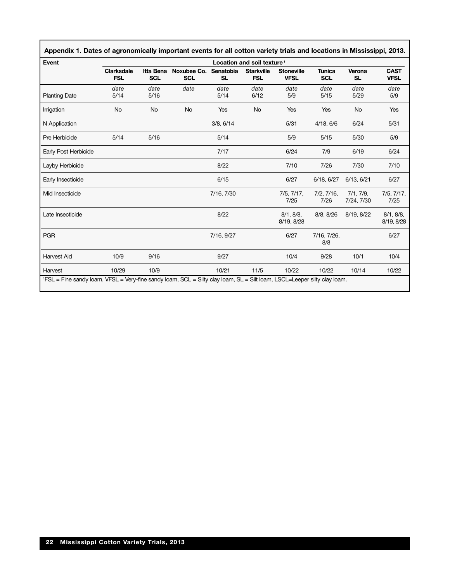| Event                |                                 |                                |                           |                        | Location and soil texture <sup>1</sup> |                                  |                             |                         |                            |
|----------------------|---------------------------------|--------------------------------|---------------------------|------------------------|----------------------------------------|----------------------------------|-----------------------------|-------------------------|----------------------------|
|                      | <b>Clarksdale</b><br><b>FSL</b> | <b>Itta Bena</b><br><b>SCL</b> | Noxubee Co.<br><b>SCL</b> | Senatobia<br><b>SL</b> | <b>Starkville</b><br><b>FSL</b>        | <b>Stoneville</b><br><b>VFSL</b> | <b>Tunica</b><br><b>SCL</b> | Verona<br><b>SL</b>     | <b>CAST</b><br><b>VFSL</b> |
| <b>Planting Date</b> | date<br>5/14                    | date<br>5/16                   | date                      | date<br>5/14           | date<br>6/12                           | date<br>5/9                      | date<br>5/15                | date<br>5/29            | date<br>5/9                |
| Irrigation           | No                              | No                             | No                        | Yes                    | No                                     | Yes                              | Yes                         | No                      | Yes                        |
| N Application        |                                 |                                |                           | 3/8, 6/14              |                                        | 5/31                             | 4/18, 6/6                   | 6/24                    | 5/31                       |
| Pre Herbicide        | 5/14                            | 5/16                           |                           | 5/14                   |                                        | 5/9                              | 5/15                        | 5/30                    | 5/9                        |
| Early Post Herbicide |                                 |                                |                           | 7/17                   |                                        | 6/24                             | 7/9                         | 6/19                    | 6/24                       |
| Layby Herbicide      |                                 |                                |                           | 8/22                   |                                        | 7/10                             | 7/26                        | 7/30                    | 7/10                       |
| Early Insecticide    |                                 |                                |                           | 6/15                   |                                        | 6/27                             | 6/18, 6/27                  | 6/13, 6/21              | 6/27                       |
| Mid Insecticide      |                                 |                                |                           | 7/16, 7/30             |                                        | 7/5, 7/17,<br>7/25               | 7/2, 7/16,<br>7/26          | 7/1, 7/9,<br>7/24, 7/30 | 7/5, 7/17,<br>7/25         |
| Late Insecticide     |                                 |                                |                           | 8/22                   |                                        | 8/1, 8/8,<br>8/19, 8/28          | 8/8, 8/26                   | 8/19, 8/22              | 8/1, 8/8,<br>8/19, 8/28    |
| <b>PGR</b>           |                                 |                                |                           | 7/16, 9/27             |                                        | 6/27                             | 7/16, 7/26,<br>8/8          |                         | 6/27                       |
| <b>Harvest Aid</b>   | 10/9                            | 9/16                           |                           | 9/27                   |                                        | 10/4                             | 9/28                        | 10/1                    | 10/4                       |
| Harvest              | 10/29                           | 10/9                           |                           | 10/21                  | 11/5                                   | 10/22                            | 10/22                       | 10/14                   | 10/22                      |